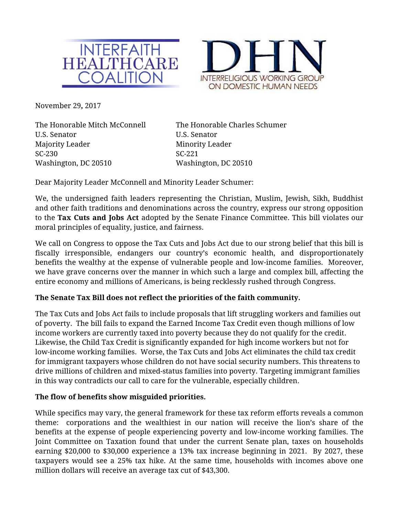



November 29**,** 2017

The Honorable Mitch McConnell The Honorable Charles Schumer U.S. Senator U.S. Senator Majority Leader Minority Leader SC-230 SC-221 Washington, DC 20510 Washington, DC 20510

Dear Majority Leader McConnell and Minority Leader Schumer:

We, the undersigned faith leaders representing the Christian, Muslim, Jewish, Sikh, Buddhist and other faith traditions and denominations across the country, express our strong opposition to the **Tax Cuts and Jobs Act** adopted by the Senate Finance Committee. This bill violates our moral principles of equality, justice, and fairness.

We call on Congress to oppose the Tax Cuts and Jobs Act due to our strong belief that this bill is fiscally irresponsible, endangers our country's economic health, and disproportionately benefits the wealthy at the expense of vulnerable people and low-income families. Moreover, we have grave concerns over the manner in which such a large and complex bill, affecting the entire economy and millions of Americans, is being recklessly rushed through Congress.

## **The Senate Tax Bill does not reflect the priorities of the faith community.**

The Tax Cuts and Jobs Act fails to include proposals that lift struggling workers and families out of poverty. The bill fails to expand the Earned Income Tax Credit even though millions of low income workers are currently taxed into poverty because they do not qualify for the credit. Likewise, the Child Tax Credit is significantly expanded for high income workers but not for low-income working families. Worse, the Tax Cuts and Jobs Act eliminates the child tax credit for immigrant taxpayers whose children do not have social security numbers. This threatens to drive millions of children and mixed-status families into poverty. Targeting immigrant families in this way contradicts our call to care for the vulnerable, especially children.

#### **The flow of benefits show misguided priorities.**

While specifics may vary, the general framework for these tax reform efforts reveals a common theme: corporations and the wealthiest in our nation will receive the lion's share of the benefits at the expense of people experiencing poverty and low-income working families. The Joint Committee on Taxation found that under the current Senate plan, taxes on households earning \$20,000 to \$30,000 experience a 13% tax increase beginning in 2021. By 2027, these taxpayers would see a 25% tax hike. At the same time, households with incomes above one million dollars will receive an average tax cut of \$43,300.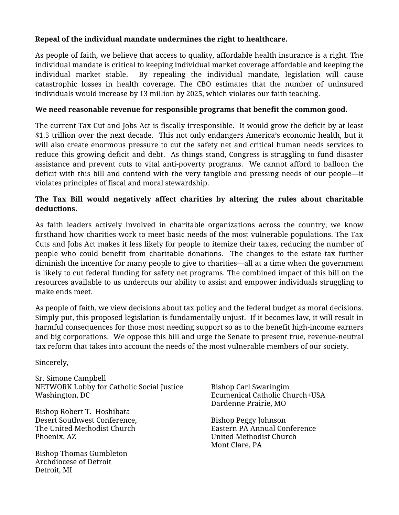# **Repeal of the individual mandate undermines the right to healthcare.**

As people of faith, we believe that access to quality, affordable health insurance is a right. The individual mandate is critical to keeping individual market coverage affordable and keeping the individual market stable. By repealing the individual mandate, legislation will cause catastrophic losses in health coverage. The CBO estimates that the number of uninsured individuals would increase by 13 million by 2025, which violates our faith teaching.

## **We need reasonable revenue for responsible programs that benefit the common good.**

The current Tax Cut and Jobs Act is fiscally irresponsible. It would grow the deficit by at least \$1.5 trillion over the next decade. This not only endangers America's economic health, but it will also create enormous pressure to cut the safety net and critical human needs services to reduce this growing deficit and debt. As things stand, Congress is struggling to fund disaster assistance and prevent cuts to vital anti-poverty programs. We cannot afford to balloon the deficit with this bill and contend with the very tangible and pressing needs of our people—it violates principles of fiscal and moral stewardship.

# **The Tax Bill would negatively affect charities by altering the rules about charitable deductions.**

As faith leaders actively involved in charitable organizations across the country, we know firsthand how charities work to meet basic needs of the most vulnerable populations. The Tax Cuts and Jobs Act makes it less likely for people to itemize their taxes, reducing the number of people who could benefit from charitable donations. The changes to the estate tax further diminish the incentive for many people to give to charities—all at a time when the government is likely to cut federal funding for safety net programs. The combined impact of this bill on the resources available to us undercuts our ability to assist and empower individuals struggling to make ends meet.

As people of faith, we view decisions about tax policy and the federal budget as moral decisions. Simply put, this proposed legislation is fundamentally unjust. If it becomes law, it will result in harmful consequences for those most needing support so as to the benefit high-income earners and big corporations. We oppose this bill and urge the Senate to present true, revenue-neutral tax reform that takes into account the needs of the most vulnerable members of our society.

Sincerely,

Sr. Simone Campbell NETWORK Lobby for Catholic Social Justice Washington, DC

Bishop Robert T. Hoshibata Desert Southwest Conference, The United Methodist Church Phoenix, AZ

Bishop Thomas Gumbleton Archdiocese of Detroit Detroit, MI

Bishop Carl Swaringim Ecumenical Catholic Church+USA Dardenne Prairie, MO

Bishop Peggy Johnson Eastern PA Annual Conference United Methodist Church Mont Clare, PA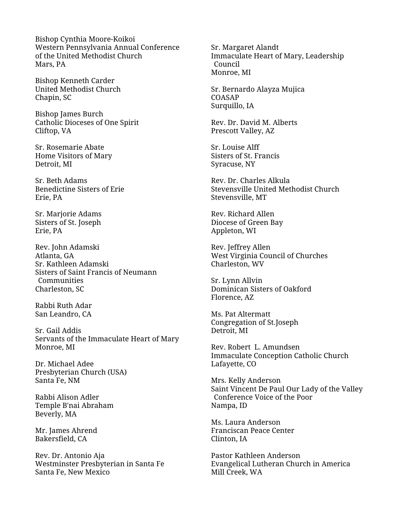Bishop Cynthia Moore-Koikoi Western Pennsylvania Annual Conference of the United Methodist Church Mars, PA

Bishop Kenneth Carder United Methodist Church Chapin, SC

Bishop James Burch Catholic Dioceses of One Spirit Cliftop, VA

Sr. Rosemarie Abate Home Visitors of Mary Detroit, MI

Sr. Beth Adams Benedictine Sisters of Erie Erie, PA

Sr. Marjorie Adams Sisters of St. Joseph Erie, PA

Rev. John Adamski Atlanta, GA Sr. Kathleen Adamski Sisters of Saint Francis of Neumann **Communities** Charleston, SC

Rabbi Ruth Adar San Leandro, CA

Sr. Gail Addis Servants of the Immaculate Heart of Mary Monroe, MI

Dr. Michael Adee Presbyterian Church (USA) Santa Fe, NM

Rabbi Alison Adler Temple B'nai Abraham Beverly, MA

Mr. James Ahrend Bakersfield, CA

Rev. Dr. Antonio Aja Westminster Presbyterian in Santa Fe Santa Fe, New Mexico

Sr. Margaret Alandt Immaculate Heart of Mary, Leadership Council Monroe, MI

Sr. Bernardo Alayza Mujica COASAP Surquillo, IA

Rev. Dr. David M. Alberts Prescott Valley, AZ

Sr. Louise Alff Sisters of St. Francis Syracuse, NY

Rev. Dr. Charles Alkula Stevensville United Methodist Church Stevensville, MT

Rev. Richard Allen Diocese of Green Bay Appleton, WI

Rev. Jeffrey Allen West Virginia Council of Churches Charleston, WV

Sr. Lynn Allvin Dominican Sisters of Oakford Florence, AZ

Ms. Pat Altermatt Congregation of St.Joseph Detroit, MI

Rev. Robert L. Amundsen Immaculate Conception Catholic Church Lafayette, CO

Mrs. Kelly Anderson Saint Vincent De Paul Our Lady of the Valley Conference Voice of the Poor Nampa, ID

Ms. Laura Anderson Franciscan Peace Center Clinton, IA

Pastor Kathleen Anderson Evangelical Lutheran Church in America Mill Creek, WA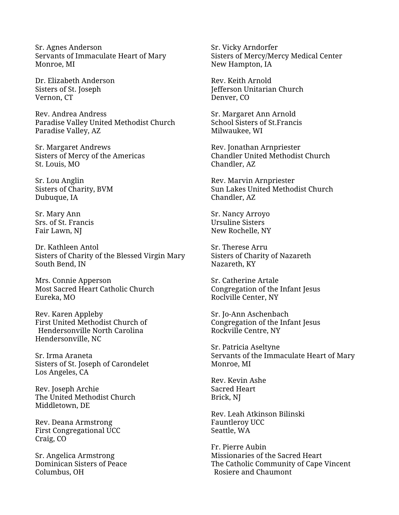Sr. Agnes Anderson Servants of Immaculate Heart of Mary Monroe, MI

Dr. Elizabeth Anderson Sisters of St. Joseph Vernon, CT

Rev. Andrea Andress Paradise Valley United Methodist Church Paradise Valley, AZ

Sr. Margaret Andrews Sisters of Mercy of the Americas St. Louis, MO

Sr. Lou Anglin Sisters of Charity, BVM Dubuque, IA

Sr. Mary Ann Srs. of St. Francis Fair Lawn, NJ

Dr. Kathleen Antol Sisters of Charity of the Blessed Virgin Mary South Bend, IN

Mrs. Connie Apperson Most Sacred Heart Catholic Church Eureka, MO

Rev. Karen Appleby First United Methodist Church of Hendersonville North Carolina Hendersonville, NC

Sr. Irma Araneta Sisters of St. Joseph of Carondelet Los Angeles, CA

Rev. Joseph Archie The United Methodist Church Middletown, DE

Rev. Deana Armstrong First Congregational UCC Craig, CO

Sr. Angelica Armstrong Dominican Sisters of Peace Columbus, OH

Sr. Vicky Arndorfer Sisters of Mercy/Mercy Medical Center New Hampton, IA

Rev. Keith Arnold Jefferson Unitarian Church Denver, CO

Sr. Margaret Ann Arnold School Sisters of St.Francis Milwaukee, WI

Rev. Jonathan Arnpriester Chandler United Methodist Church Chandler, AZ

Rev. Marvin Arnpriester Sun Lakes United Methodist Church Chandler, AZ

Sr. Nancy Arroyo Ursuline Sisters New Rochelle, NY

Sr. Therese Arru Sisters of Charity of Nazareth Nazareth, KY

Sr. Catherine Artale Congregation of the Infant Jesus Roclville Center, NY

Sr. Jo-Ann Aschenbach Congregation of the Infant Jesus Rockville Centre, NY

Sr. Patricia Aseltyne Servants of the Immaculate Heart of Mary Monroe, MI

Rev. Kevin Ashe Sacred Heart Brick, NJ

Rev. Leah Atkinson Bilinski Fauntleroy UCC Seattle, WA

Fr. Pierre Aubin Missionaries of the Sacred Heart The Catholic Community of Cape Vincent Rosiere and Chaumont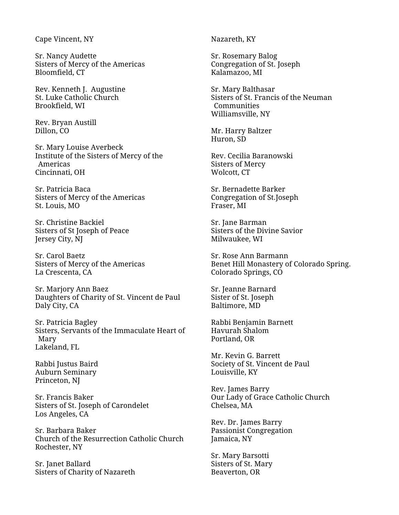Cape Vincent, NY

Sr. Nancy Audette Sisters of Mercy of the Americas Bloomfield, CT

Rev. Kenneth J. Augustine St. Luke Catholic Church Brookfield, WI

Rev. Bryan Austill Dillon, CO

Sr. Mary Louise Averbeck Institute of the Sisters of Mercy of the Americas Cincinnati, OH

Sr. Patricia Baca Sisters of Mercy of the Americas St. Louis, MO

Sr. Christine Backiel Sisters of St Joseph of Peace Jersey City, NJ

Sr. Carol Baetz Sisters of Mercy of the Americas La Crescenta, CA

Sr. Marjory Ann Baez Daughters of Charity of St. Vincent de Paul Daly City, CA

Sr. Patricia Bagley Sisters, Servants of the Immaculate Heart of Mary Lakeland, FL

Rabbi Justus Baird Auburn Seminary Princeton, NJ

Sr. Francis Baker Sisters of St. Joseph of Carondelet Los Angeles, CA

Sr. Barbara Baker Church of the Resurrection Catholic Church Rochester, NY

Sr. Janet Ballard Sisters of Charity of Nazareth Nazareth, KY

Sr. Rosemary Balog Congregation of St. Joseph Kalamazoo, MI

Sr. Mary Balthasar Sisters of St. Francis of the Neuman **Communities** Williamsville, NY

Mr. Harry Baltzer Huron, SD

Rev. Cecilia Baranowski Sisters of Mercy Wolcott, CT

Sr. Bernadette Barker Congregation of St.Joseph Fraser, MI

Sr. Jane Barman Sisters of the Divine Savior Milwaukee, WI

Sr. Rose Ann Barmann Benet Hill Monastery of Colorado Spring. Colorado Springs, CO

Sr. Jeanne Barnard Sister of St. Joseph Baltimore, MD

Rabbi Benjamin Barnett Havurah Shalom Portland, OR

Mr. Kevin G. Barrett Society of St. Vincent de Paul Louisville, KY

Rev. James Barry Our Lady of Grace Catholic Church Chelsea, MA

Rev. Dr. James Barry Passionist Congregation Jamaica, NY

Sr. Mary Barsotti Sisters of St. Mary Beaverton, OR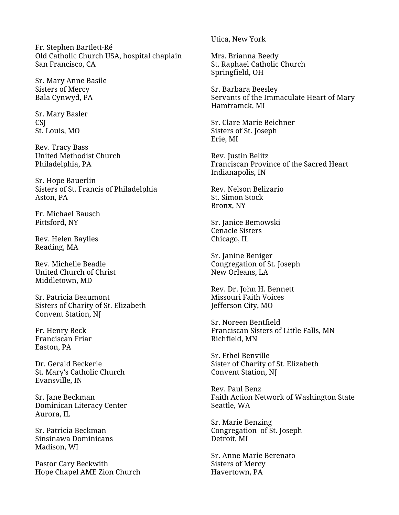Fr. Stephen Bartlett-Ré Old Catholic Church USA, hospital chaplain San Francisco, CA

Sr. Mary Anne Basile Sisters of Mercy Bala Cynwyd, PA

Sr. Mary Basler **CSI** St. Louis, MO

Rev. Tracy Bass United Methodist Church Philadelphia, PA

Sr. Hope Bauerlin Sisters of St. Francis of Philadelphia Aston, PA

Fr. Michael Bausch Pittsford, NY

Rev. Helen Baylies Reading, MA

Rev. Michelle Beadle United Church of Christ Middletown, MD

Sr. Patricia Beaumont Sisters of Charity of St. Elizabeth Convent Station, NJ

Fr. Henry Beck Franciscan Friar Easton, PA

Dr. Gerald Beckerle St. Mary's Catholic Church Evansville, IN

Sr. Jane Beckman Dominican Literacy Center Aurora, IL

Sr. Patricia Beckman Sinsinawa Dominicans Madison, WI

Pastor Cary Beckwith Hope Chapel AME Zion Church Utica, New York

Mrs. Brianna Beedy St. Raphael Catholic Church Springfield, OH

Sr. Barbara Beesley Servants of the Immaculate Heart of Mary Hamtramck, MI

Sr. Clare Marie Beichner Sisters of St. Joseph Erie, MI

Rev. Justin Belitz Franciscan Province of the Sacred Heart Indianapolis, IN

Rev. Nelson Belizario St. Simon Stock Bronx, NY

Sr. Janice Bemowski Cenacle Sisters Chicago, IL

Sr. Janine Beniger Congregation of St. Joseph New Orleans, LA

Rev. Dr. John H. Bennett Missouri Faith Voices Jefferson City, MO

Sr. Noreen Bentfield Franciscan Sisters of Little Falls, MN Richfield, MN

Sr. Ethel Benville Sister of Charity of St. Elizabeth Convent Station, NJ

Rev. Paul Benz Faith Action Network of Washington State Seattle, WA

Sr. Marie Benzing Congregation of St. Joseph Detroit, MI

Sr. Anne Marie Berenato Sisters of Mercy Havertown, PA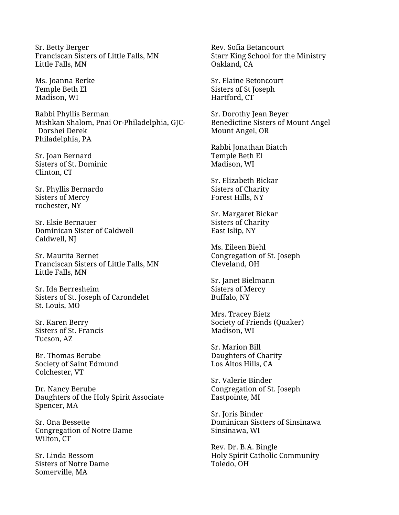Sr. Betty Berger Franciscan Sisters of Little Falls, MN Little Falls, MN

Ms. Joanna Berke Temple Beth El Madison, WI

Rabbi Phyllis Berman Mishkan Shalom, Pnai Or-Philadelphia, GJC-Dorshei Derek Philadelphia, PA

Sr. Joan Bernard Sisters of St. Dominic Clinton, CT

Sr. Phyllis Bernardo Sisters of Mercy rochester, NY

Sr. Elsie Bernauer Dominican Sister of Caldwell Caldwell, NJ

Sr. Maurita Bernet Franciscan Sisters of Little Falls, MN Little Falls, MN

Sr. Ida Berresheim Sisters of St. Joseph of Carondelet St. Louis, MO

Sr. Karen Berry Sisters of St. Francis Tucson, AZ

Br. Thomas Berube Society of Saint Edmund Colchester, VT

Dr. Nancy Berube Daughters of the Holy Spirit Associate Spencer, MA

Sr. Ona Bessette Congregation of Notre Dame Wilton, CT

Sr. Linda Bessom Sisters of Notre Dame Somerville, MA

Rev. Sofia Betancourt Starr King School for the Ministry Oakland, CA

Sr. Elaine Betoncourt Sisters of St Joseph Hartford, CT

Sr. Dorothy Jean Beyer Benedictine Sisters of Mount Angel Mount Angel, OR

Rabbi Jonathan Biatch Temple Beth El Madison, WI

Sr. Elizabeth Bickar Sisters of Charity Forest Hills, NY

Sr. Margaret Bickar Sisters of Charity East Islip, NY

Ms. Eileen Biehl Congregation of St. Joseph Cleveland, OH

Sr. Janet Bielmann Sisters of Mercy Buffalo, NY

Mrs. Tracey Bietz Society of Friends (Quaker) Madison, WI

Sr. Marion Bill Daughters of Charity Los Altos Hills, CA

Sr. Valerie Binder Congregation of St. Joseph Eastpointe, MI

Sr. Joris Binder Dominican Sistters of Sinsinawa Sinsinawa, WI

Rev. Dr. B.A. Bingle Holy Spirit Catholic Community Toledo, OH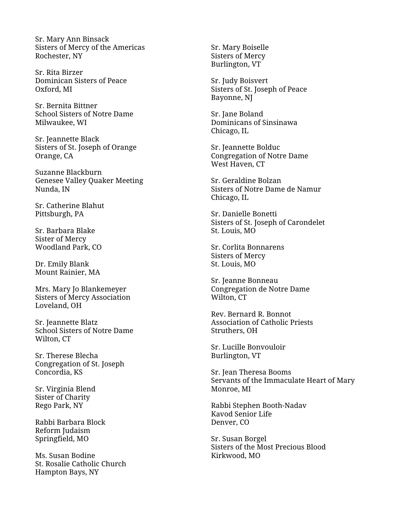Sr. Mary Ann Binsack Sisters of Mercy of the Americas Rochester, NY

Sr. Rita Birzer Dominican Sisters of Peace Oxford, MI

Sr. Bernita Bittner School Sisters of Notre Dame Milwaukee, WI

Sr. Jeannette Black Sisters of St. Joseph of Orange Orange, CA

Suzanne Blackburn Genesee Valley Quaker Meeting Nunda, IN

Sr. Catherine Blahut Pittsburgh, PA

Sr. Barbara Blake Sister of Mercy Woodland Park, CO

Dr. Emily Blank Mount Rainier, MA

Mrs. Mary Jo Blankemeyer Sisters of Mercy Association Loveland, OH

Sr. Jeannette Blatz School Sisters of Notre Dame Wilton, CT

Sr. Therese Blecha Congregation of St. Joseph Concordia, KS

Sr. Virginia Blend Sister of Charity Rego Park, NY

Rabbi Barbara Block Reform Judaism Springfield, MO

Ms. Susan Bodine St. Rosalie Catholic Church Hampton Bays, NY

Sr. Mary Boiselle Sisters of Mercy Burlington, VT

Sr. Judy Boisvert Sisters of St. Joseph of Peace Bayonne, NJ

Sr. Jane Boland Dominicans of Sinsinawa Chicago, IL

Sr. Jeannette Bolduc Congregation of Notre Dame West Haven, CT

Sr. Geraldine Bolzan Sisters of Notre Dame de Namur Chicago, IL

Sr. Danielle Bonetti Sisters of St. Joseph of Carondelet St. Louis, MO

Sr. Corlita Bonnarens Sisters of Mercy St. Louis, MO

Sr. Jeanne Bonneau Congregation de Notre Dame Wilton, CT

Rev. Bernard R. Bonnot Association of Catholic Priests Struthers, OH

Sr. Lucille Bonvouloir Burlington, VT

Sr. Jean Theresa Booms Servants of the Immaculate Heart of Mary Monroe, MI

Rabbi Stephen Booth -Nadav Kavod Senior Life Denver, CO

Sr. Susan Borgel Sisters of the Most Precious Blood Kirkwood, MO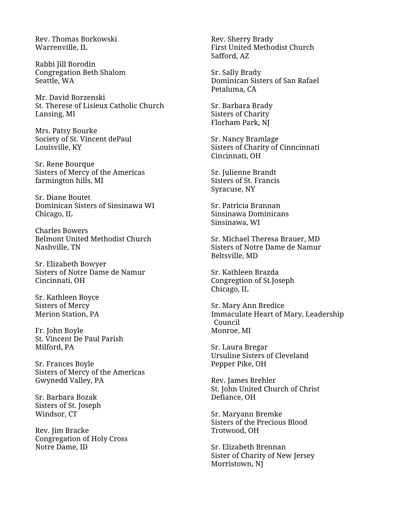Rev. Thomas Borkowski Warrenville, IL

Rabbi Jill Borodin Congregation Beth Shalom Seattle, WA

Mr. David Borzenski St. Therese of Lisieux Catholic Church Lansing, MI

Mrs. Patsy Bourke Society of St. Vincent dePaul Louisville, KY

Sr. Rene Bourque Sisters of Mercy of the Americas farmington hills, MI

Sr. Diane Boutet Dominican Sisters of Sinsinawa WI Chicago, IL

Charles Bowers Belmont United Methodist Church Nashville, TN

Sr. Elizabeth Bowyer Sisters of Notre Dame de Namur Cincinnati, OH

Sr. Kathleen Boyce Sisters of Mercy Merion Station, PA

Fr. John Boyle St. Vincent De Paul Parish Milford, PA

Sr. Frances Boyle Sisters of Mercy of the Americas Gwynedd Valley, PA

Sr. Barbara Bozak Sisters of St. Joseph Windsor, CT

Rev. Jim Bracke Congregation of Holy Cross Notre Dame, ID

Rev. Sherry Brady First United Methodist Church Safford, AZ

Sr. Sally Brady Dominican Sisters of San Rafael Petaluma, CA

Sr. Barbara Brady Sisters of Charity Florham Park, NJ

Sr. Nancy Bramlage Sisters of Charity of Cinncinnati Cincinnati, OH

Sr. Julienne Brandt Sisters of St. Francis Syracuse, NY

Sr. Patricia Brannan Sinsinawa Dominicans Sinsinawa, WI

Sr. Michael Theresa Brauer, MD Sisters of Notre Dame de Namur Beltsville, MD

Sr. Kathleen Brazda Congregtion of St.Joseph Chicago, IL

Sr. Mary Ann Bredice Immaculate Heart of Mary, Leadership Council Monroe, MI

Sr. Laura Bregar Ursuline Sisters of Cleveland Pepper Pike, OH

Rev. James Brehler St. John United Church of Christ Defiance, OH

Sr. Maryann Bremke Sisters of the Precious Blood Trotwood, OH

Sr. Elizabeth Brennan Sister of Charity of New Jersey Morristown, NJ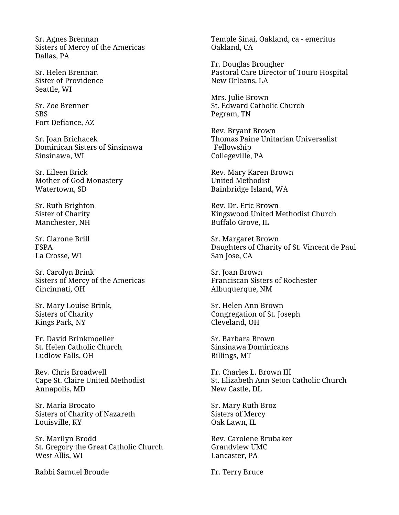Sr. Agnes Brennan Sisters of Mercy of the Americas Dallas, PA

Sr. Helen Brennan Sister of Providence Seattle, WI

Sr. Zoe Brenner **SBS** Fort Defiance, AZ

Sr. Joan Brichacek Dominican Sisters of Sinsinawa Sinsinawa, WI

Sr. Eileen Brick Mother of God Monastery Watertown, SD

Sr. Ruth Brighton Sister of Charity Manchester, NH

Sr. Clarone Brill FSPA La Crosse, WI

Sr. Carolyn Brink Sisters of Mercy of the Americas Cincinnati, OH

Sr. Mary Louise Brink, Sisters of Charity Kings Park, NY

Fr. David Brinkmoeller St. Helen Catholic Church Ludlow Falls, OH

Rev. Chris Broadwell Cape St. Claire United Methodist Annapolis, MD

Sr. Maria Brocato Sisters of Charity of Nazareth Louisville, KY

Sr. Marilyn Brodd St. Gregory the Great Catholic Church West Allis, WI

Rabbi Samuel Broude

Temple Sinai, Oakland, ca - emeritus Oakland, CA

Fr. Douglas Brougher Pastoral Care Director of Touro Hospital New Orleans, LA

Mrs. Julie Brown St. Edward Catholic Church Pegram, TN

Rev. Bryant Brown Thomas Paine Unitarian Universalist Fellowship Collegeville, PA

Rev. Mary Karen Brown United Methodist Bainbridge Island, WA

Rev. Dr. Eric Brown Kingswood United Methodist Church Buffalo Grove, IL

Sr. Margaret Brown Daughters of Charity of St. Vincent de Paul San Jose, CA

Sr. Joan Brown Franciscan Sisters of Rochester Albuquerque, NM

Sr. Helen Ann Brown Congregation of St. Joseph Cleveland, OH

Sr. Barbara Brown Sinsinawa Dominicans Billings, MT

Fr. Charles L. Brown III St. Elizabeth Ann Seton Catholic Church New Castle, DL

Sr. Mary Ruth Broz Sisters of Mercy Oak Lawn, IL

Rev. Carolene Brubaker Grandview UMC Lancaster, PA

Fr. Terry Bruce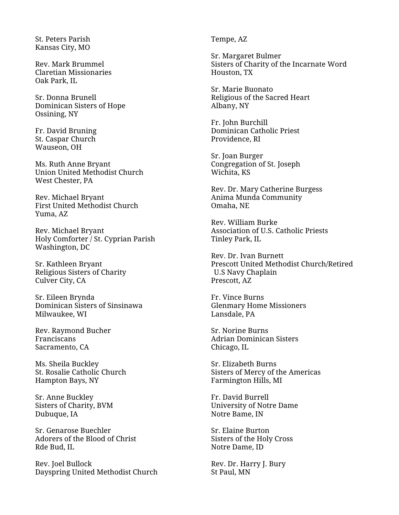St. Peters Parish Kansas City, MO

Rev. Mark Brummel Claretian Missionaries Oak Park, IL

Sr. Donna Brunell Dominican Sisters of Hope Ossining, NY

Fr. David Bruning St. Caspar Church Wauseon, OH

Ms. Ruth Anne Bryant Union United Methodist Church West Chester, PA

Rev. Michael Bryant First United Methodist Church Yuma, AZ

Rev. Michael Bryant Holy Comforter / St. Cyprian Parish Washington, DC

Sr. Kathleen Bryant Religious Sisters of Charity Culver City, CA

Sr. Eileen Brynda Dominican Sisters of Sinsinawa Milwaukee, WI

Rev. Raymond Bucher Franciscans Sacramento, CA

Ms. Sheila Buckley St. Rosalie Catholic Church Hampton Bays, NY

Sr. Anne Buckley Sisters of Charity, BVM Dubuque, IA

Sr. Genarose Buechler Adorers of the Blood of Christ Rde Bud, IL

Rev. Joel Bullock Dayspring United Methodist Church Tempe, AZ

Sr. Margaret Bulmer Sisters of Charity of the Incarnate Word Houston, TX

Sr. Marie Buonato Religious of the Sacred Heart Albany, NY

Fr. John Burchill Dominican Catholic Priest Providence, RI

Sr. Joan Burger Congregation of St. Joseph Wichita, KS

Rev. Dr. Mary Catherine Burgess Anima Munda Community Omaha, NE

Rev. William Burke Association of U.S. Catholic Priests Tinley Park, IL

Rev. Dr. Ivan Burnett Prescott United Methodist Church/Retired U.S Navy Chaplain Prescott, AZ

Fr. Vince Burns Glenmary Home Missioners Lansdale, PA

Sr. Norine Burns Adrian Dominican Sisters Chicago, IL

Sr. Elizabeth Burns Sisters of Mercy of the Americas Farmington Hills, MI

Fr. David Burrell University of Notre Dame Notre Bame, IN

Sr. Elaine Burton Sisters of the Holy Cross Notre Dame, ID

Rev. Dr. Harry J. Bury St Paul, MN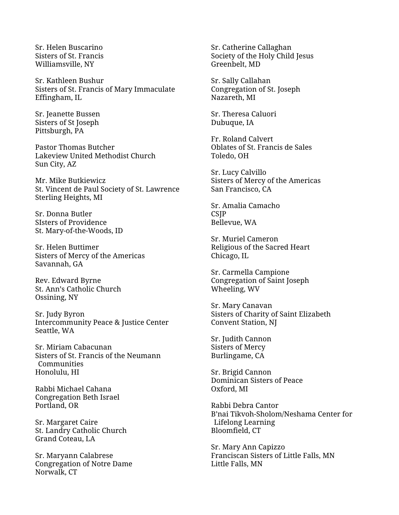Sr. Helen Buscarino Sisters of St. Francis Williamsville, NY

Sr. Kathleen Bushur Sisters of St. Francis of Mary Immaculate Effingham, IL

Sr. Jeanette Bussen Sisters of St Joseph Pittsburgh, PA

Pastor Thomas Butcher Lakeview United Methodist Church Sun City, AZ

Mr. Mike Butkiewicz St. Vincent de Paul Society of St. Lawrence Sterling Heights, MI

Sr. Donna Butler SIsters of Providence St. Mary-of-the-Woods, ID

Sr. Helen Buttimer Sisters of Mercy of the Americas Savannah, GA

Rev. Edward Byrne St. Ann's Catholic Church Ossining, NY

Sr. Judy Byron Intercommunity Peace & Justice Center Seattle, WA

Sr. Miriam Cabacunan Sisters of St. Francis of the Neumann **Communities** Honolulu, HI

Rabbi Michael Cahana Congregation Beth Israel Portland, OR

Sr. Margaret Caire St. Landry Catholic Church Grand Coteau, LA

Sr. Maryann Calabrese Congregation of Notre Dame Norwalk, CT

Sr. Catherine Callaghan Society of the Holy Child Jesus Greenbelt, MD

Sr. Sally Callahan Congregation of St. Joseph Nazareth, MI

Sr. Theresa Caluori Dubuque, IA

Fr. Roland Calvert Oblates of St. Francis de Sales Toledo, OH

Sr. Lucy Calvillo Sisters of Mercy of the Americas San Francisco, CA

Sr. Amalia Camacho **CSIP** Bellevue, WA

Sr. Muriel Cameron Religious of the Sacred Heart Chicago, IL

Sr. Carmella Campione Congregation of Saint Joseph Wheeling, WV

Sr. Mary Canavan Sisters of Charity of Saint Elizabeth Convent Station, NJ

Sr. Judith Cannon Sisters of Mercy Burlingame, CA

Sr. Brigid Cannon Dominican Sisters of Peace Oxford, MI

Rabbi Debra Cantor B'nai Tikvoh-Sholom/Neshama Center for Lifelong Learning Bloomfield, CT

Sr. Mary Ann Capizzo Franciscan Sisters of Little Falls, MN Little Falls, MN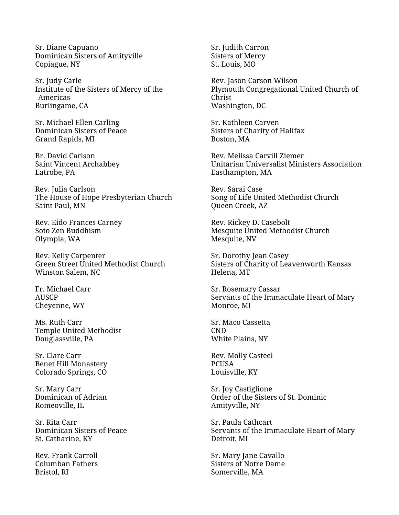Sr. Diane Capuano Dominican Sisters of Amityville Copiague, NY

Sr. Judy Carle Institute of the Sisters of Mercy of the Americas Burlingame, CA

Sr. Michael Ellen Carling Dominican Sisters of Peace Grand Rapids, MI

Br. David Carlson Saint Vincent Archabbey Latrobe, PA

Rev. Julia Carlson The House of Hope Presbyterian Church Saint Paul, MN

Rev. Eido Frances Carney Soto Zen Buddhism Olympia, WA

Rev. Kelly Carpenter Green Street United Methodist Church Winston Salem, NC

Fr. Michael Carr AUSCP Cheyenne, WY

Ms. Ruth Carr Temple United Methodist Douglassville, PA

Sr. Clare Carr Benet Hill Monastery Colorado Springs, CO

Sr. Mary Carr Dominican of Adrian Romeoville, IL

Sr. Rita Carr Dominican Sisters of Peace St. Catharine, KY

Rev. Frank Carroll Columban Fathers Bristol, RI

Sr. Judith Carron Sisters of Mercy St. Louis, MO

Rev. Jason Carson Wilson Plymouth Congregational United Church of Christ Washington, DC

Sr. Kathleen Carven Sisters of Charity of Halifax Boston, MA

Rev. Melissa Carvill Ziemer Unitarian Universalist Ministers Association Easthampton, MA

Rev. Sarai Case Song of Life United Methodist Church Queen Creek, AZ

Rev. Rickey D. Casebolt Mesquite United Methodist Church Mesquite, NV

Sr. Dorothy Jean Casey Sisters of Charity of Leavenworth Kansas Helena, MT

Sr. Rosemary Cassar Servants of the Immaculate Heart of Mary Monroe, MI

Sr. Maco Cassetta CND White Plains, NY

Rev. Molly Casteel PCUSA Louisville, KY

Sr. Joy Castiglione Order of the Sisters of St. Dominic Amityville, NY

Sr. Paula Cathcart Servants of the Immaculate Heart of Mary Detroit, MI

Sr. Mary Jane Cavallo Sisters of Notre Dame Somerville, MA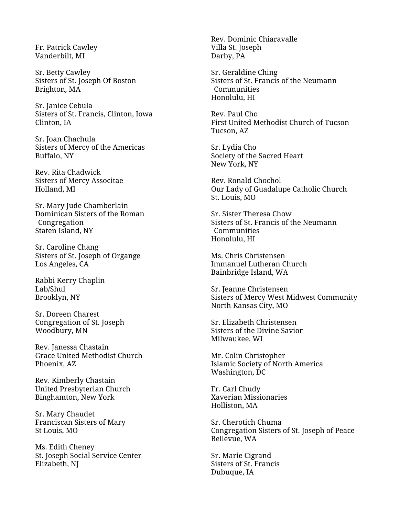Fr. Patrick Cawley Vanderbilt, MI

Sr. Betty Cawley Sisters of St. Joseph Of Boston Brighton, MA

Sr. Janice Cebula Sisters of St. Francis, Clinton, Iowa Clinton, IA

Sr. Joan Chachula Sisters of Mercy of the Americas Buffalo, NY

Rev. Rita Chadwick Sisters of Mercy Associtae Holland, MI

Sr. Mary Jude Chamberlain Dominican Sisters of the Roman Congregation Staten Island, NY

Sr. Caroline Chang Sisters of St. Joseph of Organge Los Angeles, CA

Rabbi Kerry Chaplin Lab/Shul Brooklyn, NY

Sr. Doreen Charest Congregation of St. Joseph Woodbury, MN

Rev. Janessa Chastain Grace United Methodist Church Phoenix, AZ

Rev. Kimberly Chastain United Presbyterian Church Binghamton, New York

Sr. Mary Chaudet Franciscan Sisters of Mary St Louis, MO

Ms. Edith Cheney St. Joseph Social Service Center Elizabeth, NJ

Rev. Dominic Chiaravalle Villa St. Joseph Darby, PA

Sr. Geraldine Ching Sisters of St. Francis of the Neumann Communities Honolulu, HI

Rev. Paul Cho First United Methodist Church of Tucson Tucson, AZ

Sr. Lydia Cho Society of the Sacred Heart New York, NY

Rev. Ronald Chochol Our Lady of Guadalupe Catholic Church St. Louis, MO

Sr. Sister Theresa Chow Sisters of St. Francis of the Neumann **Communities** Honolulu, HI

Ms. Chris Christensen Immanuel Lutheran Church Bainbridge Island, WA

Sr. Jeanne Christensen Sisters of Mercy West Midwest Community North Kansas City, MO

Sr. Elizabeth Christensen Sisters of the Divine Savior Milwaukee, WI

Mr. Colin Christopher Islamic Society of North America Washington, DC

Fr. Carl Chudy Xaverian Missionaries Holliston, MA

Sr. Cherotich Chuma Congregation Sisters of St. Joseph of Peace Bellevue, WA

Sr. Marie Cigrand Sisters of St. Francis Dubuque, IA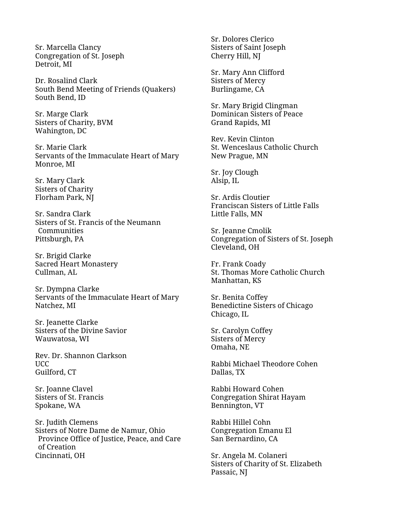Sr. Marcella Clancy Congregation of St. Joseph Detroit, MI

Dr. Rosalind Clark South Bend Meeting of Friends (Quakers) South Bend, ID

Sr. Marge Clark Sisters of Charity, BVM Wahington, DC

Sr. Marie Clark Servants of the Immaculate Heart of Mary Monroe, MI

Sr. Mary Clark Sisters of Charity Florham Park, NJ

Sr. Sandra Clark Sisters of St. Francis of the Neumann **Communities** Pittsburgh, PA

Sr. Brigid Clarke Sacred Heart Monastery Cullman, AL

Sr. Dympna Clarke Servants of the Immaculate Heart of Mary Natchez, MI

Sr. Jeanette Clarke Sisters of the Divine Savior Wauwatosa, WI

Rev. Dr. Shannon Clarkson UCC Guilford, CT

Sr. Joanne Clavel Sisters of St. Francis Spokane, WA

Sr. Judith Clemens Sisters of Notre Dame de Namur, Ohio Province Office of Justice, Peace, and Care of Creation Cincinnati, OH

Sr. Dolores Clerico Sisters of Saint Joseph Cherry Hill, NJ

Sr. Mary Ann Clifford Sisters of Mercy Burlingame, CA

Sr. Mary Brigid Clingman Dominican Sisters of Peace Grand Rapids, MI

Rev. Kevin Clinton St. Wenceslaus Catholic Church New Prague, MN

Sr. Joy Clough Alsip, IL

Sr. Ardis Cloutier Franciscan Sisters of Little Falls Little Falls, MN

Sr. Jeanne Cmolik Congregation of Sisters of St. Joseph Cleveland, OH

Fr. Frank Coady St. Thomas More Catholic Church Manhattan, KS

Sr. Benita Coffey Benedictine Sisters of Chicago Chicago, IL

Sr. Carolyn Coffey Sisters of Mercy Omaha, NE

Rabbi Michael Theodore Cohen Dallas, TX

Rabbi Howard Cohen Congregation Shirat Hayam Bennington, VT

Rabbi Hillel Cohn Congregation Emanu El San Bernardino, CA

Sr. Angela M. Colaneri Sisters of Charity of St. Elizabeth Passaic, NJ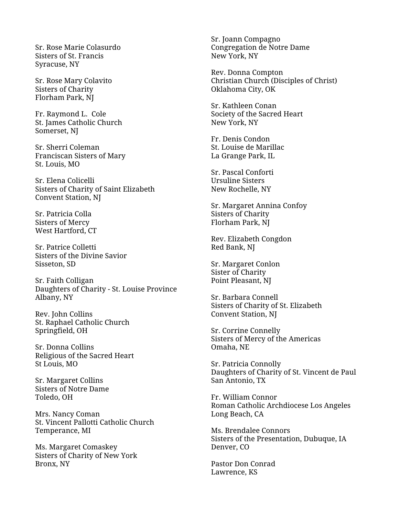Sr. Rose Marie Colasurdo Sisters of St. Francis Syracuse, NY

Sr. Rose Mary Colavito Sisters of Charity Florham Park, NJ

Fr. Raymond L. Cole St. James Catholic Church Somerset, NJ

Sr. Sherri Coleman Franciscan Sisters of Mary St. Louis, MO

Sr. Elena Colicelli Sisters of Charity of Saint Elizabeth Convent Station, NJ

Sr. Patricia Colla Sisters of Mercy West Hartford, CT

Sr. Patrice Colletti Sisters of the Divine Savior Sisseton, SD

Sr. Faith Colligan Daughters of Charity - St. Louise Province Albany, NY

Rev. John Collins St. Raphael Catholic Church Springfield, OH

Sr. Donna Collins Religious of the Sacred Heart St Louis, MO

Sr. Margaret Collins Sisters of Notre Dame Toledo, OH

Mrs. Nancy Coman St. Vincent Pallotti Catholic Church Temperance, MI

Ms. Margaret Comaskey Sisters of Charity of New York Bronx, NY

Sr. Joann Compagno Congregation de Notre Dame New York, NY

Rev. Donna Compton Christian Church (Disciples of Christ) Oklahoma City, OK

Sr. Kathleen Conan Society of the Sacred Heart New York, NY

Fr. Denis Condon St. Louise de Marillac La Grange Park, IL

Sr. Pascal Conforti Ursuline Sisters New Rochelle, NY

Sr. Margaret Annina Confoy Sisters of Charity Florham Park, NJ

Rev. Elizabeth Congdon Red Bank, NJ

Sr. Margaret Conlon Sister of Charity Point Pleasant, NJ

Sr. Barbara Connell Sisters of Charity of St. Elizabeth Convent Station, NJ

Sr. Corrine Connelly Sisters of Mercy of the Americas Omaha, NE

Sr. Patricia Connolly Daughters of Charity of St. Vincent de Paul San Antonio, TX

Fr. William Connor Roman Catholic Archdiocese Los Angeles Long Beach, CA

Ms. Brendalee Connors Sisters of the Presentation, Dubuque, IA Denver, CO

Pastor Don Conrad Lawrence, KS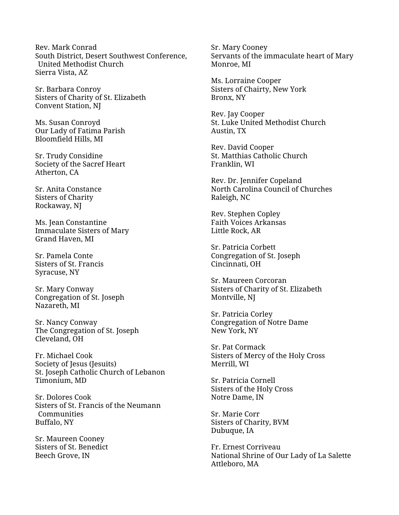Rev. Mark Conrad South District, Desert Southwest Conference, United Methodist Church Sierra Vista, AZ

Sr. Barbara Conroy Sisters of Charity of St. Elizabeth Convent Station, NJ

Ms. Susan Conroyd Our Lady of Fatima Parish Bloomfield Hills, MI

Sr. Trudy Considine Society of the Sacref Heart Atherton, CA

Sr. Anita Constance Sisters of Charity Rockaway, NJ

Ms. Jean Constantine Immaculate Sisters of Mary Grand Haven, MI

Sr. Pamela Conte Sisters of St. Francis Syracuse, NY

Sr. Mary Conway Congregation of St. Joseph Nazareth, MI

Sr. Nancy Conway The Congregation of St. Joseph Cleveland, OH

Fr. Michael Cook Society of Jesus (Jesuits) St. Joseph Catholic Church of Lebanon Timonium, MD

Sr. Dolores Cook Sisters of St. Francis of the Neumann Communities Buffalo, NY

Sr. Maureen Cooney Sisters of St. Benedict Beech Grove, IN

Sr. Mary Cooney Servants of the immaculate heart of Mary Monroe, MI

Ms. Lorraine Cooper Sisters of Chairty, New York Bronx, NY

Rev. Jay Cooper St. Luke United Methodist Church Austin, TX

Rev. David Cooper St. Matthias Catholic Church Franklin, WI

Rev. Dr. Jennifer Copeland North Carolina Council of Churches Raleigh, NC

Rev. Stephen Copley Faith Voices Arkansas Little Rock, AR

Sr. Patricia Corbett Congregation of St. Joseph Cincinnati, OH

Sr. Maureen Corcoran Sisters of Charity of St. Elizabeth Montville, NJ

Sr. Patricia Corley Congregation of Notre Dame New York, NY

Sr. Pat Cormack Sisters of Mercy of the Holy Cross Merrill, WI

Sr. Patricia Cornell Sisters of the Holy Cross Notre Dame, IN

Sr. Marie Corr Sisters of Charity, BVM Dubuque, IA

Fr. Ernest Corriveau National Shrine of Our Lady of La Salette Attleboro, MA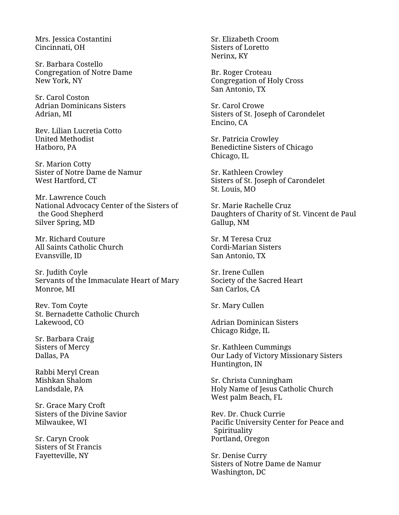Mrs. Jessica Costantini Cincinnati, OH

Sr. Barbara Costello Congregation of Notre Dame New York, NY

Sr. Carol Coston Adrian Dominicans Sisters Adrian, MI

Rev. Lilian Lucretia Cotto United Methodist Hatboro, PA

Sr. Marion Cotty Sister of Notre Dame de Namur West Hartford, CT

Mr. Lawrence Couch National Advocacy Center of the Sisters of the Good Shepherd Silver Spring, MD

Mr. Richard Couture All Saints Catholic Church Evansville, ID

Sr. Judith Coyle Servants of the Immaculate Heart of Mary Monroe, MI

Rev. Tom Coyte St. Bernadette Catholic Church Lakewood, CO

Sr. Barbara Craig Sisters of Mercy Dallas, PA

Rabbi Meryl Crean Mishkan Shalom Landsdale, PA

Sr. Grace Mary Croft Sisters of the Divine Savior Milwaukee, WI

Sr. Caryn Crook Sisters of St Francis Fayetteville, NY

Sr. Elizabeth Croom Sisters of Loretto Nerinx, KY

Br. Roger Croteau Congregation of Holy Cross San Antonio, TX

Sr. Carol Crowe Sisters of St. Joseph of Carondelet Encino, CA

Sr. Patricia Crowley Benedictine Sisters of Chicago Chicago, IL

Sr. Kathleen Crowley Sisters of St. Joseph of Carondelet St. Louis, MO

Sr. Marie Rachelle Cruz Daughters of Charity of St. Vincent de Paul Gallup, NM

Sr. M Teresa Cruz Cordi-Marian Sisters San Antonio, TX

Sr. Irene Cullen Society of the Sacred Heart San Carlos, CA

Sr. Mary Cullen

Adrian Dominican Sisters Chicago Ridge, IL

Sr. Kathleen Cummings Our Lady of Victory Missionary Sisters Huntington, IN

Sr. Christa Cunningham Holy Name of Jesus Catholic Church West palm Beach, FL

Rev. Dr. Chuck Currie Pacific University Center for Peace and Spirituality Portland, Oregon

Sr. Denise Curry Sisters of Notre Dame de Namur Washington, DC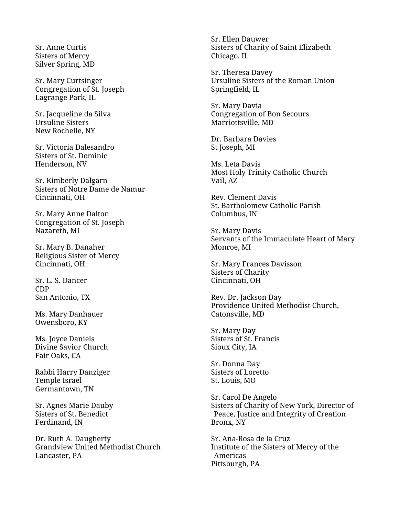Sr. Anne Curtis Sisters of Mercy Silver Spring, MD

Sr. Mary Curtsinger Congregation of St. Joseph Lagrange Park, IL

Sr. Jacqueline da Silva Ursuline Sisters New Rochelle, NY

Sr. Victoria Dalesandro Sisters of St. Dominic Henderson, NV

Sr. Kimberly Dalgarn Sisters of Notre Dame de Namur Cincinnati, OH

Sr. Mary Anne Dalton Congregation of St. Joseph Nazareth, MI

Sr. Mary B. Danaher Religious Sister of Mercy Cincinnati, OH

Sr. L. S. Dancer CDP San Antonio, TX

Ms. Mary Danhauer Owensboro, KY

Ms. Joyce Daniels Divine Savior Church Fair Oaks, CA

Rabbi Harry Danziger Temple Israel Germantown, TN

Sr. Agnes Marie Dauby Sisters of St. Benedict Ferdinand, IN

Dr. Ruth A. Daugherty Grandview United Methodist Church Lancaster, PA

Sr. Ellen Dauwer Sisters of Charity of Saint Elizabeth Chicago, IL

Sr. Theresa Davey Ursuline Sisters of the Roman Union Springfield, IL

Sr. Mary Davia Congregation of Bon Secours Marriottsville, MD

Dr. Barbara Davies St Joseph, MI

Ms. Leta Davis Most Holy Trinity Catholic Church Vail, AZ

Rev. Clement Davis St. Bartholomew Catholic Parish Columbus, IN

Sr. Mary Davis Servants of the Immaculate Heart of Mary Monroe, MI

Sr. Mary Frances Davisson Sisters of Charity Cincinnati, OH

Rev. Dr. Jackson Day Providence United Methodist Church, Catonsville, MD

Sr. Mary Day Sisters of St. Francis Sioux City, IA

Sr. Donna Day Sisters of Loretto St. Louis, MO

Sr. Carol De Angelo Sisters of Charity of New York, Director of Peace, Justice and Integrity of Creation Bronx, NY

Sr. Ana-Rosa de la Cruz Institute of the Sisters of Mercy of the Americas Pittsburgh, PA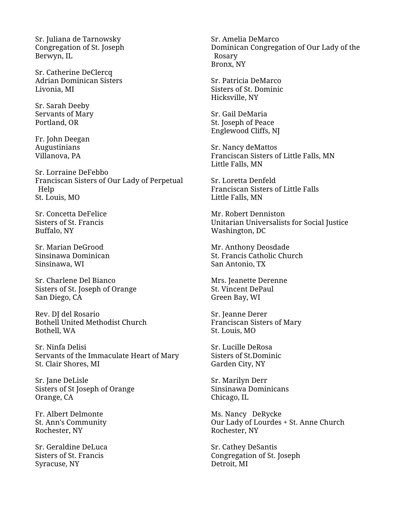Sr. Juliana de Tarnowsky Congregation of St. Joseph Berwyn, IL

Sr. Catherine DeClercq Adrian Dominican Sisters Livonia, MI

Sr. Sarah Deeby Servants of Mary Portland, OR

Fr. John Deegan Augustinians Villanova, PA

Sr. Lorraine DeFebbo Franciscan Sisters of Our Lady of Perpetual Help St. Louis, MO

Sr. Concetta DeFelice Sisters of St. Francis Buffalo, NY

Sr. Marian DeGrood Sinsinawa Dominican Sinsinawa, WI

Sr. Charlene Del Bianco Sisters of St. Joseph of Orange San Diego, CA

Rev. DJ del Rosario Bothell United Methodist Church Bothell, WA

Sr. Ninfa Delisi Servants of the Immaculate Heart of Mary St. Clair Shores, MI

Sr. Jane DeLisle Sisters of St Joseph of Orange Orange, CA

Fr. Albert Delmonte St. Ann's Community Rochester, NY

Sr. Geraldine DeLuca Sisters of St. Francis Syracuse, NY

Sr. Amelia DeMarco Dominican Congregation of Our Lady of the Rosary Bronx, NY

Sr. Patricia DeMarco Sisters of St. Dominic Hicksville, NY

Sr. Gail DeMaria St. Joseph of Peace Englewood Cliffs, NJ

Sr. Nancy deMattos Franciscan Sisters of Little Falls, MN Little Falls, MN

Sr. Loretta Denfeld Franciscan Sisters of Little Falls Little Falls, MN

Mr. Robert Denniston Unitarian Universalists for Social Justice Washington, DC

Mr. Anthony Deosdade St. Francis Catholic Church San Antonio, TX

Mrs. Jeanette Derenne St. Vincent DePaul Green Bay, WI

Sr. Jeanne Derer Franciscan Sisters of Mary St. Louis, MO

Sr. Lucille DeRosa Sisters of St.Dominic Garden City, NY

Sr. Marilyn Derr Sinsinawa Dominicans Chicago, IL

Ms. Nancy DeRycke Our Lady of Lourdes + St. Anne Church Rochester, NY

Sr. Cathey DeSantis Congregation of St. Joseph Detroit, MI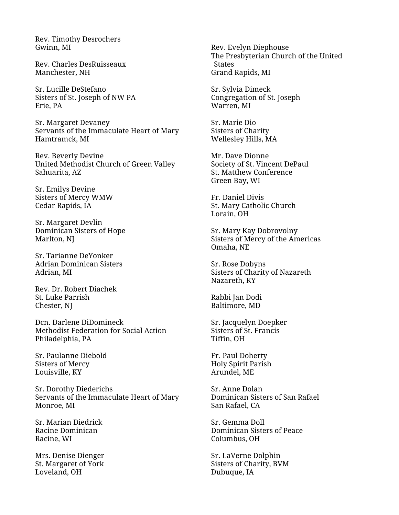Rev. Timothy Desrochers Gwinn, MI

Rev. Charles DesRuisseaux Manchester, NH

Sr. Lucille DeStefano Sisters of St. Joseph of NW PA Erie, PA

Sr. Margaret Devaney Servants of the Immaculate Heart of Mary Hamtramck, MI

Rev. Beverly Devine United Methodist Church of Green Valley Sahuarita, AZ

Sr. Emilys Devine Sisters of Mercy WMW Cedar Rapids, IA

Sr. Margaret Devlin Dominican Sisters of Hope Marlton, NJ

Sr. Tarianne DeYonker Adrian Dominican Sisters Adrian, MI

Rev. Dr. Robert Diachek St. Luke Parrish Chester, NJ

Dcn. Darlene DiDomineck Methodist Federation for Social Action Philadelphia, PA

Sr. Paulanne Diebold Sisters of Mercy Louisville, KY

Sr. Dorothy Diederichs Servants of the Immaculate Heart of Mary Monroe, MI

Sr. Marian Diedrick Racine Dominican Racine, WI

Mrs. Denise Dienger St. Margaret of York Loveland, OH

Rev. Evelyn Diephouse The Presbyterian Church of the United States Grand Rapids, MI

Sr. Sylvia Dimeck Congregation of St. Joseph Warren, MI

Sr. Marie Dio Sisters of Charity Wellesley Hills, MA

Mr. Dave Dionne Society of St. Vincent DePaul St. Matthew Conference Green Bay, WI

Fr. Daniel Divis St. Mary Catholic Church Lorain, OH

Sr. Mary Kay Dobrovolny Sisters of Mercy of the Americas Omaha, NE

Sr. Rose Dobyns Sisters of Charity of Nazareth Nazareth, KY

Rabbi Jan Dodi Baltimore, MD

Sr. Jacquelyn Doepker Sisters of St. Francis Tiffin, OH

Fr. Paul Doherty Holy Spirit Parish Arundel, ME

Sr. Anne Dolan Dominican Sisters of San Rafael San Rafael, CA

Sr. Gemma Doll Dominican Sisters of Peace Columbus, OH

Sr. LaVerne Dolphin Sisters of Charity, BVM Dubuque, IA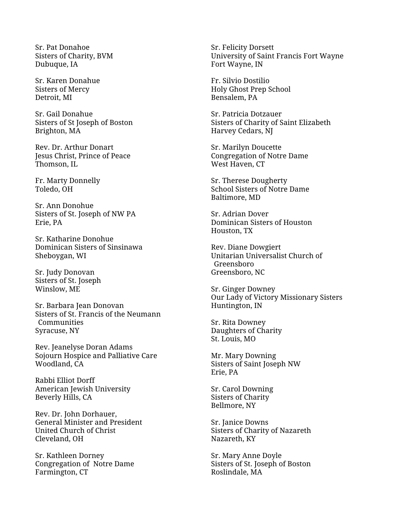Sr. Pat Donahoe Sisters of Charity, BVM Dubuque, IA

Sr. Karen Donahue Sisters of Mercy Detroit, MI

Sr. Gail Donahue Sisters of St Joseph of Boston Brighton, MA

Rev. Dr. Arthur Donart Jesus Christ, Prince of Peace Thomson, IL

Fr. Marty Donnelly Toledo, OH

Sr. Ann Donohue Sisters of St. Joseph of NW PA Erie, PA

Sr. Katharine Donohue Dominican Sisters of Sinsinawa Sheboygan, WI

Sr. Judy Donovan Sisters of St. Joseph Winslow, ME

Sr. Barbara Jean Donovan Sisters of St. Francis of the Neumann Communities Syracuse, NY

Rev. Jeanelyse Doran Adams Sojourn Hospice and Palliative Care Woodland, CA

Rabbi Elliot Dorff American Jewish University Beverly Hills, CA

Rev. Dr. John Dorhauer, General Minister and President United Church of Christ Cleveland, OH

Sr. Kathleen Dorney Congregation of Notre Dame Farmington, CT

Sr. Felicity Dorsett University of Saint Francis Fort Wayne Fort Wayne, IN

Fr. Silvio Dostilio Holy Ghost Prep School Bensalem, PA

Sr. Patricia Dotzauer Sisters of Charity of Saint Elizabeth Harvey Cedars, NJ

Sr. Marilyn Doucette Congregation of Notre Dame West Haven, CT

Sr. Therese Dougherty School Sisters of Notre Dame Baltimore, MD

Sr. Adrian Dover Dominican Sisters of Houston Houston, TX

Rev. Diane Dowgiert Unitarian Universalist Church of Greensboro Greensboro, NC

Sr. Ginger Downey Our Lady of Victory Missionary Sisters Huntington, IN

Sr. Rita Downey Daughters of Charity St. Louis, MO

Mr. Mary Downing Sisters of Saint Joseph NW Erie, PA

Sr. Carol Downing Sisters of Charity Bellmore, NY

Sr. Janice Downs Sisters of Charity of Nazareth Nazareth, KY

Sr. Mary Anne Doyle Sisters of St. Joseph of Boston Roslindale, MA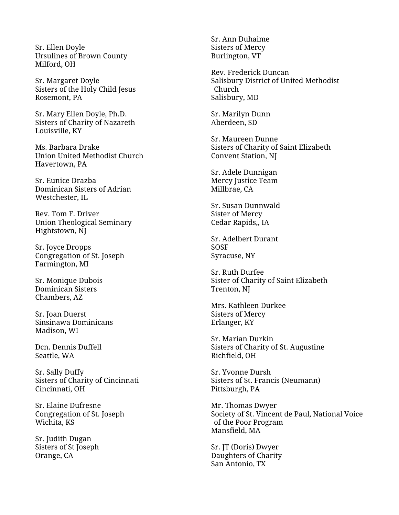Sr. Ellen Doyle Ursulines of Brown County Milford, OH

Sr. Margaret Doyle Sisters of the Holy Child Jesus Rosemont, PA

Sr. Mary Ellen Doyle, Ph.D. Sisters of Charity of Nazareth Louisville, KY

Ms. Barbara Drake Union United Methodist Church Havertown, PA

Sr. Eunice Drazba Dominican Sisters of Adrian Westchester, IL

Rev. Tom F. Driver Union Theological Seminary Hightstown, NJ

Sr. Joyce Dropps Congregation of St. Joseph Farmington, MI

Sr. Monique Dubois Dominican Sisters Chambers, AZ

Sr. Joan Duerst Sinsinawa Dominicans Madison, WI

Dcn. Dennis Duffell Seattle, WA

Sr. Sally Duffy Sisters of Charity of Cincinnati Cincinnati, OH

Sr. Elaine Dufresne Congregation of St. Joseph Wichita, KS

Sr. Judith Dugan Sisters of St Joseph Orange, CA

Sr. Ann Duhaime Sisters of Mercy Burlington, VT

Rev. Frederick Duncan Salisbury District of United Methodist Church Salisbury, MD

Sr. Marilyn Dunn Aberdeen, SD

Sr. Maureen Dunne Sisters of Charity of Saint Elizabeth Convent Station, NJ

Sr. Adele Dunnigan Mercy Justice Team Millbrae, CA

Sr. Susan Dunnwald Sister of Mercy Cedar Rapids,, IA

Sr. Adelbert Durant SOSF Syracuse, NY

Sr. Ruth Durfee Sister of Charity of Saint Elizabeth Trenton, NJ

Mrs. Kathleen Durkee Sisters of Mercy Erlanger, KY

Sr. Marian Durkin Sisters of Charity of St. Augustine Richfield, OH

Sr. Yvonne Dursh Sisters of St. Francis (Neumann) Pittsburgh, PA

Mr. Thomas Dwyer Society of St. Vincent de Paul, National Voice of the Poor Program Mansfield, MA

Sr. JT (Doris) Dwyer Daughters of Charity San Antonio, TX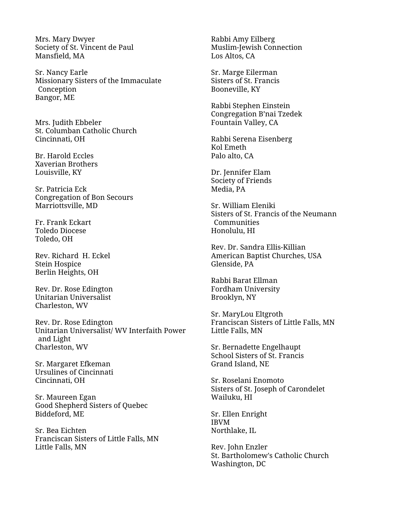Mrs. Mary Dwyer Society of St. Vincent de Paul Mansfield, MA

Sr. Nancy Earle Missionary Sisters of the Immaculate Conception Bangor, ME

Mrs. Judith Ebbeler St. Columban Catholic Church Cincinnati, OH

Br. Harold Eccles Xaverian Brothers Louisville, KY

Sr. Patricia Eck Congregation of Bon Secours Marriottsville, MD

Fr. Frank Eckart Toledo Diocese Toledo, OH

Rev. Richard H. Eckel Stein Hospice Berlin Heights, OH

Rev. Dr. Rose Edington Unitarian Universalist Charleston, WV

Rev. Dr. Rose Edington Unitarian Universalist/ WV Interfaith Power and Light Charleston, WV

Sr. Margaret Efkeman Ursulines of Cincinnati Cincinnati, OH

Sr. Maureen Egan Good Shepherd Sisters of Quebec Biddeford, ME

Sr. Bea Eichten Franciscan Sisters of Little Falls, MN Little Falls, MN

Rabbi Amy Eilberg Muslim-Jewish Connection Los Altos, CA

Sr. Marge Eilerman Sisters of St. Francis Booneville, KY

Rabbi Stephen Einstein Congregation B'nai Tzedek Fountain Valley, CA

Rabbi Serena Eisenberg Kol Emeth Palo alto, CA

Dr. Jennifer Elam Society of Friends Media, PA

Sr. William Eleniki Sisters of St. Francis of the Neumann Communities Honolulu, HI

Rev. Dr. Sandra Ellis-Killian American Baptist Churches, USA Glenside, PA

Rabbi Barat Ellman Fordham University Brooklyn, NY

Sr. MaryLou Eltgroth Franciscan Sisters of Little Falls, MN Little Falls, MN

Sr. Bernadette Engelhaupt School Sisters of St. Francis Grand Island, NE

Sr. Roselani Enomoto Sisters of St. Joseph of Carondelet Wailuku, HI

Sr. Ellen Enright IBVM Northlake, IL

Rev. John Enzler St. Bartholomew's Catholic Church Washington, DC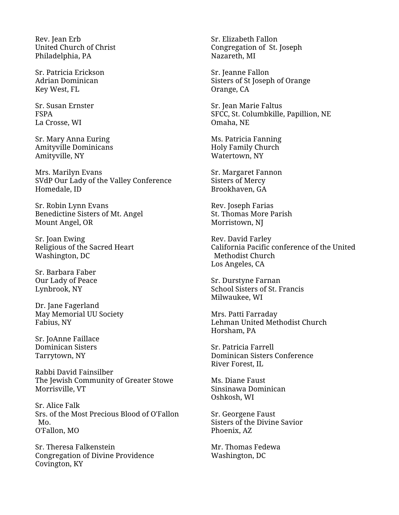Rev. Jean Erb United Church of Christ Philadelphia, PA

Sr. Patricia Erickson Adrian Dominican Key West, FL

Sr. Susan Ernster FSPA La Crosse, WI

Sr. Mary Anna Euring Amityville Dominicans Amityville, NY

Mrs. Marilyn Evans SVdP Our Lady of the Valley Conference Homedale, ID

Sr. Robin Lynn Evans Benedictine Sisters of Mt. Angel Mount Angel, OR

Sr. Joan Ewing Religious of the Sacred Heart Washington, DC

Sr. Barbara Faber Our Lady of Peace Lynbrook, NY

Dr. Jane Fagerland May Memorial UU Society Fabius, NY

Sr. JoAnne Faillace Dominican Sisters Tarrytown, NY

Rabbi David Fainsilber The Jewish Community of Greater Stowe Morrisville, VT

Sr. Alice Falk Srs. of the Most Precious Blood of O'Fallon Mo. O'Fallon, MO

Sr. Theresa Falkenstein Congregation of Divine Providence Covington, KY

Sr. Elizabeth Fallon Congregation of St. Joseph Nazareth, MI

Sr. Jeanne Fallon Sisters of St Joseph of Orange Orange, CA

Sr. Jean Marie Faltus SFCC, St. Columbkille, Papillion, NE Omaha, NE

Ms. Patricia Fanning Holy Family Church Watertown, NY

Sr. Margaret Fannon Sisters of Mercy Brookhaven, GA

Rev. Joseph Farias St. Thomas More Parish Morristown, NJ

Rev. David Farley California Pacific conference of the United Methodist Church Los Angeles, CA

Sr. Durstyne Farnan School Sisters of St. Francis Milwaukee, WI

Mrs. Patti Farraday Lehman United Methodist Church Horsham, PA

Sr. Patricia Farrell Dominican Sisters Conference River Forest, IL

Ms. Diane Faust Sinsinawa Dominican Oshkosh, WI

Sr. Georgene Faust Sisters of the Divine Savior Phoenix, AZ

Mr. Thomas Fedewa Washington, DC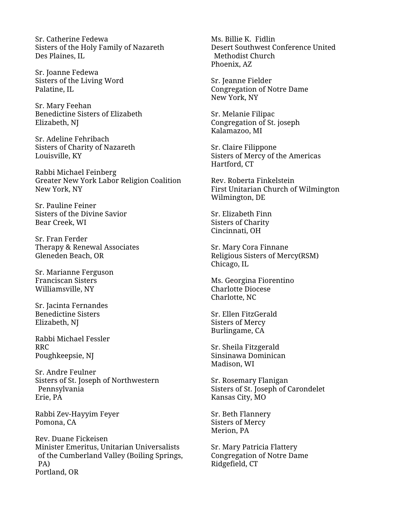Sr. Catherine Fedewa Sisters of the Holy Family of Nazareth Des Plaines, IL

Sr. Joanne Fedewa Sisters of the Living Word Palatine, IL

Sr. Mary Feehan Benedictine Sisters of Elizabeth Elizabeth, NJ

Sr. Adeline Fehribach Sisters of Charity of Nazareth Louisville, KY

Rabbi Michael Feinberg Greater New York Labor Religion Coalition New York, NY

Sr. Pauline Feiner Sisters of the Divine Savior Bear Creek, WI

Sr. Fran Ferder Therapy & Renewal Associates Gleneden Beach, OR

Sr. Marianne Ferguson Franciscan Sisters Williamsville, NY

Sr. Jacinta Fernandes Benedictine Sisters Elizabeth, NJ

Rabbi Michael Fessler RRC Poughkeepsie, NJ

Sr. Andre Feulner Sisters of St. Joseph of Northwestern Pennsylvania Erie, PA

Rabbi Zev-Hayyim Feyer Pomona, CA

Rev. Duane Fickeisen Minister Emeritus, Unitarian Universalists of the Cumberland Valley (Boiling Springs, PA) Portland, OR

Ms. Billie K. Fidlin Desert Southwest Conference United Methodist Church Phoenix, AZ

Sr. Jeanne Fielder Congregation of Notre Dame New York, NY

Sr. Melanie Filipac Congregation of St. joseph Kalamazoo, MI

Sr. Claire Filippone Sisters of Mercy of the Americas Hartford, CT

Rev. Roberta Finkelstein First Unitarian Church of Wilmington Wilmington, DE

Sr. Elizabeth Finn Sisters of Charity Cincinnati, OH

Sr. Mary Cora Finnane Religious Sisters of Mercy(RSM) Chicago, IL

Ms. Georgina Fiorentino Charlotte Diocese Charlotte, NC

Sr. Ellen FitzGerald Sisters of Mercy Burlingame, CA

Sr. Sheila Fitzgerald Sinsinawa Dominican Madison, WI

Sr. Rosemary Flanigan Sisters of St. Joseph of Carondelet Kansas City, MO

Sr. Beth Flannery Sisters of Mercy Merion, PA

Sr. Mary Patricia Flattery Congregation of Notre Dame Ridgefield, CT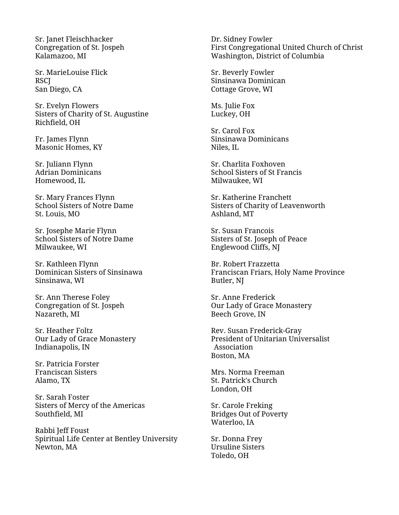Sr. Janet Fleischhacker Congregation of St. Jospeh Kalamazoo, MI

Sr. MarieLouise Flick **RSCI** San Diego, CA

Sr. Evelyn Flowers Sisters of Charity of St. Augustine Richfield, OH

Fr. James Flynn Masonic Homes, KY

Sr. Juliann Flynn Adrian Dominicans Homewood, IL

Sr. Mary Frances Flynn School Sisters of Notre Dame St. Louis, MO

Sr. Josephe Marie Flynn School Sisters of Notre Dame Milwaukee, WI

Sr. Kathleen Flynn Dominican Sisters of Sinsinawa Sinsinawa, WI

Sr. Ann Therese Foley Congregation of St. Jospeh Nazareth, MI

Sr. Heather Foltz Our Lady of Grace Monastery Indianapolis, IN

Sr. Patricia Forster Franciscan Sisters Alamo, TX

Sr. Sarah Foster Sisters of Mercy of the Americas Southfield, MI

Rabbi Jeff Foust Spiritual Life Center at Bentley University Newton, MA

Dr. Sidney Fowler First Congregational United Church of Christ Washington, District of Columbia

Sr. Beverly Fowler Sinsinawa Dominican Cottage Grove, WI

Ms. Julie Fox Luckey, OH

Sr. Carol Fox Sinsinawa Dominicans Niles, IL

Sr. Charlita Foxhoven School Sisters of St Francis Milwaukee, WI

Sr. Katherine Franchett Sisters of Charity of Leavenworth Ashland, MT

Sr. Susan Francois Sisters of St. Joseph of Peace Englewood Cliffs, NJ

Br. Robert Frazzetta Franciscan Friars, Holy Name Province Butler, NJ

Sr. Anne Frederick Our Lady of Grace Monastery Beech Grove, IN

Rev. Susan Frederick-Gray President of Unitarian Universalist Association Boston, MA

Mrs. Norma Freeman St. Patrick's Church London, OH

Sr. Carole Freking Bridges Out of Poverty Waterloo, IA

Sr. Donna Frey Ursuline Sisters Toledo, OH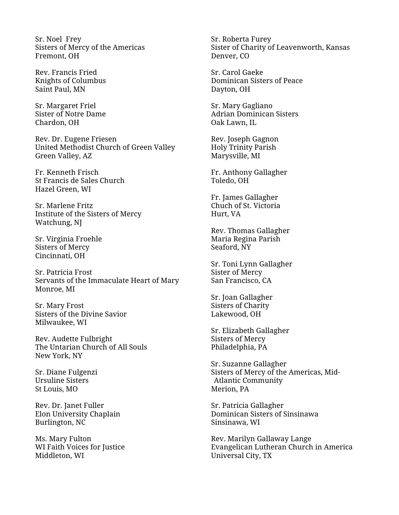Sr. Noel Frey Sisters of Mercy of the Americas Fremont, OH

Rev. Francis Fried Knights of Columbus Saint Paul, MN

Sr. Margaret Friel Sister of Notre Dame Chardon, OH

Rev. Dr. Eugene Friesen United Methodist Church of Green Valley Green Valley, AZ

Fr. Kenneth Frisch St Francis de Sales Church Hazel Green, WI

Sr. Marlene Fritz Institute of the Sisters of Mercy Watchung, NJ

Sr. Virginia Froehle Sisters of Mercy Cincinnati, OH

Sr. Patricia Frost Servants of the Immaculate Heart of Mary Monroe, MI

Sr. Mary Frost Sisters of the Divine Savior Milwaukee, WI

Rev. Audette Fulbright The Untarian Church of All Souls New York, NY

Sr. Diane Fulgenzi Ursuline Sisters St Louis, MO

Rev. Dr. Janet Fuller Elon University Chaplain Burlington, NC

Ms. Mary Fulton WI Faith Voices for Justice Middleton, WI

Sr. Roberta Furey Sister of Charity of Leavenworth, Kansas Denver, CO

Sr. Carol Gaeke Dominican Sisters of Peace Dayton, OH

Sr. Mary Gagliano Adrian Dominican Sisters Oak Lawn, IL

Rev. Joseph Gagnon Holy Trinity Parish Marysville, MI

Fr. Anthony Gallagher Toledo, OH

Fr. James Gallagher Chuch of St. Victoria Hurt, VA

Rev. Thomas Gallagher Maria Regina Parish Seaford, NY

Sr. Toni Lynn Gallagher Sister of Mercy San Francisco, CA

Sr. Joan Gallagher Sisters of Charity Lakewood, OH

Sr. Elizabeth Gallagher Sisters of Mercy Philadelphia, PA

Sr. Suzanne Gallagher Sisters of Mercy of the Americas, Mid-Atlantic Community Merion, PA

Sr. Patricia Gallagher Dominican Sisters of Sinsinawa Sinsinawa, WI

Rev. Marilyn Gallaway Lange Evangelican Lutheran Church in America Universal City, TX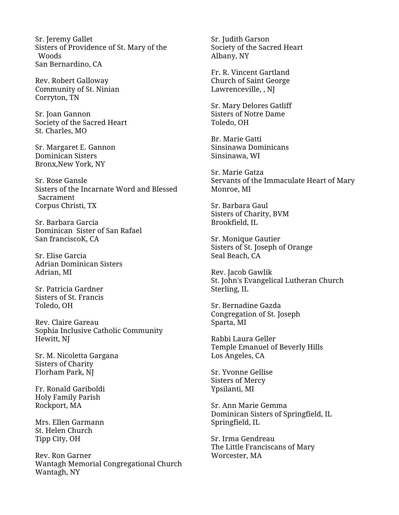Sr. Jeremy Gallet Sisters of Providence of St. Mary of the Woods San Bernardino, CA

Rev. Robert Galloway Community of St. Ninian Corryton, TN

Sr. Joan Gannon Society of the Sacred Heart St. Charles, MO

Sr. Margaret E. Gannon Dominican Sisters Bronx,New York, NY

Sr. Rose Gansle Sisters of the Incarnate Word and Blessed Sacrament Corpus Christi, TX

Sr. Barbara Garcia Dominican Sister of San Rafael San franciscoK, CA

Sr. Elise Garcia Adrian Dominican Sisters Adrian, MI

Sr. Patricia Gardner Sisters of St. Francis Toledo, OH

Rev. Claire Gareau Sophia Inclusive Catholic Community Hewitt, NJ

Sr. M. Nicoletta Gargana Sisters of Charity Florham Park, NJ

Fr. Ronald Gariboldi Holy Family Parish Rockport, MA

Mrs. Ellen Garmann St. Helen Church Tipp City, OH

Rev. Ron Garner Wantagh Memorial Congregational Church Wantagh, NY

Sr. Judith Garson Society of the Sacred Heart Albany, NY

Fr. R. Vincent Gartland Church of Saint George Lawrenceville, , NJ

Sr. Mary Delores Gatliff Sisters of Notre Dame Toledo, OH

Br. Marie Gatti Sinsinawa Dominicans Sinsinawa, WI

Sr. Marie Gatza Servants of the Immaculate Heart of Mary Monroe, MI

Sr. Barbara Gaul Sisters of Charity, BVM Brookfield, IL

Sr. Monique Gautier Sisters of St. Joseph of Orange Seal Beach, CA

Rev. Jacob Gawlik St. John's Evangelical Lutheran Church Sterling, IL

Sr. Bernadine Gazda Congregation of St. Joseph Sparta, MI

Rabbi Laura Geller Temple Emanuel of Beverly Hills Los Angeles, CA

Sr. Yvonne Gellise Sisters of Mercy Ypsilanti, MI

Sr. Ann Marie Gemma Dominican Sisters of Springfield, IL Springfield, IL

Sr. Irma Gendreau The Little Franciscans of Mary Worcester, MA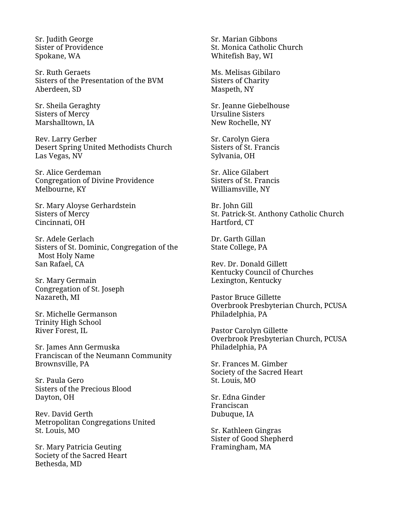Sr. Judith George Sister of Providence Spokane, WA

Sr. Ruth Geraets Sisters of the Presentation of the BVM Aberdeen, SD

Sr. Sheila Geraghty Sisters of Mercy Marshalltown, IA

Rev. Larry Gerber Desert Spring United Methodists Church Las Vegas, NV

Sr. Alice Gerdeman Congregation of Divine Providence Melbourne, KY

Sr. Mary Aloyse Gerhardstein Sisters of Mercy Cincinnati, OH

Sr. Adele Gerlach Sisters of St. Dominic, Congregation of the Most Holy Name San Rafael, CA

Sr. Mary Germain Congregation of St. Joseph Nazareth, MI

Sr. Michelle Germanson Trinity High School River Forest, IL

Sr. James Ann Germuska Franciscan of the Neumann Community Brownsville, PA

Sr. Paula Gero Sisters of the Precious Blood Dayton, OH

Rev. David Gerth Metropolitan Congregations United St. Louis, MO

Sr. Mary Patricia Geuting Society of the Sacred Heart Bethesda, MD

Sr. Marian Gibbons St. Monica Catholic Church Whitefish Bay, WI

Ms. Melisas Gibilaro Sisters of Charity Maspeth, NY

Sr. Jeanne Giebelhouse Ursuline Sisters New Rochelle, NY

Sr. Carolyn Giera Sisters of St. Francis Sylvania, OH

Sr. Alice Gilabert Sisters of St. Francis Williamsville, NY

Br. John Gill St. Patrick-St. Anthony Catholic Church Hartford, CT

Dr. Garth Gillan State College, PA

Rev. Dr. Donald Gillett Kentucky Council of Churches Lexington, Kentucky

Pastor Bruce Gillette Overbrook Presbyterian Church, PCUSA Philadelphia, PA

Pastor Carolyn Gillette Overbrook Presbyterian Church, PCUSA Philadelphia, PA

Sr. Frances M. Gimber Society of the Sacred Heart St. Louis, MO

Sr. Edna Ginder Franciscan Dubuque, IA

Sr. Kathleen Gingras Sister of Good Shepherd Framingham, MA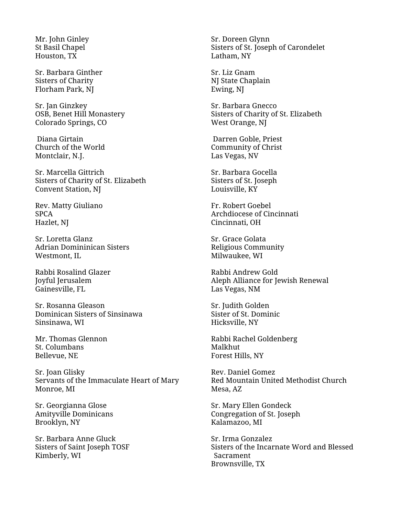Mr. John Ginley St Basil Chapel Houston, TX

Sr. Barbara Ginther Sisters of Charity Florham Park, NJ

Sr. Jan Ginzkey OSB, Benet Hill Monastery Colorado Springs, CO

Diana Girtain Church of the World Montclair, N.J.

Sr. Marcella Gittrich Sisters of Charity of St. Elizabeth Convent Station, NJ

Rev. Matty Giuliano SPCA Hazlet, NJ

Sr. Loretta Glanz Adrian Domininican Sisters Westmont, IL

Rabbi Rosalind Glazer Joyful Jerusalem Gainesville, FL

Sr. Rosanna Gleason Dominican Sisters of Sinsinawa Sinsinawa, WI

Mr. Thomas Glennon St. Columbans Bellevue, NE

Sr. Joan Glisky Servants of the Immaculate Heart of Mary Monroe, MI

Sr. Georgianna Glose Amityville Dominicans Brooklyn, NY

Sr. Barbara Anne Gluck Sisters of Saint Joseph TOSF Kimberly, WI

Sr. Doreen Glynn Sisters of St. Joseph of Carondelet Latham, NY

Sr. Liz Gnam NJ State Chaplain Ewing, NJ

Sr. Barbara Gnecco Sisters of Charity of St. Elizabeth West Orange, NJ

Darren Goble, Priest Community of Christ Las Vegas, NV

Sr. Barbara Gocella Sisters of St. Joseph Louisville, KY

Fr. Robert Goebel Archdiocese of Cincinnati Cincinnati, OH

Sr. Grace Golata Religious Community Milwaukee, WI

Rabbi Andrew Gold Aleph Alliance for Jewish Renewal Las Vegas, NM

Sr. Judith Golden Sister of St. Dominic Hicksville, NY

Rabbi Rachel Goldenberg Malkhut Forest Hills, NY

Rev. Daniel Gomez Red Mountain United Methodist Church Mesa, AZ

Sr. Mary Ellen Gondeck Congregation of St. Joseph Kalamazoo, MI

Sr. Irma Gonzalez Sisters of the Incarnate Word and Blessed Sacrament Brownsville, TX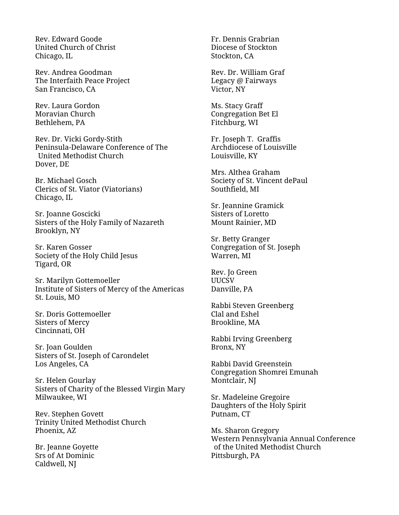Rev. Edward Goode United Church of Christ Chicago, IL

Rev. Andrea Goodman The Interfaith Peace Project San Francisco, CA

Rev. Laura Gordon Moravian Church Bethlehem, PA

Rev. Dr. Vicki Gordy-Stith Peninsula-Delaware Conference of The United Methodist Church Dover, DE

Br. Michael Gosch Clerics of St. Viator (Viatorians) Chicago, IL

Sr. Joanne Goscicki Sisters of the Holy Family of Nazareth Brooklyn, NY

Sr. Karen Gosser Society of the Holy Child Jesus Tigard, OR

Sr. Marilyn Gottemoeller Institute of Sisters of Mercy of the Americas St. Louis, MO

Sr. Doris Gottemoeller Sisters of Mercy Cincinnati, OH

Sr. Joan Goulden Sisters of St. Joseph of Carondelet Los Angeles, CA

Sr. Helen Gourlay Sisters of Charity of the Blessed Virgin Mary Milwaukee, WI

Rev. Stephen Govett Trinity United Methodist Church Phoenix, AZ

Br. Jeanne Goyette Srs of At Dominic Caldwell, NJ

Fr. Dennis Grabrian Diocese of Stockton Stockton, CA

Rev. Dr. William Graf Legacy @ Fairways Victor, NY

Ms. Stacy Graff Congregation Bet El Fitchburg, WI

Fr. Joseph T. Graffis Archdiocese of Louisville Louisville, KY

Mrs. Althea Graham Society of St. Vincent dePaul Southfield, MI

Sr. Jeannine Gramick Sisters of Loretto Mount Rainier, MD

Sr. Betty Granger Congregation of St. Joseph Warren, MI

Rev. Jo Green UUCSV Danville, PA

Rabbi Steven Greenberg Clal and Eshel Brookline, MA

Rabbi Irving Greenberg Bronx, NY

Rabbi David Greenstein Congregation Shomrei Emunah Montclair, NJ

Sr. Madeleine Gregoire Daughters of the Holy Spirit Putnam, CT

Ms. Sharon Gregory Western Pennsylvania Annual Conference of the United Methodist Church Pittsburgh, PA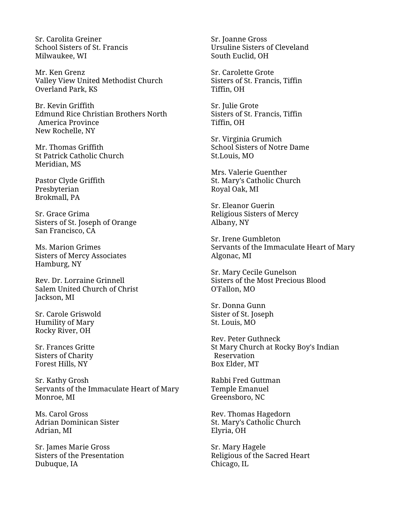Sr. Carolita Greiner School Sisters of St. Francis Milwaukee, WI

Mr. Ken Grenz Valley View United Methodist Church Overland Park, KS

Br. Kevin Griffith Edmund Rice Christian Brothers North America Province New Rochelle, NY

Mr. Thomas Griffith St Patrick Catholic Church Meridian, MS

Pastor Clyde Griffith Presbyterian Brokmall, PA

Sr. Grace Grima Sisters of St. Joseph of Orange San Francisco, CA

Ms. Marion Grimes Sisters of Mercy Associates Hamburg, NY

Rev. Dr. Lorraine Grinnell Salem United Church of Christ Jackson, MI

Sr. Carole Griswold Humility of Mary Rocky River, OH

Sr. Frances Gritte Sisters of Charity Forest Hills, NY

Sr. Kathy Grosh Servants of the Immaculate Heart of Mary Monroe, MI

Ms. Carol Gross Adrian Dominican Sister Adrian, MI

Sr. James Marie Gross Sisters of the Presentation Dubuque, IA

Sr. Joanne Gross Ursuline Sisters of Cleveland South Euclid, OH

Sr. Carolette Grote Sisters of St. Francis, Tiffin Tiffin, OH

Sr. Julie Grote Sisters of St. Francis, Tiffin Tiffin, OH

Sr. Virginia Grumich School Sisters of Notre Dame St.Louis, MO

Mrs. Valerie Guenther St. Mary's Catholic Church Royal Oak, MI

Sr. Eleanor Guerin Religious Sisters of Mercy Albany, NY

Sr. Irene Gumbleton Servants of the Immaculate Heart of Mary Algonac, MI

Sr. Mary Cecile Gunelson Sisters of the Most Precious Blood O'Fallon, MO

Sr. Donna Gunn Sister of St. Joseph St. Louis, MO

Rev. Peter Guthneck St Mary Church at Rocky Boy's Indian Reservation Box Elder, MT

Rabbi Fred Guttman Temple Emanuel Greensboro, NC

Rev. Thomas Hagedorn St. Mary's Catholic Church Elyria, OH

Sr. Mary Hagele Religious of the Sacred Heart Chicago, IL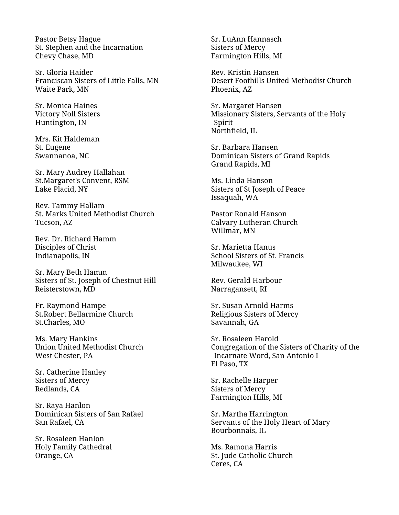Pastor Betsy Hague St. Stephen and the Incarnation Chevy Chase, MD

Sr. Gloria Haider Franciscan Sisters of Little Falls, MN Waite Park, MN

Sr. Monica Haines Victory Noll Sisters Huntington, IN

Mrs. Kit Haldeman St. Eugene Swannanoa, NC

Sr. Mary Audrey Hallahan St.Margaret's Convent, RSM Lake Placid, NY

Rev. Tammy Hallam St. Marks United Methodist Church Tucson, AZ

Rev. Dr. Richard Hamm Disciples of Christ Indianapolis, IN

Sr. Mary Beth Hamm Sisters of St. Joseph of Chestnut Hill Reisterstown, MD

Fr. Raymond Hampe St.Robert Bellarmine Church St.Charles, MO

Ms. Mary Hankins Union United Methodist Church West Chester, PA

Sr. Catherine Hanley Sisters of Mercy Redlands, CA

Sr. Raya Hanlon Dominican Sisters of San Rafael San Rafael, CA

Sr. Rosaleen Hanlon Holy Family Cathedral Orange, CA

Sr. LuAnn Hannasch Sisters of Mercy Farmington Hills, MI

Rev. Kristin Hansen Desert Foothills United Methodist Church Phoenix, AZ

Sr. Margaret Hansen Missionary Sisters, Servants of the Holy Spirit Northfield, IL

Sr. Barbara Hansen Dominican Sisters of Grand Rapids Grand Rapids, MI

Ms. Linda Hanson Sisters of St Joseph of Peace Issaquah, WA

Pastor Ronald Hanson Calvary Lutheran Church Willmar, MN

Sr. Marietta Hanus School Sisters of St. Francis Milwaukee, WI

Rev. Gerald Harbour Narragansett, RI

Sr. Susan Arnold Harms Religious Sisters of Mercy Savannah, GA

Sr. Rosaleen Harold Congregation of the Sisters of Charity of the Incarnate Word, San Antonio I El Paso, TX

Sr. Rachelle Harper Sisters of Mercy Farmington Hills, MI

Sr. Martha Harrington Servants of the Holy Heart of Mary Bourbonnais, IL

Ms. Ramona Harris St. Jude Catholic Church Ceres, CA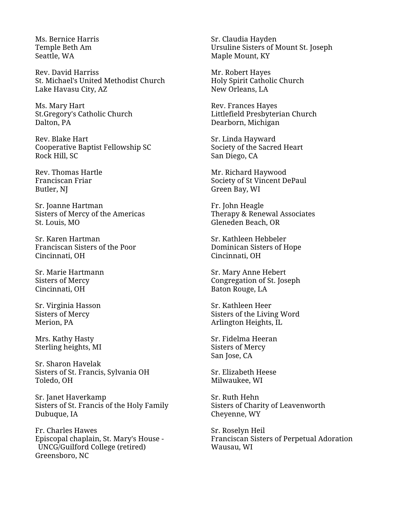Ms. Bernice Harris Temple Beth Am Seattle, WA

Rev. David Harriss St. Michael's United Methodist Church Lake Havasu City, AZ

Ms. Mary Hart St.Gregory's Catholic Church Dalton, PA

Rev. Blake Hart Cooperative Baptist Fellowship SC Rock Hill, SC

Rev. Thomas Hartle Franciscan Friar Butler, NJ

Sr. Joanne Hartman Sisters of Mercy of the Americas St. Louis, MO

Sr. Karen Hartman Franciscan Sisters of the Poor Cincinnati, OH

Sr. Marie Hartmann Sisters of Mercy Cincinnati, OH

Sr. Virginia Hasson Sisters of Mercy Merion, PA

Mrs. Kathy Hasty Sterling heights, MI

Sr. Sharon Havelak Sisters of St. Francis, Sylvania OH Toledo, OH

Sr. Janet Haverkamp Sisters of St. Francis of the Holy Family Dubuque, IA

Fr. Charles Hawes Episcopal chaplain, St. Mary's House - UNCG/Guilford College (retired) Greensboro, NC

Sr. Claudia Hayden Ursuline Sisters of Mount St. Joseph Maple Mount, KY

Mr. Robert Hayes Holy Spirit Catholic Church New Orleans, LA

Rev. Frances Hayes Littlefield Presbyterian Church Dearborn, Michigan

Sr. Linda Hayward Society of the Sacred Heart San Diego, CA

Mr. Richard Haywood Society of St Vincent DePaul Green Bay, WI

Fr. John Heagle Therapy & Renewal Associates Gleneden Beach, OR

Sr. Kathleen Hebbeler Dominican Sisters of Hope Cincinnati, OH

Sr. Mary Anne Hebert Congregation of St. Joseph Baton Rouge, LA

Sr. Kathleen Heer Sisters of the Living Word Arlington Heights, IL

Sr. Fidelma Heeran Sisters of Mercy San Jose, CA

Sr. Elizabeth Heese Milwaukee, WI

Sr. Ruth Hehn Sisters of Charity of Leavenworth Cheyenne, WY

Sr. Roselyn Heil Franciscan Sisters of Perpetual Adoration Wausau, WI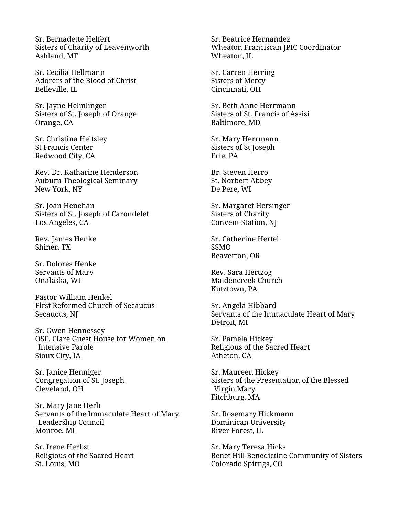Sr. Bernadette Helfert Sisters of Charity of Leavenworth Ashland, MT

Sr. Cecilia Hellmann Adorers of the Blood of Christ Belleville, IL

Sr. Jayne Helmlinger Sisters of St. Joseph of Orange Orange, CA

Sr. Christina Heltsley St Francis Center Redwood City, CA

Rev. Dr. Katharine Henderson Auburn Theological Seminary New York, NY

Sr. Joan Henehan Sisters of St. Joseph of Carondelet Los Angeles, CA

Rev. James Henke Shiner, TX

Sr. Dolores Henke Servants of Mary Onalaska, WI

Pastor William Henkel First Reformed Church of Secaucus Secaucus, NJ

Sr. Gwen Hennessey OSF, Clare Guest House for Women on Intensive Parole Sioux City, IA

Sr. Janice Henniger Congregation of St. Joseph Cleveland, OH

Sr. Mary Jane Herb Servants of the Immaculate Heart of Mary, Leadership Council Monroe, MI

Sr. Irene Herbst Religious of the Sacred Heart St. Louis, MO

Sr. Beatrice Hernandez Wheaton Franciscan JPIC Coordinator Wheaton, IL

Sr. Carren Herring Sisters of Mercy Cincinnati, OH

Sr. Beth Anne Herrmann Sisters of St. Francis of Assisi Baltimore, MD

Sr. Mary Herrmann Sisters of St Joseph Erie, PA

Br. Steven Herro St. Norbert Abbey De Pere, WI

Sr. Margaret Hersinger Sisters of Charity Convent Station, NJ

Sr. Catherine Hertel SSMO Beaverton, OR

Rev. Sara Hertzog Maidencreek Church Kutztown, PA

Sr. Angela Hibbard Servants of the Immaculate Heart of Mary Detroit, MI

Sr. Pamela Hickey Religious of the Sacred Heart Atheton, CA

Sr. Maureen Hickey Sisters of the Presentation of the Blessed Virgin Mary Fitchburg, MA

Sr. Rosemary Hickmann Dominican University River Forest, IL

Sr. Mary Teresa Hicks Benet Hill Benedictine Community of Sisters Colorado Spirngs, CO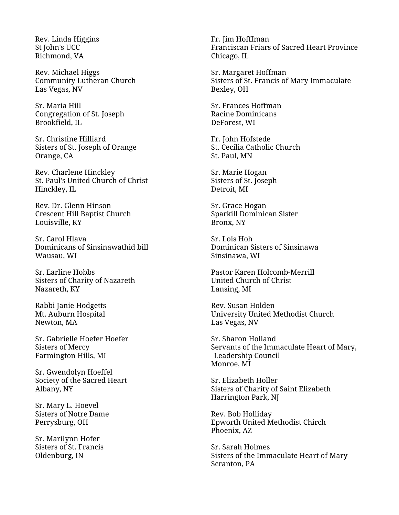Rev. Linda Higgins St John's UCC Richmond, VA

Rev. Michael Higgs Community Lutheran Church Las Vegas, NV

Sr. Maria Hill Congregation of St. Joseph Brookfield, IL

Sr. Christine Hilliard Sisters of St. Joseph of Orange Orange, CA

Rev. Charlene Hinckley St. Paul's United Church of Christ Hinckley, IL

Rev. Dr. Glenn Hinson Crescent Hill Baptist Church Louisville, KY

Sr. Carol Hlava Dominicans of Sinsinawathid bill Wausau, WI

Sr. Earline Hobbs Sisters of Charity of Nazareth Nazareth, KY

Rabbi Janie Hodgetts Mt. Auburn Hospital Newton, MA

Sr. Gabrielle Hoefer Hoefer Sisters of Mercy Farmington Hills, MI

Sr. Gwendolyn Hoeffel Society of the Sacred Heart Albany, NY

Sr. Mary L. Hoevel Sisters of Notre Dame Perrysburg, OH

Sr. Marilynn Hofer Sisters of St. Francis Oldenburg, IN

Fr. Jim Hofffman Franciscan Friars of Sacred Heart Province Chicago, IL

Sr. Margaret Hoffman Sisters of St. Francis of Mary Immaculate Bexley, OH

Sr. Frances Hoffman Racine Dominicans DeForest, WI

Fr. John Hofstede St. Cecilia Catholic Church St. Paul, MN

Sr. Marie Hogan Sisters of St. Joseph Detroit, MI

Sr. Grace Hogan Sparkill Dominican Sister Bronx, NY

Sr. Lois Hoh Dominican Sisters of Sinsinawa Sinsinawa, WI

Pastor Karen Holcomb-Merrill United Church of Christ Lansing, MI

Rev. Susan Holden University United Methodist Church Las Vegas, NV

Sr. Sharon Holland Servants of the Immaculate Heart of Mary, Leadership Council Monroe, MI

Sr. Elizabeth Holler Sisters of Charity of Saint Elizabeth Harrington Park, NJ

Rev. Bob Holliday Epworth United Methodist Chirch Phoenix, AZ

Sr. Sarah Holmes Sisters of the Immaculate Heart of Mary Scranton, PA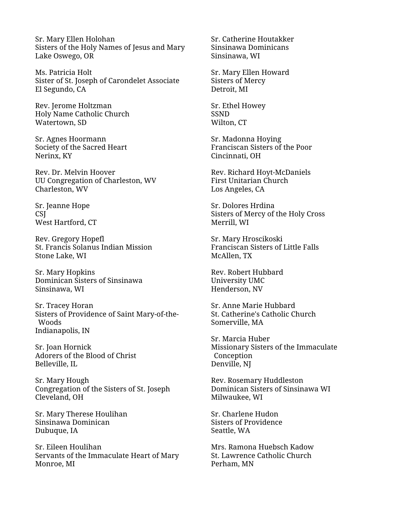Sr. Mary Ellen Holohan Sisters of the Holy Names of Jesus and Mary Lake Oswego, OR

Ms. Patricia Holt Sister of St. Joseph of Carondelet Associate El Segundo, CA

Rev. Jerome Holtzman Holy Name Catholic Church Watertown, SD

Sr. Agnes Hoormann Society of the Sacred Heart Nerinx, KY

Rev. Dr. Melvin Hoover UU Congregation of Charleston, WV Charleston, WV

Sr. Jeanne Hope **CSI** West Hartford, CT

Rev. Gregory Hopefl St. Francis Solanus Indian Mission Stone Lake, WI

Sr. Mary Hopkins Dominican Sisters of Sinsinawa Sinsinawa, WI

Sr. Tracey Horan Sisters of Providence of Saint Mary-of-the-Woods Indianapolis, IN

Sr. Joan Hornick Adorers of the Blood of Christ Belleville, IL

Sr. Mary Hough Congregation of the Sisters of St. Joseph Cleveland, OH

Sr. Mary Therese Houlihan Sinsinawa Dominican Dubuque, IA

Sr. Eileen Houlihan Servants of the Immaculate Heart of Mary Monroe, MI

Sr. Catherine Houtakker Sinsinawa Dominicans Sinsinawa, WI

Sr. Mary Ellen Howard Sisters of Mercy Detroit, MI

Sr. Ethel Howey SSND Wilton, CT

Sr. Madonna Hoying Franciscan Sisters of the Poor Cincinnati, OH

Rev. Richard Hoyt-McDaniels First Unitarian Church Los Angeles, CA

Sr. Dolores Hrdina Sisters of Mercy of the Holy Cross Merrill, WI

Sr. Mary Hroscikoski Franciscan Sisters of Little Falls McAllen, TX

Rev. Robert Hubbard University UMC Henderson, NV

Sr. Anne Marie Hubbard St. Catherine's Catholic Church Somerville, MA

Sr. Marcia Huber Missionary Sisters of the Immaculate **Conception** Denville, NJ

Rev. Rosemary Huddleston Dominican Sisters of Sinsinawa WI Milwaukee, WI

Sr. Charlene Hudon Sisters of Providence Seattle, WA

Mrs. Ramona Huebsch Kadow St. Lawrence Catholic Church Perham, MN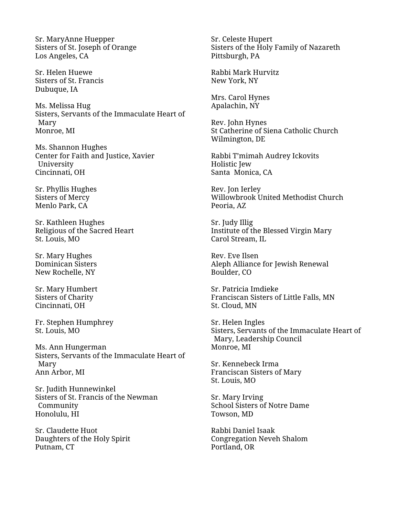Sr. MaryAnne Huepper Sisters of St. Joseph of Orange Los Angeles, CA

Sr. Helen Huewe Sisters of St. Francis Dubuque, IA

Ms. Melissa Hug Sisters, Servants of the Immaculate Heart of Mary Monroe, MI

Ms. Shannon Hughes Center for Faith and Justice, Xavier University Cincinnati, OH

Sr. Phyllis Hughes Sisters of Mercy Menlo Park, CA

Sr. Kathleen Hughes Religious of the Sacred Heart St. Louis, MO

Sr. Mary Hughes Dominican Sisters New Rochelle, NY

Sr. Mary Humbert Sisters of Charity Cincinnati, OH

Fr. Stephen Humphrey St. Louis, MO

Ms. Ann Hungerman Sisters, Servants of the Immaculate Heart of Mary Ann Arbor, MI

Sr. Judith Hunnewinkel Sisters of St. Francis of the Newman Community Honolulu, HI

Sr. Claudette Huot Daughters of the Holy Spirit Putnam, CT

Sr. Celeste Hupert Sisters of the Holy Family of Nazareth Pittsburgh, PA

Rabbi Mark Hurvitz New York, NY

Mrs. Carol Hynes Apalachin, NY

Rev. John Hynes St Catherine of Siena Catholic Church Wilmington, DE

Rabbi T'mimah Audrey Ickovits Holistic Jew Santa Monica, CA

Rev. Jon Ierley Willowbrook United Methodist Church Peoria, AZ

Sr. Judy Illig Institute of the Blessed Virgin Mary Carol Stream, IL

Rev. Eve Ilsen Aleph Alliance for Jewish Renewal Boulder, CO

Sr. Patricia Imdieke Franciscan Sisters of Little Falls, MN St. Cloud, MN

Sr. Helen Ingles Sisters, Servants of the Immaculate Heart of Mary, Leadership Council Monroe, MI

Sr. Kennebeck Irma Franciscan Sisters of Mary St. Louis, MO

Sr. Mary Irving School Sisters of Notre Dame Towson, MD

Rabbi Daniel Isaak Congregation Neveh Shalom Portland, OR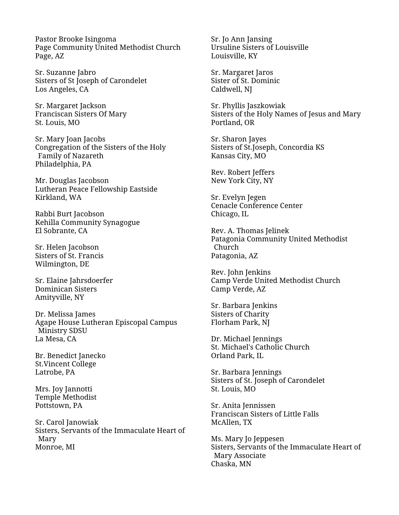Pastor Brooke Isingoma Page Community United Methodist Church Page, AZ

Sr. Suzanne Jabro Sisters of St Joseph of Carondelet Los Angeles, CA

Sr. Margaret Jackson Franciscan Sisters Of Mary St. Louis, MO

Sr. Mary Joan Jacobs Congregation of the Sisters of the Holy Family of Nazareth Philadelphia, PA

Mr. Douglas Jacobson Lutheran Peace Fellowship Eastside Kirkland, WA

Rabbi Burt Jacobson Kehilla Community Synagogue El Sobrante, CA

Sr. Helen Jacobson Sisters of St. Francis Wilmington, DE

Sr. Elaine Jahrsdoerfer Dominican Sisters Amityville, NY

Dr. Melissa James Agape House Lutheran Episcopal Campus Ministry SDSU La Mesa, CA

Br. Benedict Janecko St.Vincent College Latrobe, PA

Mrs. Joy Jannotti Temple Methodist Pottstown, PA

Sr. Carol Janowiak Sisters, Servants of the Immaculate Heart of Mary Monroe, MI

Sr. Jo Ann Jansing Ursuline Sisters of Louisville Louisville, KY

Sr. Margaret Jaros Sister of St. Dominic Caldwell, NJ

Sr. Phyllis Jaszkowiak Sisters of the Holy Names of Jesus and Mary Portland, OR

Sr. Sharon Jayes Sisters of St.Joseph, Concordia KS Kansas City, MO

Rev. Robert Jeffers New York City, NY

Sr. Evelyn Jegen Cenacle Conference Center Chicago, IL

Rev. A. Thomas Jelinek Patagonia Community United Methodist Church Patagonia, AZ

Rev. John Jenkins Camp Verde United Methodist Church Camp Verde, AZ

Sr. Barbara Jenkins Sisters of Charity Florham Park, NJ

Dr. Michael Jennings St. Michael's Catholic Church Orland Park, IL

Sr. Barbara Jennings Sisters of St. Joseph of Carondelet St. Louis, MO

Sr. Anita Jennissen Franciscan Sisters of Little Falls McAllen, TX

Ms. Mary Jo Jeppesen Sisters, Servants of the Immaculate Heart of Mary Associate Chaska, MN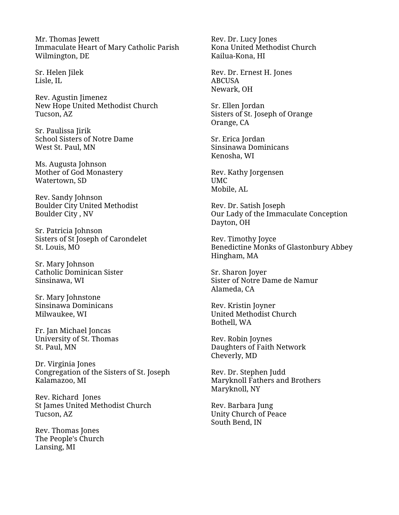Mr. Thomas Jewett Immaculate Heart of Mary Catholic Parish Wilmington, DE

Sr. Helen Jilek Lisle, IL

Rev. Agustin Jimenez New Hope United Methodist Church Tucson, AZ

Sr. Paulissa Jirik School Sisters of Notre Dame West St. Paul, MN

Ms. Augusta Johnson Mother of God Monastery Watertown, SD

Rev. Sandy Johnson Boulder City United Methodist Boulder City , NV

Sr. Patricia Johnson Sisters of St Joseph of Carondelet St. Louis, MO

Sr. Mary Johnson Catholic Dominican Sister Sinsinawa, WI

Sr. Mary Johnstone Sinsinawa Dominicans Milwaukee, WI

Fr. Jan Michael Joncas University of St. Thomas St. Paul, MN

Dr. Virginia Jones Congregation of the Sisters of St. Joseph Kalamazoo, MI

Rev. Richard Jones St James United Methodist Church Tucson, AZ

Rev. Thomas Jones The People's Church Lansing, MI

Rev. Dr. Lucy Jones Kona United Methodist Church Kailua-Kona, HI

Rev. Dr. Ernest H. Jones ABCUSA Newark, OH

Sr. Ellen Jordan Sisters of St. Joseph of Orange Orange, CA

Sr. Erica Jordan Sinsinawa Dominicans Kenosha, WI

Rev. Kathy Jorgensen UMC Mobile, AL

Rev. Dr. Satish Joseph Our Lady of the Immaculate Conception Dayton, OH

Rev. Timothy Joyce Benedictine Monks of Glastonbury Abbey Hingham, MA

Sr. Sharon Joyer Sister of Notre Dame de Namur Alameda, CA

Rev. Kristin Joyner United Methodist Church Bothell, WA

Rev. Robin Joynes Daughters of Faith Network Cheverly, MD

Rev. Dr. Stephen Judd Maryknoll Fathers and Brothers Maryknoll, NY

Rev. Barbara Jung Unity Church of Peace South Bend, IN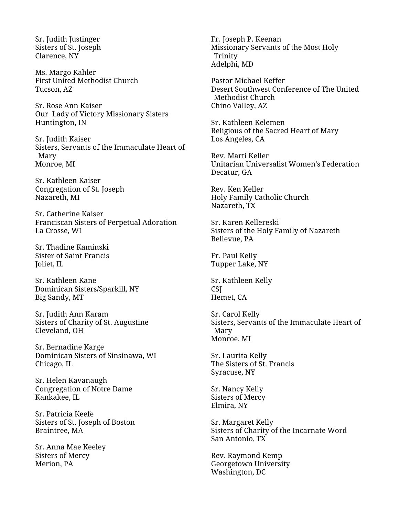Sr. Judith Justinger Sisters of St. Joseph Clarence, NY

Ms. Margo Kahler First United Methodist Church Tucson, AZ

Sr. Rose Ann Kaiser Our Lady of Victory Missionary Sisters Huntington, IN

Sr. Judith Kaiser Sisters, Servants of the Immaculate Heart of Mary Monroe, MI

Sr. Kathleen Kaiser Congregation of St. Joseph Nazareth, MI

Sr. Catherine Kaiser Franciscan Sisters of Perpetual Adoration La Crosse, WI

Sr. Thadine Kaminski Sister of Saint Francis Joliet, IL

Sr. Kathleen Kane Dominican Sisters/Sparkill, NY Big Sandy, MT

Sr. Judith Ann Karam Sisters of Charity of St. Augustine Cleveland, OH

Sr. Bernadine Karge Dominican Sisters of Sinsinawa, WI Chicago, IL

Sr. Helen Kavanaugh Congregation of Notre Dame Kankakee, IL

Sr. Patricia Keefe Sisters of St. Joseph of Boston Braintree, MA

Sr. Anna Mae Keeley Sisters of Mercy Merion, PA

Fr. Joseph P. Keenan Missionary Servants of the Most Holy Trinity Adelphi, MD

Pastor Michael Keffer Desert Southwest Conference of The United Methodist Church Chino Valley, AZ

Sr. Kathleen Kelemen Religious of the Sacred Heart of Mary Los Angeles, CA

Rev. Marti Keller Unitarian Universalist Women's Federation Decatur, GA

Rev. Ken Keller Holy Family Catholic Church Nazareth, TX

Sr. Karen Kellereski Sisters of the Holy Family of Nazareth Bellevue, PA

Fr. Paul Kelly Tupper Lake, NY

Sr. Kathleen Kelly CSJ Hemet, CA

Sr. Carol Kelly Sisters, Servants of the Immaculate Heart of Mary Monroe, MI

Sr. Laurita Kelly The Sisters of St. Francis Syracuse, NY

Sr. Nancy Kelly Sisters of Mercy Elmira, NY

Sr. Margaret Kelly Sisters of Charity of the Incarnate Word San Antonio, TX

Rev. Raymond Kemp Georgetown University Washington, DC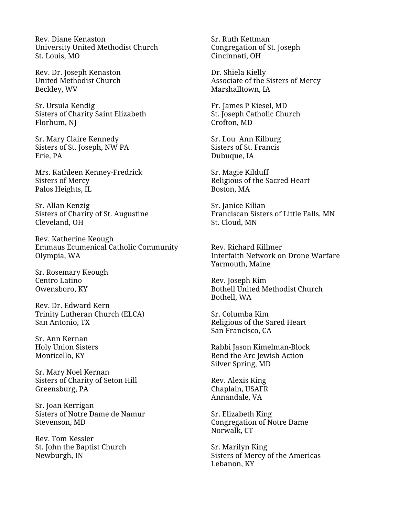Rev. Diane Kenaston University United Methodist Church St. Louis, MO

Rev. Dr. Joseph Kenaston United Methodist Church Beckley, WV

Sr. Ursula Kendig Sisters of Charity Saint Elizabeth Florhum, NJ

Sr. Mary Claire Kennedy Sisters of St. Joseph, NW PA Erie, PA

Mrs. Kathleen Kenney-Fredrick Sisters of Mercy Palos Heights, IL

Sr. Allan Kenzig Sisters of Charity of St. Augustine Cleveland, OH

Rev. Katherine Keough Emmaus Ecumenical Catholic Community Olympia, WA

Sr. Rosemary Keough Centro Latino Owensboro, KY

Rev. Dr. Edward Kern Trinity Lutheran Church (ELCA) San Antonio, TX

Sr. Ann Kernan Holy Union Sisters Monticello, KY

Sr. Mary Noel Kernan Sisters of Charity of Seton Hill Greensburg, PA

Sr. Joan Kerrigan Sisters of Notre Dame de Namur Stevenson, MD

Rev. Tom Kessler St. John the Baptist Church Newburgh, IN

Sr. Ruth Kettman Congregation of St. Joseph Cincinnati, OH

Dr. Shiela Kielly Associate of the Sisters of Mercy Marshalltown, IA

Fr. James P Kiesel, MD St. Joseph Catholic Church Crofton, MD

Sr. Lou Ann Kilburg Sisters of St. Francis Dubuque, IA

Sr. Magie Kilduff Religious of the Sacred Heart Boston, MA

Sr. Janice Kilian Franciscan Sisters of Little Falls, MN St. Cloud, MN

Rev. Richard Killmer Interfaith Network on Drone Warfare Yarmouth, Maine

Rev. Joseph Kim Bothell United Methodist Church Bothell, WA

Sr. Columba Kim Religious of the Sared Heart San Francisco, CA

Rabbi Jason Kimelman-Block Bend the Arc Jewish Action Silver Spring, MD

Rev. Alexis King Chaplain, USAFR Annandale, VA

Sr. Elizabeth King Congregation of Notre Dame Norwalk, CT

Sr. Marilyn King Sisters of Mercy of the Americas Lebanon, KY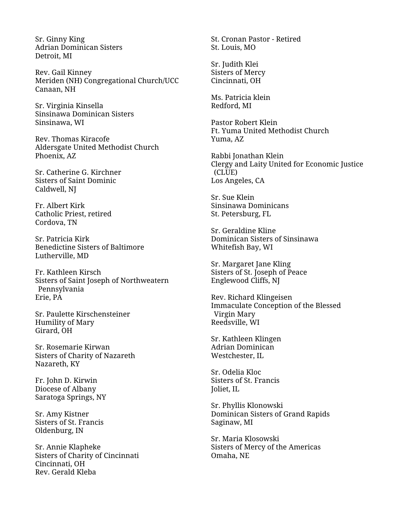Sr. Ginny King Adrian Dominican Sisters Detroit, MI

Rev. Gail Kinney Meriden (NH) Congregational Church/UCC Canaan, NH

Sr. Virginia Kinsella Sinsinawa Dominican Sisters Sinsinawa, WI

Rev. Thomas Kiracofe Aldersgate United Methodist Church Phoenix, AZ

Sr. Catherine G. Kirchner Sisters of Saint Dominic Caldwell, NJ

Fr. Albert Kirk Catholic Priest, retired Cordova, TN

Sr. Patricia Kirk Benedictine Sisters of Baltimore Lutherville, MD

Fr. Kathleen Kirsch Sisters of Saint Joseph of Northweatern Pennsylvania Erie, PA

Sr. Paulette Kirschensteiner Humility of Mary Girard, OH

Sr. Rosemarie Kirwan Sisters of Charity of Nazareth Nazareth, KY

Fr. John D. Kirwin Diocese of Albany Saratoga Springs, NY

Sr. Amy Kistner Sisters of St. Francis Oldenburg, IN

Sr. Annie Klapheke Sisters of Charity of Cincinnati Cincinnati, OH Rev. Gerald Kleba

St. Cronan Pastor - Retired St. Louis, MO

Sr. Judith Klei Sisters of Mercy Cincinnati, OH

Ms. Patricia klein Redford, MI

Pastor Robert Klein Ft. Yuma United Methodist Church Yuma, AZ

Rabbi Jonathan Klein Clergy and Laity United for Economic Justice (CLUE) Los Angeles, CA

Sr. Sue Klein Sinsinawa Dominicans St. Petersburg, FL

Sr. Geraldine Kline Dominican Sisters of Sinsinawa Whitefish Bay, WI

Sr. Margaret Jane Kling Sisters of St. Joseph of Peace Englewood Cliffs, NJ

Rev. Richard Klingeisen Immaculate Conception of the Blessed Virgin Mary Reedsville, WI

Sr. Kathleen Klingen Adrian Dominican Westchester, IL

Sr. Odelia Kloc Sisters of St. Francis Joliet, IL

Sr. Phyllis Klonowski Dominican Sisters of Grand Rapids Saginaw, MI

Sr. Maria Klosowski Sisters of Mercy of the Americas Omaha, NE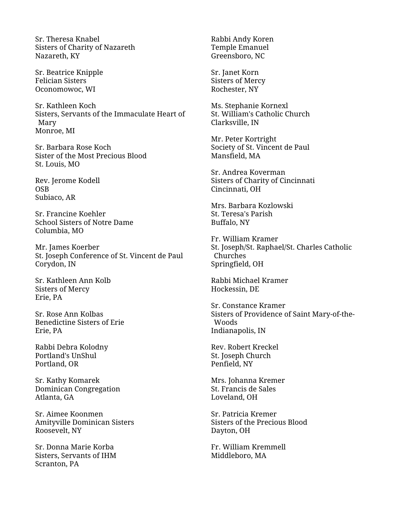Sr. Theresa Knabel Sisters of Charity of Nazareth Nazareth, KY

Sr. Beatrice Knipple Felician Sisters Oconomowoc, WI

Sr. Kathleen Koch Sisters, Servants of the Immaculate Heart of Mary Monroe, MI

Sr. Barbara Rose Koch Sister of the Most Precious Blood St. Louis, MO

Rev. Jerome Kodell **OSB** Subiaco, AR

Sr. Francine Koehler School Sisters of Notre Dame Columbia, MO

Mr. James Koerber St. Joseph Conference of St. Vincent de Paul Corydon, IN

Sr. Kathleen Ann Kolb Sisters of Mercy Erie, PA

Sr. Rose Ann Kolbas Benedictine Sisters of Erie Erie, PA

Rabbi Debra Kolodny Portland's UnShul Portland, OR

Sr. Kathy Komarek Dominican Congregation Atlanta, GA

Sr. Aimee Koonmen Amityville Dominican Sisters Roosevelt, NY

Sr. Donna Marie Korba Sisters, Servants of IHM Scranton, PA

Rabbi Andy Koren Temple Emanuel Greensboro, NC

Sr. Janet Korn Sisters of Mercy Rochester, NY

Ms. Stephanie Kornexl St. William's Catholic Church Clarksville, IN

Mr. Peter Kortright Society of St. Vincent de Paul Mansfield, MA

Sr. Andrea Koverman Sisters of Charity of Cincinnati Cincinnati, OH

Mrs. Barbara Kozlowski St. Teresa's Parish Buffalo, NY

Fr. William Kramer St. Joseph/St. Raphael/St. Charles Catholic Churches Springfield, OH

Rabbi Michael Kramer Hockessin, DE

Sr. Constance Kramer Sisters of Providence of Saint Mary-of-the-Woods Indianapolis, IN

Rev. Robert Kreckel St. Joseph Church Penfield, NY

Mrs. Johanna Kremer St. Francis de Sales Loveland, OH

Sr. Patricia Kremer Sisters of the Precious Blood Dayton, OH

Fr. William Kremmell Middleboro, MA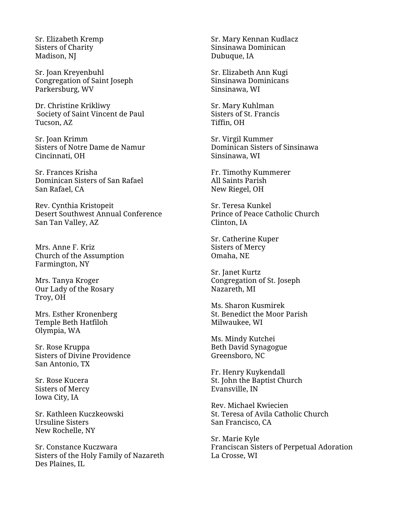Sr. Elizabeth Kremp Sisters of Charity Madison, NJ

Sr. Joan Kreyenbuhl Congregation of Saint Joseph Parkersburg, WV

Dr. Christine Krikliwy Society of Saint Vincent de Paul Tucson, AZ

Sr. Joan Krimm Sisters of Notre Dame de Namur Cincinnati, OH

Sr. Frances Krisha Dominican Sisters of San Rafael San Rafael, CA

Rev. Cynthia Kristopeit Desert Southwest Annual Conference San Tan Valley, AZ

Mrs. Anne F. Kriz Church of the Assumption Farmington, NY

Mrs. Tanya Kroger Our Lady of the Rosary Troy, OH

Mrs. Esther Kronenberg Temple Beth Hatfiloh Olympia, WA

Sr. Rose Kruppa Sisters of Divine Providence San Antonio, TX

Sr. Rose Kucera Sisters of Mercy Iowa City, IA

Sr. Kathleen Kuczkeowski Ursuline Sisters New Rochelle, NY

Sr. Constance Kuczwara Sisters of the Holy Family of Nazareth Des Plaines, IL

Sr. Mary Kennan Kudlacz Sinsinawa Dominican Dubuque, IA

Sr. Elizabeth Ann Kugi Sinsinawa Dominicans Sinsinawa, WI

Sr. Mary Kuhlman Sisters of St. Francis Tiffin, OH

Sr. Virgil Kummer Dominican Sisters of Sinsinawa Sinsinawa, WI

Fr. Timothy Kummerer All Saints Parish New Riegel, OH

Sr. Teresa Kunkel Prince of Peace Catholic Church Clinton, IA

Sr. Catherine Kuper Sisters of Mercy Omaha, NE

Sr. Janet Kurtz Congregation of St. Joseph Nazareth, MI

Ms. Sharon Kusmirek St. Benedict the Moor Parish Milwaukee, WI

Ms. Mindy Kutchei Beth David Synagogue Greensboro, NC

Fr. Henry Kuykendall St. John the Baptist Church Evansville, IN

Rev. Michael Kwiecien St. Teresa of Avila Catholic Church San Francisco, CA

Sr. Marie Kyle Franciscan Sisters of Perpetual Adoration La Crosse, WI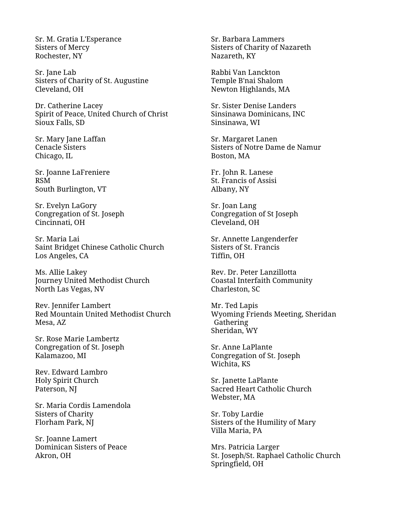Sr. M. Gratia L'Esperance Sisters of Mercy Rochester, NY

Sr. Jane Lab Sisters of Charity of St. Augustine Cleveland, OH

Dr. Catherine Lacey Spirit of Peace, United Church of Christ Sioux Falls, SD

Sr. Mary Jane Laffan Cenacle Sisters Chicago, IL

Sr. Joanne LaFreniere RSM South Burlington, VT

Sr. Evelyn LaGory Congregation of St. Joseph Cincinnati, OH

Sr. Maria Lai Saint Bridget Chinese Catholic Church Los Angeles, CA

Ms. Allie Lakey Journey United Methodist Church North Las Vegas, NV

Rev. Jennifer Lambert Red Mountain United Methodist Church Mesa, AZ

Sr. Rose Marie Lambertz Congregation of St. Joseph Kalamazoo, MI

Rev. Edward Lambro Holy Spirit Church Paterson, NJ

Sr. Maria Cordis Lamendola Sisters of Charity Florham Park, NJ

Sr. Joanne Lamert Dominican Sisters of Peace Akron, OH

Sr. Barbara Lammers Sisters of Charity of Nazareth Nazareth, KY

Rabbi Van Lanckton Temple B'nai Shalom Newton Highlands, MA

Sr. Sister Denise Landers Sinsinawa Dominicans, INC Sinsinawa, WI

Sr. Margaret Lanen Sisters of Notre Dame de Namur Boston, MA

Fr. John R. Lanese St. Francis of Assisi Albany, NY

Sr. Joan Lang Congregation of St Joseph Cleveland, OH

Sr. Annette Langenderfer Sisters of St. Francis Tiffin, OH

Rev. Dr. Peter Lanzillotta Coastal Interfaith Community Charleston, SC

Mr. Ted Lapis Wyoming Friends Meeting, Sheridan Gathering Sheridan, WY

Sr. Anne LaPlante Congregation of St. Joseph Wichita, KS

Sr. Janette LaPlante Sacred Heart Catholic Church Webster, MA

Sr. Toby Lardie Sisters of the Humility of Mary Villa Maria, PA

Mrs. Patricia Larger St. Joseph/St. Raphael Catholic Church Springfield, OH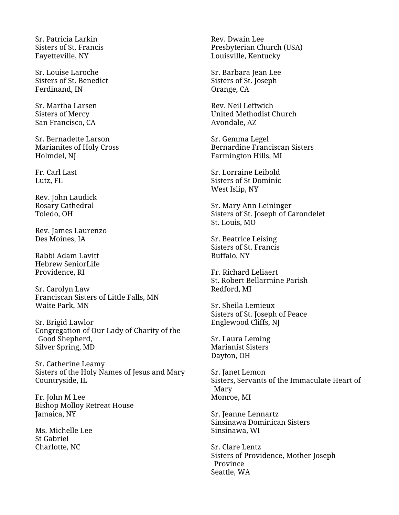Sr. Patricia Larkin Sisters of St. Francis Fayetteville, NY

Sr. Louise Laroche Sisters of St. Benedict Ferdinand, IN

Sr. Martha Larsen Sisters of Mercy San Francisco, CA

Sr. Bernadette Larson Marianites of Holy Cross Holmdel, NJ

Fr. Carl Last Lutz, FL

Rev. John Laudick Rosary Cathedral Toledo, OH

Rev. James Laurenzo Des Moines, IA

Rabbi Adam Lavitt Hebrew SeniorLife Providence, RI

Sr. Carolyn Law Franciscan Sisters of Little Falls, MN Waite Park, MN

Sr. Brigid Lawlor Congregation of Our Lady of Charity of the Good Shepherd, Silver Spring, MD

Sr. Catherine Leamy Sisters of the Holy Names of Jesus and Mary Countryside, IL

Fr. John M Lee Bishop Molloy Retreat House Jamaica, NY

Ms. Michelle Lee St Gabriel Charlotte, NC

Rev. Dwain Lee Presbyterian Church (USA) Louisville, Kentucky

Sr. Barbara Jean Lee Sisters of St. Joseph Orange, CA

Rev. Neil Leftwich United Methodist Church Avondale, AZ

Sr. Gemma Legel Bernardine Franciscan Sisters Farmington Hills, MI

Sr. Lorraine Leibold Sisters of St Dominic West Islip, NY

Sr. Mary Ann Leininger Sisters of St. Joseph of Carondelet St. Louis, MO

Sr. Beatrice Leising Sisters of St. Francis Buffalo, NY

Fr. Richard Leliaert St. Robert Bellarmine Parish Redford, MI

Sr. Sheila Lemieux Sisters of St. Joseph of Peace Englewood Cliffs, NJ

Sr. Laura Leming Marianist Sisters Dayton, OH

Sr. Janet Lemon Sisters, Servants of the Immaculate Heart of Mary Monroe, MI

Sr. Jeanne Lennartz Sinsinawa Dominican Sisters Sinsinawa, WI

Sr. Clare Lentz Sisters of Providence, Mother Joseph Province Seattle, WA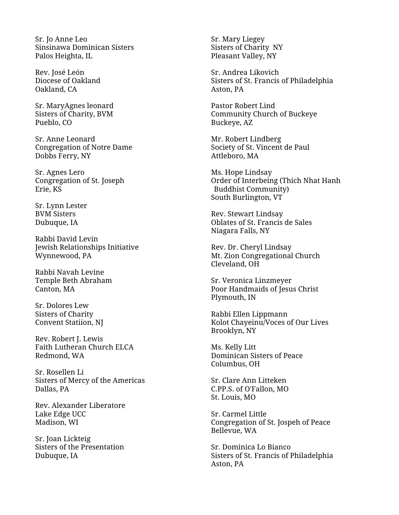Sr. Jo Anne Leo Sinsinawa Dominican Sisters Palos Heighta, IL

Rev. José León Diocese of Oakland Oakland, CA

Sr. MaryAgnes leonard Sisters of Charity, BVM Pueblo, CO

Sr. Anne Leonard Congregation of Notre Dame Dobbs Ferry, NY

Sr. Agnes Lero Congregation of St. Joseph Erie, KS

Sr. Lynn Lester BVM Sisters Dubuque, IA

Rabbi David Levin Jewish Relationships Initiative Wynnewood, PA

Rabbi Navah Levine Temple Beth Abraham Canton, MA

Sr. Dolores Lew Sisters of Charity Convent Statiion, NJ

Rev. Robert J. Lewis Faith Lutheran Church ELCA Redmond, WA

Sr. Rosellen Li Sisters of Mercy of the Americas Dallas, PA

Rev. Alexander Liberatore Lake Edge UCC Madison, WI

Sr. Joan Lickteig Sisters of the Presentation Dubuque, IA

Sr. Mary Liegey Sisters of Charity NY Pleasant Valley, NY

Sr. Andrea Likovich Sisters of St. Francis of Philadelphia Aston, PA

Pastor Robert Lind Community Church of Buckeye Buckeye, AZ

Mr. Robert Lindberg Society of St. Vincent de Paul Attleboro, MA

Ms. Hope Lindsay Order of Interbeing (Thich Nhat Hanh Buddhist Community) South Burlington, VT

Rev. Stewart Lindsay Oblates of St. Francis de Sales Niagara Falls, NY

Rev. Dr. Cheryl Lindsay Mt. Zion Congregational Church Cleveland, OH

Sr. Veronica Linzmeyer Poor Handmaids of Jesus Christ Plymouth, IN

Rabbi Ellen Lippmann Kolot Chayeinu/Voces of Our Lives Brooklyn, NY

Ms. Kelly Litt Dominican Sisters of Peace Columbus, OH

Sr. Clare Ann Litteken C.PP.S. of O'Fallon, MO St. Louis, MO

Sr. Carmel Little Congregation of St. Jospeh of Peace Bellevue, WA

Sr. Dominica Lo Bianco Sisters of St. Francis of Philadelphia Aston, PA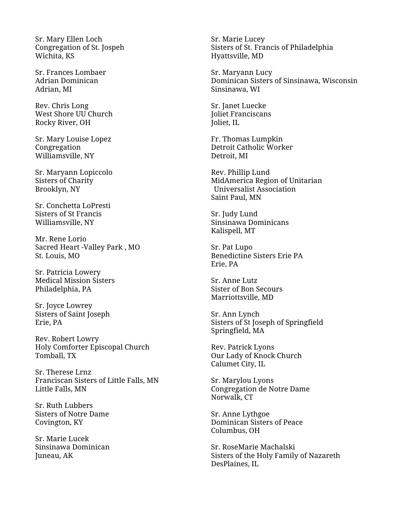Sr. Mary Ellen Loch Congregation of St. Jospeh Wichita, KS

Sr. Frances Lombaer Adrian Dominican Adrian, MI

Rev. Chris Long West Shore UU Church Rocky River, OH

Sr. Mary Louise Lopez Congregation Williamsville, NY

Sr. Maryann Lopiccolo Sisters of Charity Brooklyn, NY

Sr. Conchetta LoPresti Sisters of St Francis Williamsville, NY

Mr. Rene Lorio Sacred Heart -Valley Park , MO St. Louis, MO

Sr. Patricia Lowery Medical Mission Sisters Philadelphia, PA

Sr. Joyce Lowrey Sisters of Saint Joseph Erie, PA

Rev. Robert Lowry Holy Comforter Episcopal Church Tomball, TX

Sr. Therese Lrnz Franciscan Sisters of Little Falls, MN Little Falls, MN

Sr. Ruth Lubbers Sisters of Notre Dame Covington, KY

Sr. Marie Lucek Sinsinawa Dominican Juneau, AK

Sr. Marie Lucey Sisters of St. Francis of Philadelphia Hyattsville, MD

Sr. Maryann Lucy Dominican Sisters of Sinsinawa, Wisconsin Sinsinawa, WI

Sr. Janet Luecke Joliet Franciscans Joliet, IL

Fr. Thomas Lumpkin Detroit Catholic Worker Detroit, MI

Rev. Phillip Lund MidAmerica Region of Unitarian Universalist Association Saint Paul, MN

Sr. Judy Lund Sinsinawa Dominicans Kalispell, MT

Sr. Pat Lupo Benedictine Sisters Erie PA Erie, PA

Sr. Anne Lutz Sister of Bon Secours Marriottsville, MD

Sr. Ann Lynch Sisters of St Joseph of Springfield Springfield, MA

Rev. Patrick Lyons Our Lady of Knock Church Calumet City, IL

Sr. Marylou Lyons Congregation de Notre Dame Norwalk, CT

Sr. Anne Lythgoe Dominican Sisters of Peace Columbus, OH

Sr. RoseMarie Machalski Sisters of the Holy Family of Nazareth DesPlaines, IL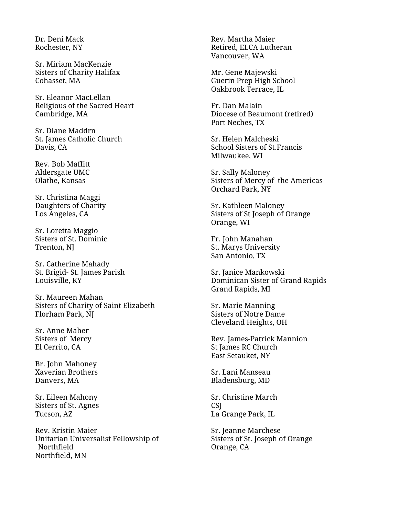Dr. Deni Mack Rochester, NY

Sr. Miriam MacKenzie Sisters of Charity Halifax Cohasset, MA

Sr. Eleanor MacLellan Religious of the Sacred Heart Cambridge, MA

Sr. Diane Maddrn St. James Catholic Church Davis, CA

Rev. Bob Maffitt Aldersgate UMC Olathe, Kansas

Sr. Christina Maggi Daughters of Charity Los Angeles, CA

Sr. Loretta Maggio Sisters of St. Dominic Trenton, NJ

Sr. Catherine Mahady St. Brigid- St. James Parish Louisville, KY

Sr. Maureen Mahan Sisters of Charity of Saint Elizabeth Florham Park, NJ

Sr. Anne Maher Sisters of Mercy El Cerrito, CA

Br. John Mahoney Xaverian Brothers Danvers, MA

Sr. Eileen Mahony Sisters of St. Agnes Tucson, AZ

Rev. Kristin Maier Unitarian Universalist Fellowship of Northfield Northfield, MN

Rev. Martha Maier Retired, ELCA Lutheran Vancouver, WA

Mr. Gene Majewski Guerin Prep High School Oakbrook Terrace, IL

Fr. Dan Malain Diocese of Beaumont (retired) Port Neches, TX

Sr. Helen Malcheski School Sisters of St.Francis Milwaukee, WI

Sr. Sally Maloney Sisters of Mercy of the Americas Orchard Park, NY

Sr. Kathleen Maloney Sisters of St Joseph of Orange Orange, WI

Fr. John Manahan St. Marys University San Antonio, TX

Sr. Janice Mankowski Dominican Sister of Grand Rapids Grand Rapids, MI

Sr. Marie Manning Sisters of Notre Dame Cleveland Heights, OH

Rev. James-Patrick Mannion St James RC Church East Setauket, NY

Sr. Lani Manseau Bladensburg, MD

Sr. Christine March **CSI** La Grange Park, IL

Sr. Jeanne Marchese Sisters of St. Joseph of Orange Orange, CA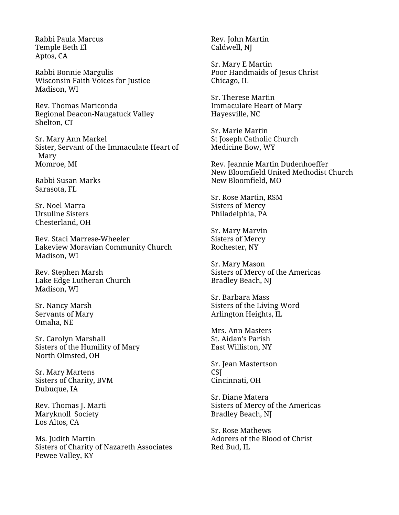Rabbi Paula Marcus Temple Beth El Aptos, CA

Rabbi Bonnie Margulis Wisconsin Faith Voices for Justice Madison, WI

Rev. Thomas Mariconda Regional Deacon-Naugatuck Valley Shelton, CT

Sr. Mary Ann Markel Sister, Servant of the Immaculate Heart of Mary Momroe, MI

Rabbi Susan Marks Sarasota, FL

Sr. Noel Marra Ursuline Sisters Chesterland, OH

Rev. Staci Marrese-Wheeler Lakeview Moravian Community Church Madison, WI

Rev. Stephen Marsh Lake Edge Lutheran Church Madison, WI

Sr. Nancy Marsh Servants of Mary Omaha, NE

Sr. Carolyn Marshall Sisters of the Humility of Mary North Olmsted, OH

Sr. Mary Martens Sisters of Charity, BVM Dubuque, IA

Rev. Thomas J. Marti Maryknoll Society Los Altos, CA

Ms. Judith Martin Sisters of Charity of Nazareth Associates Pewee Valley, KY

Rev. John Martin Caldwell, NJ

Sr. Mary E Martin Poor Handmaids of Jesus Christ Chicago, IL

Sr. Therese Martin Immaculate Heart of Mary Hayesville, NC

Sr. Marie Martin St Joseph Catholic Church Medicine Bow, WY

Rev. Jeannie Martin Dudenhoeffer New Bloomfield United Methodist Church New Bloomfield, MO

Sr. Rose Martin, RSM Sisters of Mercy Philadelphia, PA

Sr. Mary Marvin Sisters of Mercy Rochester, NY

Sr. Mary Mason Sisters of Mercy of the Americas Bradley Beach, NJ

Sr. Barbara Mass Sisters of the Living Word Arlington Heights, IL

Mrs. Ann Masters St. Aidan's Parish East Williston, NY

Sr. Jean Mastertson CSJ Cincinnati, OH

Sr. Diane Matera Sisters of Mercy of the Americas Bradley Beach, NJ

Sr. Rose Mathews Adorers of the Blood of Christ Red Bud, IL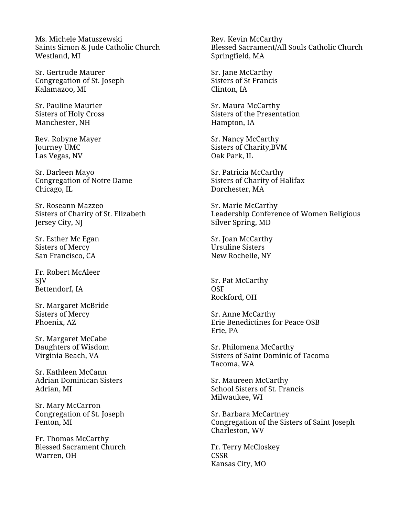Ms. Michele Matuszewski Saints Simon & Jude Catholic Church Westland, MI

Sr. Gertrude Maurer Congregation of St. Joseph Kalamazoo, MI

Sr. Pauline Maurier Sisters of Holy Cross Manchester, NH

Rev. Robyne Mayer Journey UMC Las Vegas, NV

Sr. Darleen Mayo Congregation of Notre Dame Chicago, IL

Sr. Roseann Mazzeo Sisters of Charity of St. Elizabeth Jersey City, NJ

Sr. Esther Mc Egan Sisters of Mercy San Francisco, CA

Fr. Robert McAleer **SIV** Bettendorf, IA

Sr. Margaret McBride Sisters of Mercy Phoenix, AZ

Sr. Margaret McCabe Daughters of Wisdom Virginia Beach, VA

Sr. Kathleen McCann Adrian Dominican Sisters Adrian, MI

Sr. Mary McCarron Congregation of St. Joseph Fenton, MI

Fr. Thomas McCarthy Blessed Sacrament Church Warren, OH

Rev. Kevin McCarthy Blessed Sacrament/All Souls Catholic Church Springfield, MA

Sr. Jane McCarthy Sisters of St Francis Clinton, IA

Sr. Maura McCarthy Sisters of the Presentation Hampton, IA

Sr. Nancy McCarthy Sisters of Charity,BVM Oak Park, IL

Sr. Patricia McCarthy Sisters of Charity of Halifax Dorchester, MA

Sr. Marie McCarthy Leadership Conference of Women Religious Silver Spring, MD

Sr. Joan McCarthy Ursuline Sisters New Rochelle, NY

Sr. Pat McCarthy OSF Rockford, OH

Sr. Anne McCarthy Erie Benedictines for Peace OSB Erie, PA

Sr. Philomena McCarthy Sisters of Saint Dominic of Tacoma Tacoma, WA

Sr. Maureen McCarthy School Sisters of St. Francis Milwaukee, WI

Sr. Barbara McCartney Congregation of the Sisters of Saint Joseph Charleston, WV

Fr. Terry McCloskey CSSR Kansas City, MO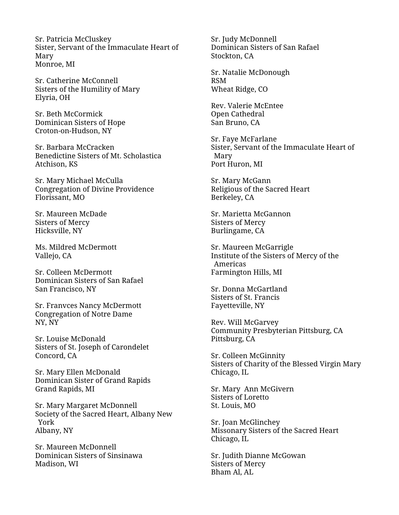Sr. Patricia McCluskey Sister, Servant of the Immaculate Heart of Mary Monroe, MI

Sr. Catherine McConnell Sisters of the Humility of Mary Elyria, OH

Sr. Beth McCormick Dominican Sisters of Hope Croton-on-Hudson, NY

Sr. Barbara McCracken Benedictine Sisters of Mt. Scholastica Atchison, KS

Sr. Mary Michael McCulla Congregation of Divine Providence Florissant, MO

Sr. Maureen McDade Sisters of Mercy Hicksville, NY

Ms. Mildred McDermott Vallejo, CA

Sr. Colleen McDermott Dominican Sisters of San Rafael San Francisco, NY

Sr. Franvces Nancy McDermott Congregation of Notre Dame NY, NY

Sr. Louise McDonald Sisters of St. Joseph of Carondelet Concord, CA

Sr. Mary Ellen McDonald Dominican Sister of Grand Rapids Grand Rapids, MI

Sr. Mary Margaret McDonnell Society of the Sacred Heart, Albany New York Albany, NY

Sr. Maureen McDonnell Dominican Sisters of Sinsinawa Madison, WI

Sr. Judy McDonnell Dominican Sisters of San Rafael Stockton, CA

Sr. Natalie McDonough RSM Wheat Ridge, CO

Rev. Valerie McEntee Open Cathedral San Bruno, CA

Sr. Faye McFarlane Sister, Servant of the Immaculate Heart of Mary Port Huron, MI

Sr. Mary McGann Religious of the Sacred Heart Berkeley, CA

Sr. Marietta McGannon Sisters of Mercy Burlingame, CA

Sr. Maureen McGarrigle Institute of the Sisters of Mercy of the Americas Farmington Hills, MI

Sr. Donna McGartland Sisters of St. Francis Fayetteville, NY

Rev. Will McGarvey Community Presbyterian Pittsburg, CA Pittsburg, CA

Sr. Colleen McGinnity Sisters of Charity of the Blessed Virgin Mary Chicago, IL

Sr. Mary Ann McGivern Sisters of Loretto St. Louis, MO

Sr. Joan McGlinchey Missonary Sisters of the Sacred Heart Chicago, IL

Sr. Judith Dianne McGowan Sisters of Mercy Bham Al, AL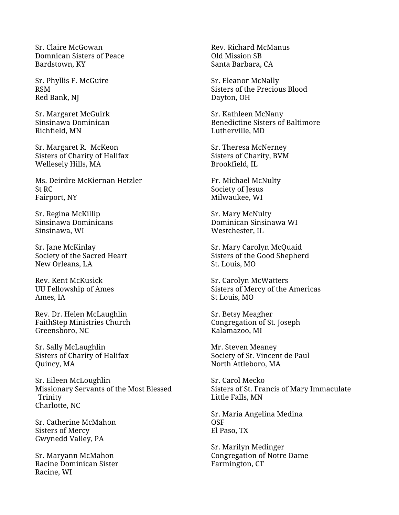Sr. Claire McGowan Domnican Sisters of Peace Bardstown, KY

Sr. Phyllis F. McGuire RSM Red Bank, NJ

Sr. Margaret McGuirk Sinsinawa Dominican Richfield, MN

Sr. Margaret R. McKeon Sisters of Charity of Halifax Wellesely Hills, MA

Ms. Deirdre McKiernan Hetzler St RC Fairport, NY

Sr. Regina McKillip Sinsinawa Dominicans Sinsinawa, WI

Sr. Jane McKinlay Society of the Sacred Heart New Orleans, LA

Rev. Kent McKusick UU Fellowship of Ames Ames, IA

Rev. Dr. Helen McLaughlin FaithStep Ministries Church Greensboro, NC

Sr. Sally McLaughlin Sisters of Charity of Halifax Quincy, MA

Sr. Eileen McLoughlin Missionary Servants of the Most Blessed Trinity Charlotte, NC

Sr. Catherine McMahon Sisters of Mercy Gwynedd Valley, PA

Sr. Maryann McMahon Racine Dominican Sister Racine, WI

Rev. Richard McManus Old Mission SB Santa Barbara, CA

Sr. Eleanor McNally Sisters of the Precious Blood Dayton, OH

Sr. Kathleen McNany Benedictine Sisters of Baltimore Lutherville, MD

Sr. Theresa McNerney Sisters of Charity, BVM Brookfield, IL

Fr. Michael McNulty Society of Jesus Milwaukee, WI

Sr. Mary McNulty Dominican Sinsinawa WI Westchester, IL

Sr. Mary Carolyn McQuaid Sisters of the Good Shepherd St. Louis, MO

Sr. Carolyn McWatters Sisters of Mercy of the Americas St Louis, MO

Sr. Betsy Meagher Congregation of St. Joseph Kalamazoo, MI

Mr. Steven Meaney Society of St. Vincent de Paul North Attleboro, MA

Sr. Carol Mecko Sisters of St. Francis of Mary Immaculate Little Falls, MN

Sr. Maria Angelina Medina **OSF** El Paso, TX

Sr. Marilyn Medinger Congregation of Notre Dame Farmington, CT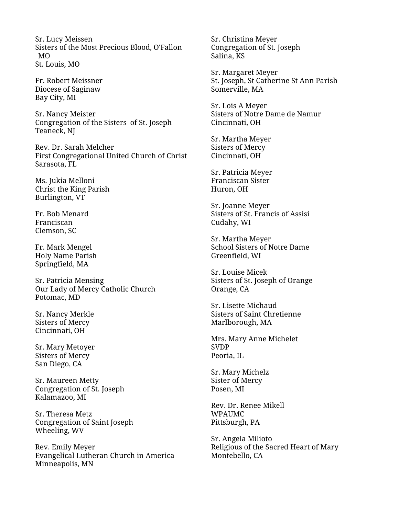Sr. Lucy Meissen Sisters of the Most Precious Blood, O'Fallon MO St. Louis, MO

Fr. Robert Meissner Diocese of Saginaw Bay City, MI

Sr. Nancy Meister Congregation of the Sisters of St. Joseph Teaneck, NJ

Rev. Dr. Sarah Melcher First Congregational United Church of Christ Sarasota, FL

Ms. Jukia Melloni Christ the King Parish Burlington, VT

Fr. Bob Menard Franciscan Clemson, SC

Fr. Mark Mengel Holy Name Parish Springfield, MA

Sr. Patricia Mensing Our Lady of Mercy Catholic Church Potomac, MD

Sr. Nancy Merkle Sisters of Mercy Cincinnati, OH

Sr. Mary Metoyer Sisters of Mercy San Diego, CA

Sr. Maureen Metty Congregation of St. Joseph Kalamazoo, MI

Sr. Theresa Metz Congregation of Saint Joseph Wheeling, WV

Rev. Emily Meyer Evangelical Lutheran Church in America Minneapolis, MN

Sr. Christina Meyer Congregation of St. Joseph Salina, KS

Sr. Margaret Meyer St. Joseph, St Catherine St Ann Parish Somerville, MA

Sr. Lois A Meyer Sisters of Notre Dame de Namur Cincinnati, OH

Sr. Martha Meyer Sisters of Mercy Cincinnati, OH

Sr. Patricia Meyer Franciscan Sister Huron, OH

Sr. Joanne Meyer Sisters of St. Francis of Assisi Cudahy, WI

Sr. Martha Meyer School Sisters of Notre Dame Greenfield, WI

Sr. Louise Micek Sisters of St. Joseph of Orange Orange, CA

Sr. Lisette Michaud Sisters of Saint Chretienne Marlborough, MA

Mrs. Mary Anne Michelet SVDP Peoria, IL

Sr. Mary Michelz Sister of Mercy Posen, MI

Rev. Dr. Renee Mikell WPAUMC Pittsburgh, PA

Sr. Angela Milioto Religious of the Sacred Heart of Mary Montebello, CA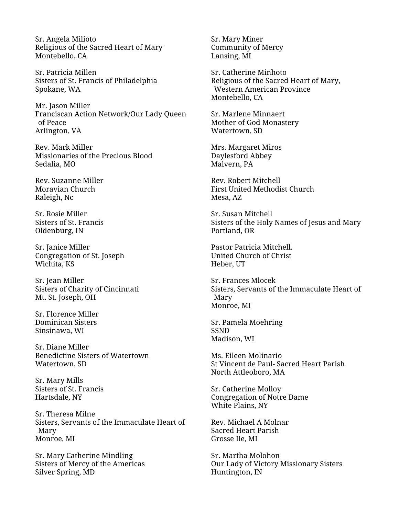Sr. Angela Milioto Religious of the Sacred Heart of Mary Montebello, CA

Sr. Patricia Millen Sisters of St. Francis of Philadelphia Spokane, WA

Mr. Jason Miller Franciscan Action Network/Our Lady Queen of Peace Arlington, VA

Rev. Mark Miller Missionaries of the Precious Blood Sedalia, MO

Rev. Suzanne Miller Moravian Church Raleigh, Nc

Sr. Rosie Miller Sisters of St. Francis Oldenburg, IN

Sr. Janice Miller Congregation of St. Joseph Wichita, KS

Sr. Jean Miller Sisters of Charity of Cincinnati Mt. St. Joseph, OH

Sr. Florence Miller Dominican Sisters Sinsinawa, WI

Sr. Diane Miller Benedictine Sisters of Watertown Watertown, SD

Sr. Mary Mills Sisters of St. Francis Hartsdale, NY

Sr. Theresa Milne Sisters, Servants of the Immaculate Heart of Mary Monroe, MI

Sr. Mary Catherine Mindling Sisters of Mercy of the Americas Silver Spring, MD

Sr. Mary Miner Community of Mercy Lansing, MI

Sr. Catherine Minhoto Religious of the Sacred Heart of Mary, Western American Province Montebello, CA

Sr. Marlene Minnaert Mother of God Monastery Watertown, SD

Mrs. Margaret Miros Daylesford Abbey Malvern, PA

Rev. Robert Mitchell First United Methodist Church Mesa, AZ

Sr. Susan Mitchell Sisters of the Holy Names of Jesus and Mary Portland, OR

Pastor Patricia Mitchell. United Church of Christ Heber, UT

Sr. Frances Mlocek Sisters, Servants of the Immaculate Heart of Mary Monroe, MI

Sr. Pamela Moehring SSND Madison, WI

Ms. Eileen Molinario St Vincent de Paul- Sacred Heart Parish North Attleoboro, MA

Sr. Catherine Molloy Congregation of Notre Dame White Plains, NY

Rev. Michael A Molnar Sacred Heart Parish Grosse Ile, MI

Sr. Martha Molohon Our Lady of Victory Missionary Sisters Huntington, IN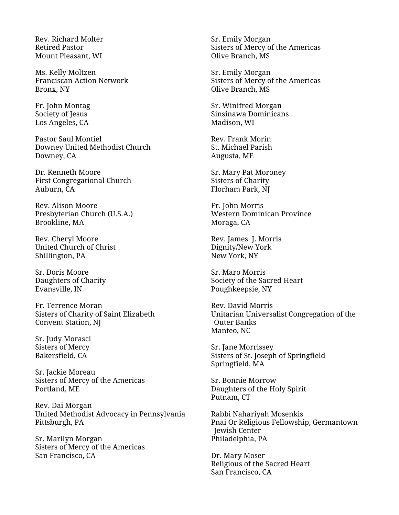Rev. Richard Molter Retired Pastor Mount Pleasant, WI

Ms. Kelly Moltzen Franciscan Action Network Bronx, NY

Fr. John Montag Society of Jesus Los Angeles, CA

Pastor Saul Montiel Downey United Methodist Church Downey, CA

Dr. Kenneth Moore First Congregational Church Auburn, CA

Rev. Alison Moore Presbyterian Church (U.S.A.) Brookline, MA

Rev. Cheryl Moore United Church of Christ Shillington, PA

Sr. Doris Moore Daughters of Charity Evansville, IN

Fr. Terrence Moran Sisters of Charity of Saint Elizabeth Convent Station, NJ

Sr. Judy Morasci Sisters of Mercy Bakersfield, CA

Sr. Jackie Moreau Sisters of Mercy of the Americas Portland, ME

Rev. Dai Morgan United Methodist Advocacy in Pennsylvania Pittsburgh, PA

Sr. Marilyn Morgan Sisters of Mercy of the Americas San Francisco, CA

Sr. Emily Morgan Sisters of Mercy of the Americas Olive Branch, MS

Sr. Emily Morgan Sisters of Mercy of the Americas Olive Branch, MS

Sr. Winifred Morgan Sinsinawa Dominicans Madison, WI

Rev. Frank Morin St. Michael Parish Augusta, ME

Sr. Mary Pat Moroney Sisters of Charity Florham Park, NJ

Fr. John Morris Western Dominican Province Moraga, CA

Rev. James J. Morris Dignity/New York New York, NY

Sr. Maro Morris Society of the Sacred Heart Poughkeepsie, NY

Rev. David Morris Unitarian Universalist Congregation of the Outer Banks Manteo, NC

Sr. Jane Morrissey Sisters of St. Joseph of Springfield Springfield, MA

Sr. Bonnie Morrow Daughters of the Holy Spirit Putnam, CT

Rabbi Nahariyah Mosenkis Pnai Or Religious Fellowship, Germantown Jewish Center Philadelphia, PA

Dr. Mary Moser Religious of the Sacred Heart San Francisco, CA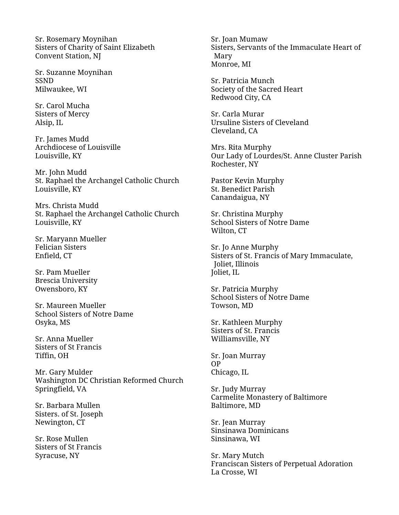Sr. Rosemary Moynihan Sisters of Charity of Saint Elizabeth Convent Station, NJ

Sr. Suzanne Moynihan SSND Milwaukee, WI

Sr. Carol Mucha Sisters of Mercy Alsip, IL

Fr. James Mudd Archdiocese of Louisville Louisville, KY

Mr. John Mudd St. Raphael the Archangel Catholic Church Louisville, KY

Mrs. Christa Mudd St. Raphael the Archangel Catholic Church Louisville, KY

Sr. Maryann Mueller Felician Sisters Enfield, CT

Sr. Pam Mueller Brescia University Owensboro, KY

Sr. Maureen Mueller School Sisters of Notre Dame Osyka, MS

Sr. Anna Mueller Sisters of St Francis Tiffin, OH

Mr. Gary Mulder Washington DC Christian Reformed Church Springfield, VA

Sr. Barbara Mullen Sisters. of St. Joseph Newington, CT

Sr. Rose Mullen Sisters of St Francis Syracuse, NY

Sr. Joan Mumaw Sisters, Servants of the Immaculate Heart of Mary Monroe, MI

Sr. Patricia Munch Society of the Sacred Heart Redwood City, CA

Sr. Carla Murar Ursuline Sisters of Cleveland Cleveland, CA

Mrs. Rita Murphy Our Lady of Lourdes/St. Anne Cluster Parish Rochester, NY

Pastor Kevin Murphy St. Benedict Parish Canandaigua, NY

Sr. Christina Murphy School Sisters of Notre Dame Wilton, CT

Sr. Jo Anne Murphy Sisters of St. Francis of Mary Immaculate, Joliet, Illinois Joliet, IL

Sr. Patricia Murphy School Sisters of Notre Dame Towson, MD

Sr. Kathleen Murphy Sisters of St. Francis Williamsville, NY

Sr. Joan Murray OP Chicago, IL

Sr. Judy Murray Carmelite Monastery of Baltimore Baltimore, MD

Sr. Jean Murray Sinsinawa Dominicans Sinsinawa, WI

Sr. Mary Mutch Franciscan Sisters of Perpetual Adoration La Crosse, WI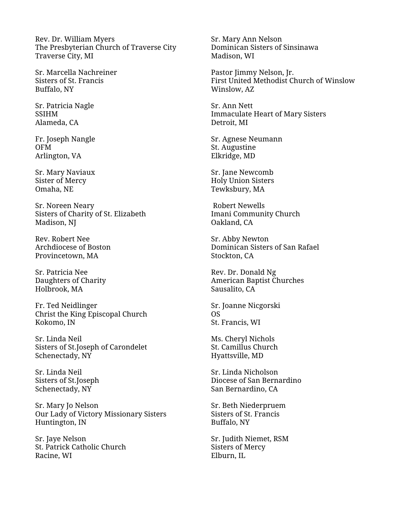Rev. Dr. William Myers The Presbyterian Church of Traverse City Traverse City, MI

Sr. Marcella Nachreiner Sisters of St. Francis Buffalo, NY

Sr. Patricia Nagle SSIHM Alameda, CA

Fr. Joseph Nangle OFM Arlington, VA

Sr. Mary Naviaux Sister of Mercy Omaha, NE

Sr. Noreen Neary Sisters of Charity of St. Elizabeth Madison, NJ

Rev. Robert Nee Archdiocese of Boston Provincetown, MA

Sr. Patricia Nee Daughters of Charity Holbrook, MA

Fr. Ted Neidlinger Christ the King Episcopal Church Kokomo, IN

Sr. Linda Neil Sisters of St.Joseph of Carondelet Schenectady, NY

Sr. Linda Neil Sisters of St.Joseph Schenectady, NY

Sr. Mary Jo Nelson Our Lady of Victory Missionary Sisters Huntington, IN

Sr. Jaye Nelson St. Patrick Catholic Church Racine, WI

Sr. Mary Ann Nelson Dominican Sisters of Sinsinawa Madison, WI

Pastor Jimmy Nelson, Jr. First United Methodist Church of Winslow Winslow, AZ

Sr. Ann Nett Immaculate Heart of Mary Sisters Detroit, MI

Sr. Agnese Neumann St. Augustine Elkridge, MD

Sr. Jane Newcomb Holy Union Sisters Tewksbury, MA

Robert Newells Imani Community Church Oakland, CA

Sr. Abby Newton Dominican Sisters of San Rafael Stockton, CA

Rev. Dr. Donald Ng American Baptist Churches Sausalito, CA

Sr. Joanne Nicgorski OS St. Francis, WI

Ms. Cheryl Nichols St. Camillus Church Hyattsville, MD

Sr. Linda Nicholson Diocese of San Bernardino San Bernardino, CA

Sr. Beth Niederpruem Sisters of St. Francis Buffalo, NY

Sr. Judith Niemet, RSM Sisters of Mercy Elburn, IL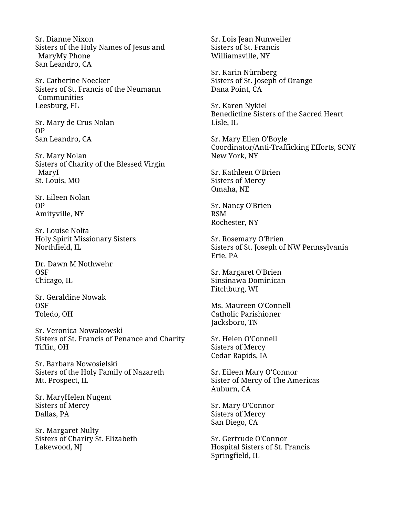Sr. Dianne Nixon Sisters of the Holy Names of Jesus and MaryMy Phone San Leandro, CA

Sr. Catherine Noecker Sisters of St. Francis of the Neumann Communities Leesburg, FL

Sr. Mary de Crus Nolan OP San Leandro, CA

Sr. Mary Nolan Sisters of Charity of the Blessed Virgin MaryI St. Louis, MO

Sr. Eileen Nolan OP Amityville, NY

Sr. Louise Nolta Holy Spirit Missionary Sisters Northfield, IL

Dr. Dawn M Nothwehr OSF Chicago, IL

Sr. Geraldine Nowak OSF Toledo, OH

Sr. Veronica Nowakowski Sisters of St. Francis of Penance and Charity Tiffin, OH

Sr. Barbara Nowosielski Sisters of the Holy Family of Nazareth Mt. Prospect, IL

Sr. MaryHelen Nugent Sisters of Mercy Dallas, PA

Sr. Margaret Nulty Sisters of Charity St. Elizabeth Lakewood, NJ

Sr. Lois Jean Nunweiler Sisters of St. Francis Williamsville, NY

Sr. Karin Nürnberg Sisters of St. Joseph of Orange Dana Point, CA

Sr. Karen Nykiel Benedictine Sisters of the Sacred Heart Lisle, IL

Sr. Mary Ellen O'Boyle Coordinator/Anti-Trafficking Efforts, SCNY New York, NY

Sr. Kathleen O'Brien Sisters of Mercy Omaha, NE

Sr. Nancy O'Brien RSM Rochester, NY

Sr. Rosemary O'Brien Sisters of St. Joseph of NW Pennsylvania Erie, PA

Sr. Margaret O'Brien Sinsinawa Dominican Fitchburg, WI

Ms. Maureen O'Connell Catholic Parishioner Jacksboro, TN

Sr. Helen O'Connell Sisters of Mercy Cedar Rapids, IA

Sr. Eileen Mary O'Connor Sister of Mercy of The Americas Auburn, CA

Sr. Mary O'Connor Sisters of Mercy San Diego, CA

Sr. Gertrude O'Connor Hospital Sisters of St. Francis Springfield, IL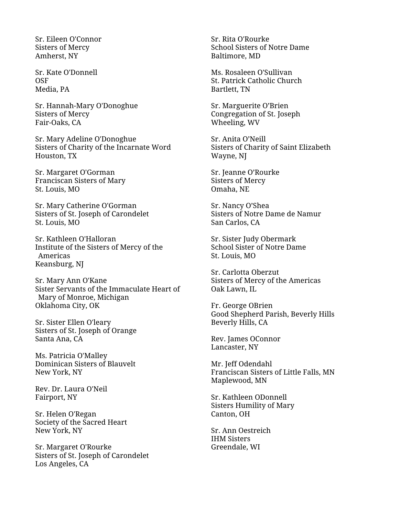Sr. Eileen O'Connor Sisters of Mercy Amherst, NY

Sr. Kate O'Donnell OSF Media, PA

Sr. Hannah-Mary O'Donoghue Sisters of Mercy Fair-Oaks, CA

Sr. Mary Adeline O'Donoghue Sisters of Charity of the Incarnate Word Houston, TX

Sr. Margaret O'Gorman Franciscan Sisters of Mary St. Louis, MO

Sr. Mary Catherine O'Gorman Sisters of St. Joseph of Carondelet St. Louis, MO

Sr. Kathleen O'Halloran Institute of the Sisters of Mercy of the Americas Keansburg, NJ

Sr. Mary Ann O'Kane Sister Servants of the Immaculate Heart of Mary of Monroe, Michigan Oklahoma City, OK

Sr. Sister Ellen O'leary Sisters of St. Joseph of Orange Santa Ana, CA

Ms. Patricia O'Malley Dominican Sisters of Blauvelt New York, NY

Rev. Dr. Laura O'Neil Fairport, NY

Sr. Helen O'Regan Society of the Sacred Heart New York, NY

Sr. Margaret O'Rourke Sisters of St. Joseph of Carondelet Los Angeles, CA

Sr. Rita O'Rourke School Sisters of Notre Dame Baltimore, MD

Ms. Rosaleen O'Sullivan St. Patrick Catholic Church Bartlett, TN

Sr. Marguerite O'Brien Congregation of St. Joseph Wheeling, WV

Sr. Anita O'Neill Sisters of Charity of Saint Elizabeth Wayne, NJ

Sr. Jeanne O'Rourke Sisters of Mercy Omaha, NE

Sr. Nancy O'Shea Sisters of Notre Dame de Namur San Carlos, CA

Sr. Sister Judy Obermark School Sister of Notre Dame St. Louis, MO

Sr. Carlotta Oberzut Sisters of Mercy of the Americas Oak Lawn, IL

Fr. George OBrien Good Shepherd Parish, Beverly Hills Beverly Hills, CA

Rev. James OConnor Lancaster, NY

Mr. Jeff Odendahl Franciscan Sisters of Little Falls, MN Maplewood, MN

Sr. Kathleen ODonnell Sisters Humility of Mary Canton, OH

Sr. Ann Oestreich IHM Sisters Greendale, WI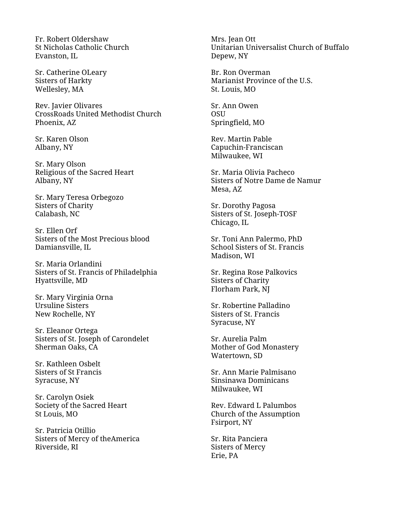Fr. Robert Oldershaw St Nicholas Catholic Church Evanston, IL

Sr. Catherine OLeary Sisters of Harkty Wellesley, MA

Rev. Javier Olivares CrossRoads United Methodist Church Phoenix, AZ

Sr. Karen Olson Albany, NY

Sr. Mary Olson Religious of the Sacred Heart Albany, NY

Sr. Mary Teresa Orbegozo Sisters of Charity Calabash, NC

Sr. Ellen Orf Sisters of the Most Precious blood Damiansville, IL

Sr. Maria Orlandini Sisters of St. Francis of Philadelphia Hyattsville, MD

Sr. Mary Virginia Orna Ursuline Sisters New Rochelle, NY

Sr. Eleanor Ortega Sisters of St. Joseph of Carondelet Sherman Oaks, CA

Sr. Kathleen Osbelt Sisters of St Francis Syracuse, NY

Sr. Carolyn Osiek Society of the Sacred Heart St Louis, MO

Sr. Patricia Otillio Sisters of Mercy of theAmerica Riverside, RI

Mrs. Jean Ott Unitarian Universalist Church of Buffalo Depew, NY

Br. Ron Overman Marianist Province of the U.S. St. Louis, MO

Sr. Ann Owen **OSU** Springfield, MO

Rev. Martin Pable Capuchin-Franciscan Milwaukee, WI

Sr. Maria Olivia Pacheco Sisters of Notre Dame de Namur Mesa, AZ

Sr. Dorothy Pagosa Sisters of St. Joseph-TOSF Chicago, IL

Sr. Toni Ann Palermo, PhD School Sisters of St. Francis Madison, WI

Sr. Regina Rose Palkovics Sisters of Charity Florham Park, NJ

Sr. Robertine Palladino Sisters of St. Francis Syracuse, NY

Sr. Aurelia Palm Mother of God Monastery Watertown, SD

Sr. Ann Marie Palmisano Sinsinawa Dominicans Milwaukee, WI

Rev. Edward L Palumbos Church of the Assumption Fsirport, NY

Sr. Rita Panciera Sisters of Mercy Erie, PA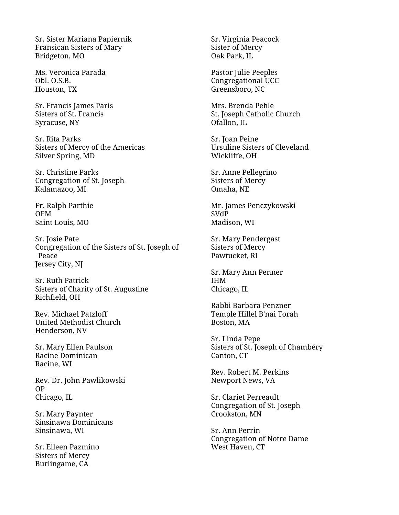Sr. Sister Mariana Papiernik Fransican Sisters of Mary Bridgeton, MO

Ms. Veronica Parada Obl. O.S.B. Houston, TX

Sr. Francis James Paris Sisters of St. Francis Syracuse, NY

Sr. Rita Parks Sisters of Mercy of the Americas Silver Spring, MD

Sr. Christine Parks Congregation of St. Joseph Kalamazoo, MI

Fr. Ralph Parthie OFM Saint Louis, MO

Sr. Josie Pate Congregation of the Sisters of St. Joseph of Peace Jersey City, NJ

Sr. Ruth Patrick Sisters of Charity of St. Augustine Richfield, OH

Rev. Michael Patzloff United Methodist Church Henderson, NV

Sr. Mary Ellen Paulson Racine Dominican Racine, WI

Rev. Dr. John Pawlikowski OP Chicago, IL

Sr. Mary Paynter Sinsinawa Dominicans Sinsinawa, WI

Sr. Eileen Pazmino Sisters of Mercy Burlingame, CA

Sr. Virginia Peacock Sister of Mercy Oak Park, IL

Pastor Julie Peeples Congregational UCC Greensboro, NC

Mrs. Brenda Pehle St. Joseph Catholic Church Ofallon, IL

Sr. Joan Peine Ursuline Sisters of Cleveland Wickliffe, OH

Sr. Anne Pellegrino Sisters of Mercy Omaha, NE

Mr. James Penczykowski SVdP Madison, WI

Sr. Mary Pendergast Sisters of Mercy Pawtucket, RI

Sr. Mary Ann Penner IHM Chicago, IL

Rabbi Barbara Penzner Temple Hillel B'nai Torah Boston, MA

Sr. Linda Pepe Sisters of St. Joseph of Chambéry Canton, CT

Rev. Robert M. Perkins Newport News, VA

Sr. Clariet Perreault Congregation of St. Joseph Crookston, MN

Sr. Ann Perrin Congregation of Notre Dame West Haven, CT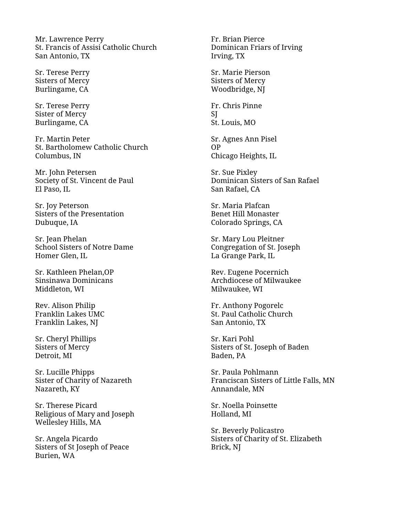Mr. Lawrence Perry St. Francis of Assisi Catholic Church San Antonio, TX

Sr. Terese Perry Sisters of Mercy Burlingame, CA

Sr. Terese Perry Sister of Mercy Burlingame, CA

Fr. Martin Peter St. Bartholomew Catholic Church Columbus, IN

Mr. John Petersen Society of St. Vincent de Paul El Paso, IL

Sr. Joy Peterson Sisters of the Presentation Dubuque, IA

Sr. Jean Phelan School Sisters of Notre Dame Homer Glen, IL

Sr. Kathleen Phelan,OP Sinsinawa Dominicans Middleton, WI

Rev. Alison Philip Franklin Lakes UMC Franklin Lakes, NJ

Sr. Cheryl Phillips Sisters of Mercy Detroit, MI

Sr. Lucille Phipps Sister of Charity of Nazareth Nazareth, KY

Sr. Therese Picard Religious of Mary and Joseph Wellesley Hills, MA

Sr. Angela Picardo Sisters of St Joseph of Peace Burien, WA

Fr. Brian Pierce Dominican Friars of Irving Irving, TX

Sr. Marie Pierson Sisters of Mercy Woodbridge, NJ

Fr. Chris Pinne **SI** St. Louis, MO

Sr. Agnes Ann Pisel OP Chicago Heights, IL

Sr. Sue Pixley Dominican Sisters of San Rafael San Rafael, CA

Sr. Maria Plafcan Benet Hill Monaster Colorado Springs, CA

Sr. Mary Lou Pleitner Congregation of St. Joseph La Grange Park, IL

Rev. Eugene Pocernich Archdiocese of Milwaukee Milwaukee, WI

Fr. Anthony Pogorelc St. Paul Catholic Church San Antonio, TX

Sr. Kari Pohl Sisters of St. Joseph of Baden Baden, PA

Sr. Paula Pohlmann Franciscan Sisters of Little Falls, MN Annandale, MN

Sr. Noella Poinsette Holland, MI

Sr. Beverly Policastro Sisters of Charity of St. Elizabeth Brick, NJ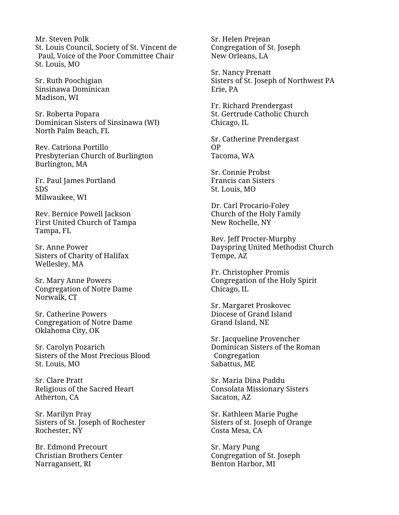Mr. Steven Polk St. Louis Council, Society of St. Vincent de Paul, Voice of the Poor Committee Chair St. Louis, MO

Sr. Ruth Poochigian Sinsinawa Dominican Madison, WI

Sr. Roberta Popara Dominican Sisters of Sinsinawa (WI) North Palm Beach, FL

Rev. Catriona Portillo Presbyterian Church of Burlington Burlington, MA

Fr. Paul James Portland SDS Milwaukee, WI

Rev. Bernice Powell Jackson First United Church of Tampa Tampa, FL

Sr. Anne Power Sisters of Charity of Halifax Wellesley, MA

Sr. Mary Anne Powers Congregation of Notre Dame Norwalk, CT

Sr. Catherine Powers Congregation of Notre Dame Oklahoma City, OK

Sr. Carolyn Pozarich Sisters of the Most Precious Blood St. Louis, MO

Sr. Clare Pratt Religious of the Sacred Heart Atherton, CA

Sr. Marilyn Pray Sisters of St. Joseph of Rochester Rochester, NY

Br. Edmond Precourt Christian Brothers Center Narragansett, RI

Sr. Helen Prejean Congregation of St. Joseph New Orleans, LA

Sr. Nancy Prenatt Sisters of St. Joseph of Northwest PA Erie, PA

Fr. Richard Prendergast St. Gertrude Catholic Church Chicago, IL

Sr. Catherine Prendergast OP Tacoma, WA

Sr. Connie Probst Francis can Sisters St. Louis, MO

Dr. Carl Procario-Foley Church of the Holy Family New Rochelle, NY

Rev. Jeff Procter-Murphy Dayspring United Methodist Church Tempe, AZ

Fr. Christopher Promis Congregation of the Holy Spirit Chicago, IL

Sr. Margaret Proskovec Diocese of Grand Island Grand Island, NE

Sr. Jacqueline Provencher Dominican Sisters of the Roman Congregation Sabattus, ME

Sr. Maria Dina Puddu Consolata Missionary Sisters Sacaton, AZ

Sr. Kathleen Marie Pughe Sisters of st. Joseph of Orange Costa Mesa, CA

Sr. Mary Pung Congregation of St. Joseph Benton Harbor, MI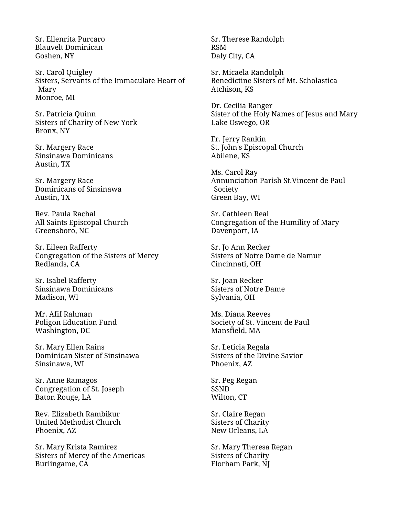Sr. Ellenrita Purcaro Blauvelt Dominican Goshen, NY

Sr. Carol Quigley Sisters, Servants of the Immaculate Heart of Mary Monroe, MI

Sr. Patricia Quinn Sisters of Charity of New York Bronx, NY

Sr. Margery Race Sinsinawa Dominicans Austin, TX

Sr. Margery Race Dominicans of Sinsinawa Austin, TX

Rev. Paula Rachal All Saints Episcopal Church Greensboro, NC

Sr. Eileen Rafferty Congregation of the Sisters of Mercy Redlands, CA

Sr. Isabel Rafferty Sinsinawa Dominicans Madison, WI

Mr. Afif Rahman Poligon Education Fund Washington, DC

Sr. Mary Ellen Rains Dominican Sister of Sinsinawa Sinsinawa, WI

Sr. Anne Ramagos Congregation of St. Joseph Baton Rouge, LA

Rev. Elizabeth Rambikur United Methodist Church Phoenix, AZ

Sr. Mary Krista Ramirez Sisters of Mercy of the Americas Burlingame, CA

Sr. Therese Randolph RSM Daly City, CA

Sr. Micaela Randolph Benedictine Sisters of Mt. Scholastica Atchison, KS

Dr. Cecilia Ranger Sister of the Holy Names of Jesus and Mary Lake Oswego, OR

Fr. Jerry Rankin St. John's Episcopal Church Abilene, KS

Ms. Carol Ray Annunciation Parish St.Vincent de Paul Society Green Bay, WI

Sr. Cathleen Real Congregation of the Humility of Mary Davenport, IA

Sr. Jo Ann Recker Sisters of Notre Dame de Namur Cincinnati, OH

Sr. Joan Recker Sisters of Notre Dame Sylvania, OH

Ms. Diana Reeves Society of St. Vincent de Paul Mansfield, MA

Sr. Leticia Regala Sisters of the Divine Savior Phoenix, AZ

Sr. Peg Regan SSND Wilton, CT

Sr. Claire Regan Sisters of Charity New Orleans, LA

Sr. Mary Theresa Regan Sisters of Charity Florham Park, NJ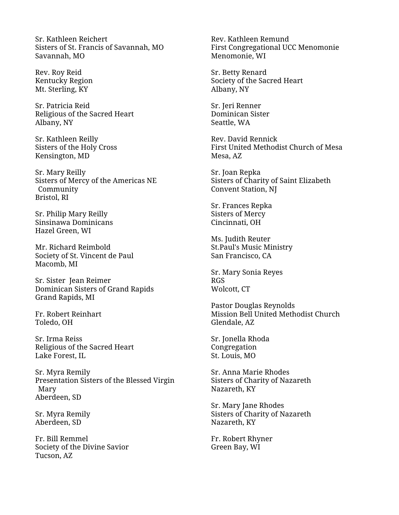Sr. Kathleen Reichert Sisters of St. Francis of Savannah, MO Savannah, MO

Rev. Roy Reid Kentucky Region Mt. Sterling, KY

Sr. Patricia Reid Religious of the Sacred Heart Albany, NY

Sr. Kathleen Reilly Sisters of the Holy Cross Kensington, MD

Sr. Mary Reilly Sisters of Mercy of the Americas NE Community Bristol, RI

Sr. Philip Mary Reilly Sinsinawa Dominicans Hazel Green, WI

Mr. Richard Reimbold Society of St. Vincent de Paul Macomb, MI

Sr. Sister Jean Reimer Dominican Sisters of Grand Rapids Grand Rapids, MI

Fr. Robert Reinhart Toledo, OH

Sr. Irma Reiss Religious of the Sacred Heart Lake Forest, IL

Sr. Myra Remily Presentation Sisters of the Blessed Virgin Mary Aberdeen, SD

Sr. Myra Remily Aberdeen, SD

Fr. Bill Remmel Society of the Divine Savior Tucson, AZ

Rev. Kathleen Remund First Congregational UCC Menomonie Menomonie, WI

Sr. Betty Renard Society of the Sacred Heart Albany, NY

Sr. Jeri Renner Dominican Sister Seattle, WA

Rev. David Rennick First United Methodist Church of Mesa Mesa, AZ

Sr. Joan Repka Sisters of Charity of Saint Elizabeth Convent Station, NJ

Sr. Frances Repka Sisters of Mercy Cincinnati, OH

Ms. Judith Reuter St.Paul's Music Ministry San Francisco, CA

Sr. Mary Sonia Reyes RGS Wolcott, CT

Pastor Douglas Reynolds Mission Bell United Methodist Church Glendale, AZ

Sr. Jonella Rhoda Congregation St. Louis, MO

Sr. Anna Marie Rhodes Sisters of Charity of Nazareth Nazareth, KY

Sr. Mary Jane Rhodes Sisters of Charity of Nazareth Nazareth, KY

Fr. Robert Rhyner Green Bay, WI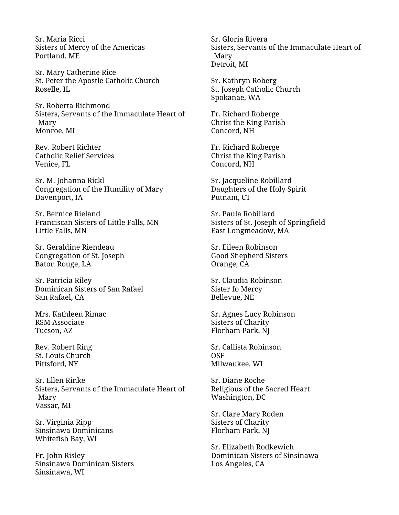Sr. Maria Ricci Sisters of Mercy of the Americas Portland, ME

Sr. Mary Catherine Rice St. Peter the Apostle Catholic Church Roselle, IL

Sr. Roberta Richmond Sisters, Servants of the Immaculate Heart of Mary Monroe, MI

Rev. Robert Richter Catholic Relief Services Venice, FL

Sr. M. Johanna Rickl Congregation of the Humility of Mary Davenport, IA

Sr. Bernice Rieland Franciscan Sisters of Little Falls, MN Little Falls, MN

Sr. Geraldine Riendeau Congregation of St. Joseph Baton Rouge, LA

Sr. Patricia Riley Dominican Sisters of San Rafael San Rafael, CA

Mrs. Kathleen Rimac RSM Associate Tucson, AZ

Rev. Robert Ring St. Louis Church Pittsford, NY

Sr. Ellen Rinke Sisters, Servants of the Immaculate Heart of Mary Vassar, MI

Sr. Virginia Ripp Sinsinawa Dominicans Whitefish Bay, WI

Fr. John Risley Sinsinawa Dominican Sisters Sinsinawa, WI

Sr. Gloria Rivera Sisters, Servants of the Immaculate Heart of Mary Detroit, MI

Sr. Kathryn Roberg St. Joseph Catholic Church Spokanae, WA

Fr. Richard Roberge Christ the King Parish Concord, NH

Fr. Richard Roberge Christ the King Parish Concord, NH

Sr. Jacqueline Robillard Daughters of the Holy Spirit Putnam, CT

Sr. Paula Robillard Sisters of St. Joseph of Springfield East Longmeadow, MA

Sr. Eileen Robinson Good Shepherd Sisters Orange, CA

Sr. Claudia Robinson Sister fo Mercy Bellevue, NE

Sr. Agnes Lucy Robinson Sisters of Charity Florham Park, NJ

Sr. Callista Robinson OSF Milwaukee, WI

Sr. Diane Roche Religious of the Sacred Heart Washington, DC

Sr. Clare Mary Roden Sisters of Charity Florham Park, NJ

Sr. Elizabeth Rodkewich Dominican Sisters of Sinsinawa Los Angeles, CA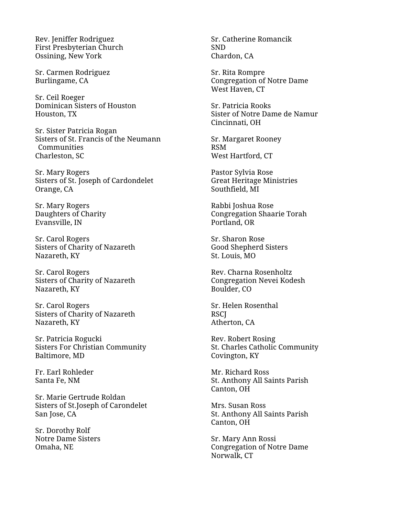Rev. Jeniffer Rodriguez First Presbyterian Church Ossining, New York

Sr. Carmen Rodriguez Burlingame, CA

Sr. Ceil Roeger Dominican Sisters of Houston Houston, TX

Sr. Sister Patricia Rogan Sisters of St. Francis of the Neumann Communities Charleston, SC

Sr. Mary Rogers Sisters of St. Joseph of Cardondelet Orange, CA

Sr. Mary Rogers Daughters of Charity Evansville, IN

Sr. Carol Rogers Sisters of Charity of Nazareth Nazareth, KY

Sr. Carol Rogers Sisters of Charity of Nazareth Nazareth, KY

Sr. Carol Rogers Sisters of Charity of Nazareth Nazareth, KY

Sr. Patricia Rogucki Sisters For Christian Community Baltimore, MD

Fr. Earl Rohleder Santa Fe, NM

Sr. Marie Gertrude Roldan Sisters of St.Joseph of Carondelet San Jose, CA

Sr. Dorothy Rolf Notre Dame Sisters Omaha, NE

Sr. Catherine Romancik SND Chardon, CA

Sr. Rita Rompre Congregation of Notre Dame West Haven, CT

Sr. Patricia Rooks Sister of Notre Dame de Namur Cincinnati, OH

Sr. Margaret Rooney RSM West Hartford, CT

Pastor Sylvia Rose Great Heritage Ministries Southfield, MI

Rabbi Joshua Rose Congregation Shaarie Torah Portland, OR

Sr. Sharon Rose Good Shepherd Sisters St. Louis, MO

Rev. Charna Rosenholtz Congregation Nevei Kodesh Boulder, CO

Sr. Helen Rosenthal **RSCI** Atherton, CA

Rev. Robert Rosing St. Charles Catholic Community Covington, KY

Mr. Richard Ross St. Anthony All Saints Parish Canton, OH

Mrs. Susan Ross St. Anthony All Saints Parish Canton, OH

Sr. Mary Ann Rossi Congregation of Notre Dame Norwalk, CT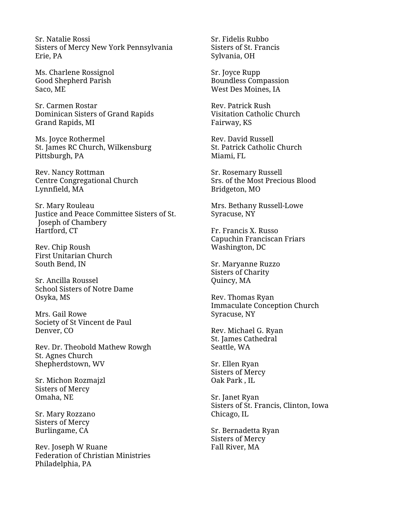Sr. Natalie Rossi Sisters of Mercy New York Pennsylvania Erie, PA

Ms. Charlene Rossignol Good Shepherd Parish Saco, ME

Sr. Carmen Rostar Dominican Sisters of Grand Rapids Grand Rapids, MI

Ms. Joyce Rothermel St. James RC Church, Wilkensburg Pittsburgh, PA

Rev. Nancy Rottman Centre Congregational Church Lynnfield, MA

Sr. Mary Rouleau Justice and Peace Committee Sisters of St. Joseph of Chambery Hartford, CT

Rev. Chip Roush First Unitarian Church South Bend, IN

Sr. Ancilla Roussel School Sisters of Notre Dame Osyka, MS

Mrs. Gail Rowe Society of St Vincent de Paul Denver, CO

Rev. Dr. Theobold Mathew Rowgh St. Agnes Church Shepherdstown, WV

Sr. Michon Rozmajzl Sisters of Mercy Omaha, NE

Sr. Mary Rozzano Sisters of Mercy Burlingame, CA

Rev. Joseph W Ruane Federation of Christian Ministries Philadelphia, PA

Sr. Fidelis Rubbo Sisters of St. Francis Sylvania, OH

Sr. Joyce Rupp Boundless Compassion West Des Moines, IA

Rev. Patrick Rush Visitation Catholic Church Fairway, KS

Rev. David Russell St. Patrick Catholic Church Miami, FL

Sr. Rosemary Russell Srs. of the Most Precious Blood Bridgeton, MO

Mrs. Bethany Russell-Lowe Syracuse, NY

Fr. Francis X. Russo Capuchin Franciscan Friars Washington, DC

Sr. Maryanne Ruzzo Sisters of Charity Quincy, MA

Rev. Thomas Ryan Immaculate Conception Church Syracuse, NY

Rev. Michael G. Ryan St. James Cathedral Seattle, WA

Sr. Ellen Ryan Sisters of Mercy Oak Park , IL

Sr. Janet Ryan Sisters of St. Francis, Clinton, Iowa Chicago, IL

Sr. Bernadetta Ryan Sisters of Mercy Fall River, MA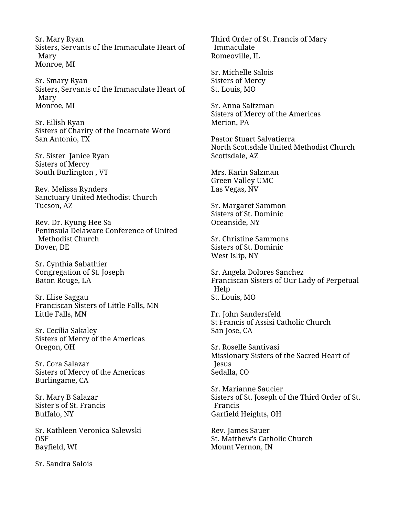Sr. Mary Ryan Sisters, Servants of the Immaculate Heart of Mary Monroe, MI

Sr. Smary Ryan Sisters, Servants of the Immaculate Heart of Mary Monroe, MI

Sr. Eilish Ryan Sisters of Charity of the Incarnate Word San Antonio, TX

Sr. Sister Janice Ryan Sisters of Mercy South Burlington , VT

Rev. Melissa Rynders Sanctuary United Methodist Church Tucson, AZ

Rev. Dr. Kyung Hee Sa Peninsula Delaware Conference of United Methodist Church Dover, DE

Sr. Cynthia Sabathier Congregation of St. Joseph Baton Rouge, LA

Sr. Elise Saggau Franciscan Sisters of Little Falls, MN Little Falls, MN

Sr. Cecilia Sakaley Sisters of Mercy of the Americas Oregon, OH

Sr. Cora Salazar Sisters of Mercy of the Americas Burlingame, CA

Sr. Mary B Salazar Sister's of St. Francis Buffalo, NY

Sr. Kathleen Veronica Salewski OSF Bayfield, WI

Sr. Sandra Salois

Third Order of St. Francis of Mary Immaculate Romeoville, IL

Sr. Michelle Salois Sisters of Mercy St. Louis, MO

Sr. Anna Saltzman Sisters of Mercy of the Americas Merion, PA

Pastor Stuart Salvatierra North Scottsdale United Methodist Church Scottsdale, AZ

Mrs. Karin Salzman Green Valley UMC Las Vegas, NV

Sr. Margaret Sammon Sisters of St. Dominic Oceanside, NY

Sr. Christine Sammons Sisters of St. Dominic West Islip, NY

Sr. Angela Dolores Sanchez Franciscan Sisters of Our Lady of Perpetual Help St. Louis, MO

Fr. John Sandersfeld St Francis of Assisi Catholic Church San Jose, CA

Sr. Roselle Santivasi Missionary Sisters of the Sacred Heart of Jesus Sedalla, CO

Sr. Marianne Saucier Sisters of St. Joseph of the Third Order of St. Francis Garfield Heights, OH

Rev. James Sauer St. Matthew's Catholic Church Mount Vernon, IN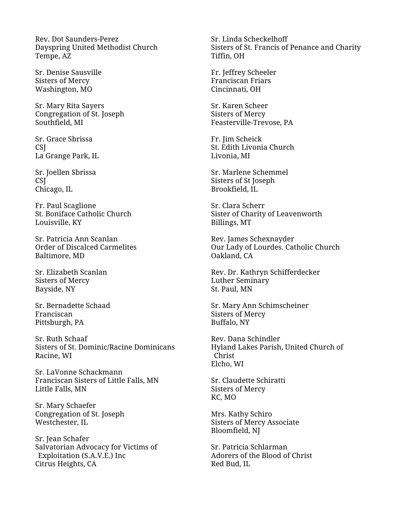Rev. Dot Saunders-Perez Dayspring United Methodist Church Tempe, AZ

Sr. Denise Sausville Sisters of Mercy Washington, MO

Sr. Mary Rita Sayers Congregation of St. Joseph Southfield, MI

Sr. Grace Sbrissa CSJ La Grange Park, IL

Sr. Joellen Sbrissa CSJ Chicago, IL

Fr. Paul Scaglione St. Boniface Catholic Church Louisville, KY

Sr. Patricia Ann Scanlan Order of Discalced Carmelites Baltimore, MD

Sr. Elizabeth Scanlan Sisters of Mercy Bayside, NY

Sr. Bernadette Schaad Franciscan Pittsburgh, PA

Sr. Ruth Schaaf Sisters of St. Dominic/Racine Dominicans Racine, WI

Sr. LaVonne Schackmann Franciscan Sisters of Little Falls, MN Little Falls, MN

Sr. Mary Schaefer Congregation of St. Joseph Westchester, IL

Sr. Jean Schafer Salvatorian Advocacy for Victims of Exploitation (S.A.V.E.) Inc Citrus Heights, CA

Sr. Linda Scheckelhoff Sisters of St. Francis of Penance and Charity Tiffin, OH

Fr. Jeffrey Scheeler Franciscan Friars Cincinnati, OH

Sr. Karen Scheer Sisters of Mercy Feasterville-Trevose, PA

Fr. Jim Scheick St. Edith Livonia Church Livonia, MI

Sr. Marlene Schemmel Sisters of St Joseph Brookfield, IL

Sr. Clara Scherr Sister of Charity of Leavenworth Billings, MT

Rev. James Schexnayder Our Lady of Lourdes. Catholic Church Oakland, CA

Rev. Dr. Kathryn Schifferdecker Luther Seminary St. Paul, MN

Sr. Mary Ann Schimscheiner Sisters of Mercy Buffalo, NY

Rev. Dana Schindler Hyland Lakes Parish, United Church of Christ Elcho, WI

Sr. Claudette Schiratti Sisters of Mercy KC, MO

Mrs. Kathy Schiro Sisters of Mercy Associate Bloomfield, NJ

Sr. Patricia Schlarman Adorers of the Blood of Christ Red Bud, IL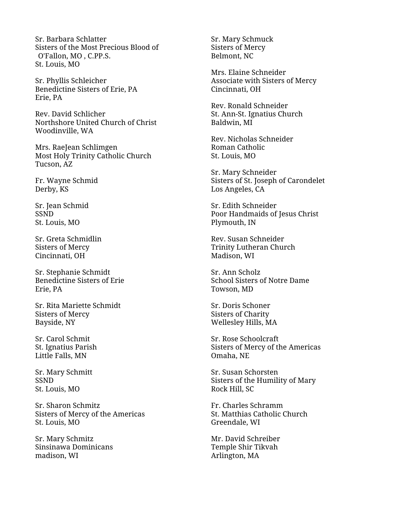Sr. Barbara Schlatter Sisters of the Most Precious Blood of O'Fallon, MO , C.PP.S. St. Louis, MO

Sr. Phyllis Schleicher Benedictine Sisters of Erie, PA Erie, PA

Rev. David Schlicher Northshore United Church of Christ Woodinville, WA

Mrs. RaeJean Schlimgen Most Holy Trinity Catholic Church Tucson, AZ

Fr. Wayne Schmid Derby, KS

Sr. Jean Schmid SSND St. Louis, MO

Sr. Greta Schmidlin Sisters of Mercy Cincinnati, OH

Sr. Stephanie Schmidt Benedictine Sisters of Erie Erie, PA

Sr. Rita Mariette Schmidt Sisters of Mercy Bayside, NY

Sr. Carol Schmit St. Ignatius Parish Little Falls, MN

Sr. Mary Schmitt SSND St. Louis, MO

Sr. Sharon Schmitz Sisters of Mercy of the Americas St. Louis, MO

Sr. Mary Schmitz Sinsinawa Dominicans madison, WI

Sr. Mary Schmuck Sisters of Mercy Belmont, NC

Mrs. Elaine Schneider Associate with Sisters of Mercy Cincinnati, OH

Rev. Ronald Schneider St. Ann-St. Ignatius Church Baldwin, MI

Rev. Nicholas Schneider Roman Catholic St. Louis, MO

Sr. Mary Schneider Sisters of St. Joseph of Carondelet Los Angeles, CA

Sr. Edith Schneider Poor Handmaids of Jesus Christ Plymouth, IN

Rev. Susan Schneider Trinity Lutheran Church Madison, WI

Sr. Ann Scholz School Sisters of Notre Dame Towson, MD

Sr. Doris Schoner Sisters of Charity Wellesley Hills, MA

Sr. Rose Schoolcraft Sisters of Mercy of the Americas Omaha, NE

Sr. Susan Schorsten Sisters of the Humility of Mary Rock Hill, SC

Fr. Charles Schramm St. Matthias Catholic Church Greendale, WI

Mr. David Schreiber Temple Shir Tikvah Arlington, MA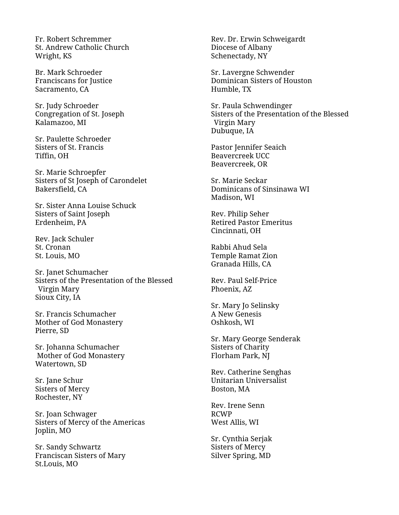Fr. Robert Schremmer St. Andrew Catholic Church Wright, KS

Br. Mark Schroeder Franciscans for Justice Sacramento, CA

Sr. Judy Schroeder Congregation of St. Joseph Kalamazoo, MI

Sr. Paulette Schroeder Sisters of St. Francis Tiffin, OH

Sr. Marie Schroepfer Sisters of St Joseph of Carondelet Bakersfield, CA

Sr. Sister Anna Louise Schuck Sisters of Saint Joseph Erdenheim, PA

Rev. Jack Schuler St. Cronan St. Louis, MO

Sr. Janet Schumacher Sisters of the Presentation of the Blessed Virgin Mary Sioux City, IA

Sr. Francis Schumacher Mother of God Monastery Pierre, SD

Sr. Johanna Schumacher Mother of God Monastery Watertown, SD

Sr. Jane Schur Sisters of Mercy Rochester, NY

Sr. Joan Schwager Sisters of Mercy of the Americas Joplin, MO

Sr. Sandy Schwartz Franciscan Sisters of Mary St.Louis, MO

Rev. Dr. Erwin Schweigardt Diocese of Albany Schenectady, NY

Sr. Lavergne Schwender Dominican Sisters of Houston Humble, TX

Sr. Paula Schwendinger Sisters of the Presentation of the Blessed Virgin Mary Dubuque, IA

Pastor Jennifer Seaich Beavercreek UCC Beavercreek, OR

Sr. Marie Seckar Dominicans of Sinsinawa WI Madison, WI

Rev. Philip Seher Retired Pastor Emeritus Cincinnati, OH

Rabbi Ahud Sela Temple Ramat Zion Granada Hills, CA

Rev. Paul Self-Price Phoenix, AZ

Sr. Mary Jo Selinsky A New Genesis Oshkosh, WI

Sr. Mary George Senderak Sisters of Charity Florham Park, NJ

Rev. Catherine Senghas Unitarian Universalist Boston, MA

Rev. Irene Senn RCWP West Allis, WI

Sr. Cynthia Serjak Sisters of Mercy Silver Spring, MD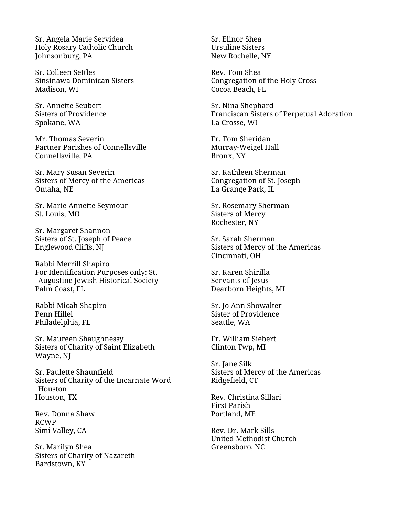Sr. Angela Marie Servidea Holy Rosary Catholic Church Johnsonburg, PA

Sr. Colleen Settles Sinsinawa Dominican Sisters Madison, WI

Sr. Annette Seubert Sisters of Providence Spokane, WA

Mr. Thomas Severin Partner Parishes of Connellsville Connellsville, PA

Sr. Mary Susan Severin Sisters of Mercy of the Americas Omaha, NE

Sr. Marie Annette Seymour St. Louis, MO

Sr. Margaret Shannon Sisters of St. Joseph of Peace Englewood Cliffs, NJ

Rabbi Merrill Shapiro For Identification Purposes only: St. Augustine Jewish Historical Society Palm Coast, FL

Rabbi Micah Shapiro Penn Hillel Philadelphia, FL

Sr. Maureen Shaughnessy Sisters of Charity of Saint Elizabeth Wayne, NJ

Sr. Paulette Shaunfield Sisters of Charity of the Incarnate Word Houston Houston, TX

Rev. Donna Shaw RCWP Simi Valley, CA

Sr. Marilyn Shea Sisters of Charity of Nazareth Bardstown, KY

Sr. Elinor Shea Ursuline Sisters New Rochelle, NY

Rev. Tom Shea Congregation of the Holy Cross Cocoa Beach, FL

Sr. Nina Shephard Franciscan Sisters of Perpetual Adoration La Crosse, WI

Fr. Tom Sheridan Murray-Weigel Hall Bronx, NY

Sr. Kathleen Sherman Congregation of St. Joseph La Grange Park, IL

Sr. Rosemary Sherman Sisters of Mercy Rochester, NY

Sr. Sarah Sherman Sisters of Mercy of the Americas Cincinnati, OH

Sr. Karen Shirilla Servants of Jesus Dearborn Heights, MI

Sr. Jo Ann Showalter Sister of Providence Seattle, WA

Fr. William Siebert Clinton Twp, MI

Sr. Jane Silk Sisters of Mercy of the Americas Ridgefield, CT

Rev. Christina Sillari First Parish Portland, ME

Rev. Dr. Mark Sills United Methodist Church Greensboro, NC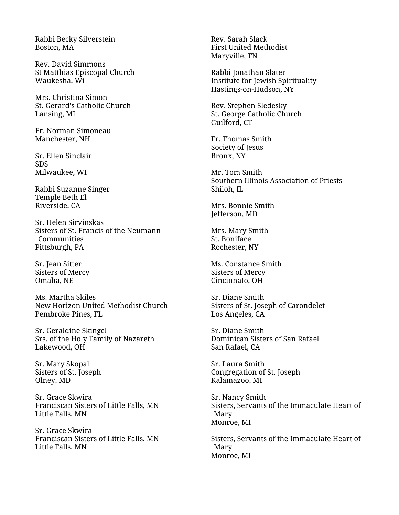Rabbi Becky Silverstein Boston, MA

Rev. David Simmons St Matthias Episcopal Church Waukesha, Wi

Mrs. Christina Simon St. Gerard's Catholic Church Lansing, MI

Fr. Norman Simoneau Manchester, NH

Sr. Ellen Sinclair SDS Milwaukee, WI

Rabbi Suzanne Singer Temple Beth El Riverside, CA

Sr. Helen Sirvinskas Sisters of St. Francis of the Neumann **Communities** Pittsburgh, PA

Sr. Jean Sitter Sisters of Mercy Omaha, NE

Ms. Martha Skiles New Horizon United Methodist Church Pembroke Pines, FL

Sr. Geraldine Skingel Srs. of the Holy Family of Nazareth Lakewood, OH

Sr. Mary Skopal Sisters of St. Joseph Olney, MD

Sr. Grace Skwira Franciscan Sisters of Little Falls, MN Little Falls, MN

Sr. Grace Skwira Franciscan Sisters of Little Falls, MN Little Falls, MN

Rev. Sarah Slack First United Methodist Maryville, TN

Rabbi Jonathan Slater Institute for Jewish Spirituality Hastings-on-Hudson, NY

Rev. Stephen Sledesky St. George Catholic Church Guilford, CT

Fr. Thomas Smith Society of Jesus Bronx, NY

Mr. Tom Smith Southern Illinois Association of Priests Shiloh, IL

Mrs. Bonnie Smith Jefferson, MD

Mrs. Mary Smith St. Boniface Rochester, NY

Ms. Constance Smith Sisters of Mercy Cincinnato, OH

Sr. Diane Smith Sisters of St. Joseph of Carondelet Los Angeles, CA

Sr. Diane Smith Dominican Sisters of San Rafael San Rafael, CA

Sr. Laura Smith Congregation of St. Joseph Kalamazoo, MI

Sr. Nancy Smith Sisters, Servants of the Immaculate Heart of Mary Monroe, MI

Sisters, Servants of the Immaculate Heart of Mary Monroe, MI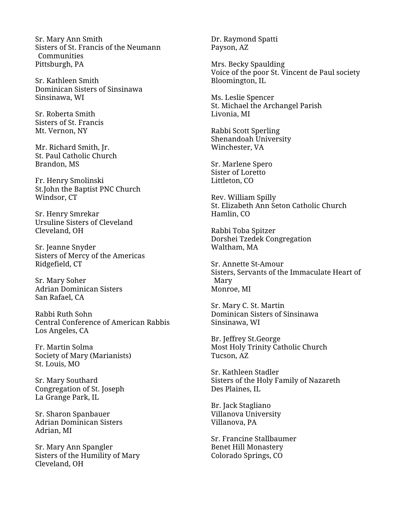Sr. Mary Ann Smith Sisters of St. Francis of the Neumann Communities Pittsburgh, PA

Sr. Kathleen Smith Dominican Sisters of Sinsinawa Sinsinawa, WI

Sr. Roberta Smith Sisters of St. Francis Mt. Vernon, NY

Mr. Richard Smith, Jr. St. Paul Catholic Church Brandon, MS

Fr. Henry Smolinski St.John the Baptist PNC Church Windsor, CT

Sr. Henry Smrekar Ursuline Sisters of Cleveland Cleveland, OH

Sr. Jeanne Snyder Sisters of Mercy of the Americas Ridgefield, CT

Sr. Mary Soher Adrian Dominican Sisters San Rafael, CA

Rabbi Ruth Sohn Central Conference of American Rabbis Los Angeles, CA

Fr. Martin Solma Society of Mary (Marianists) St. Louis, MO

Sr. Mary Southard Congregation of St. Joseph La Grange Park, IL

Sr. Sharon Spanbauer Adrian Dominican Sisters Adrian, MI

Sr. Mary Ann Spangler Sisters of the Humility of Mary Cleveland, OH

Dr. Raymond Spatti Payson, AZ

Mrs. Becky Spaulding Voice of the poor St. Vincent de Paul society Bloomington, IL

Ms. Leslie Spencer St. Michael the Archangel Parish Livonia, MI

Rabbi Scott Sperling Shenandoah University Winchester, VA

Sr. Marlene Spero Sister of Loretto Littleton, CO

Rev. William Spilly St. Elizabeth Ann Seton Catholic Church Hamlin, CO

Rabbi Toba Spitzer Dorshei Tzedek Congregation Waltham, MA

Sr. Annette St-Amour Sisters, Servants of the Immaculate Heart of Mary Monroe, MI

Sr. Mary C. St. Martin Dominican Sisters of Sinsinawa Sinsinawa, WI

Br. Jeffrey St.George Most Holy Trinity Catholic Church Tucson, AZ

Sr. Kathleen Stadler Sisters of the Holy Family of Nazareth Des Plaines, IL

Br. Jack Stagliano Villanova University Villanova, PA

Sr. Francine Stallbaumer Benet Hill Monastery Colorado Springs, CO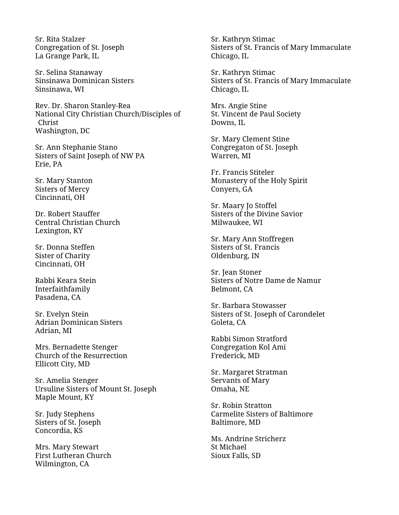Sr. Rita Stalzer Congregation of St. Joseph La Grange Park, IL

Sr. Selina Stanaway Sinsinawa Dominican Sisters Sinsinawa, WI

Rev. Dr. Sharon Stanley-Rea National City Christian Church/Disciples of Christ Washington, DC

Sr. Ann Stephanie Stano Sisters of Saint Joseph of NW PA Erie, PA

Sr. Mary Stanton Sisters of Mercy Cincinnati, OH

Dr. Robert Stauffer Central Christian Church Lexington, KY

Sr. Donna Steffen Sister of Charity Cincinnati, OH

Rabbi Keara Stein Interfaithfamily Pasadena, CA

Sr. Evelyn Stein Adrian Dominican Sisters Adrian, MI

Mrs. Bernadette Stenger Church of the Resurrection Ellicott City, MD

Sr. Amelia Stenger Ursuline Sisters of Mount St. Joseph Maple Mount, KY

Sr. Judy Stephens Sisters of St. Joseph Concordia, KS

Mrs. Mary Stewart First Lutheran Church Wilmington, CA

Sr. Kathryn Stimac Sisters of St. Francis of Mary Immaculate Chicago, IL

Sr. Kathryn Stimac Sisters of St. Francis of Mary Immaculate Chicago, IL

Mrs. Angie Stine St. Vincent de Paul Society Downs, IL

Sr. Mary Clement Stine Congregaton of St. Joseph Warren, MI

Fr. Francis Stiteler Monastery of the Holy Spirit Conyers, GA

Sr. Maary Jo Stoffel Sisters of the Divine Savior Milwaukee, WI

Sr. Mary Ann Stoffregen Sisters of St. Francis Oldenburg, IN

Sr. Jean Stoner Sisters of Notre Dame de Namur Belmont, CA

Sr. Barbara Stowasser Sisters of St. Joseph of Carondelet Goleta, CA

Rabbi Simon Stratford Congregation Kol Ami Frederick, MD

Sr. Margaret Stratman Servants of Mary Omaha, NE

Sr. Robin Stratton Carmelite Sisters of Baltimore Baltimore, MD

Ms. Andrine Stricherz St Michael Sioux Falls, SD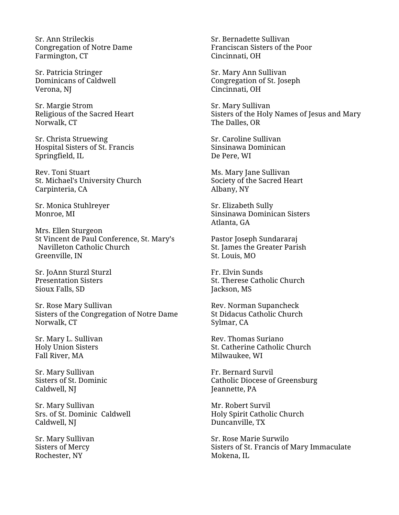Sr. Ann Strileckis Congregation of Notre Dame Farmington, CT

Sr. Patricia Stringer Dominicans of Caldwell Verona, NJ

Sr. Margie Strom Religious of the Sacred Heart Norwalk, CT

Sr. Christa Struewing Hospital Sisters of St. Francis Springfield, IL

Rev. Toni Stuart St. Michael's University Church Carpinteria, CA

Sr. Monica Stuhlreyer Monroe, MI

Mrs. Ellen Sturgeon St Vincent de Paul Conference, St. Mary's Navilleton Catholic Church Greenville, IN

Sr. JoAnn Sturzl Sturzl Presentation Sisters Sioux Falls, SD

Sr. Rose Mary Sullivan Sisters of the Congregation of Notre Dame Norwalk, CT

Sr. Mary L. Sullivan Holy Union Sisters Fall River, MA

Sr. Mary Sullivan Sisters of St. Dominic Caldwell, NJ

Sr. Mary Sullivan Srs. of St. Dominic Caldwell Caldwell, NJ

Sr. Mary Sullivan Sisters of Mercy Rochester, NY

Sr. Bernadette Sullivan Franciscan Sisters of the Poor Cincinnati, OH

Sr. Mary Ann Sullivan Congregation of St. Joseph Cincinnati, OH

Sr. Mary Sullivan Sisters of the Holy Names of Jesus and Mary The Dalles, OR

Sr. Caroline Sullivan Sinsinawa Dominican De Pere, WI

Ms. Mary Jane Sullivan Society of the Sacred Heart Albany, NY

Sr. Elizabeth Sully Sinsinawa Dominican Sisters Atlanta, GA

Pastor Joseph Sundararaj St. James the Greater Parish St. Louis, MO

Fr. Elvin Sunds St. Therese Catholic Church Jackson, MS

Rev. Norman Supancheck St Didacus Catholic Church Sylmar, CA

Rev. Thomas Suriano St. Catherine Catholic Church Milwaukee, WI

Fr. Bernard Survil Catholic Diocese of Greensburg Jeannette, PA

Mr. Robert Survil Holy Spirit Catholic Church Duncanville, TX

Sr. Rose Marie Surwilo Sisters of St. Francis of Mary Immaculate Mokena, IL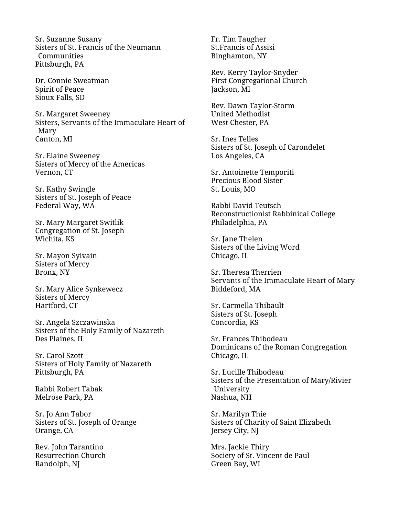Sr. Suzanne Susany Sisters of St. Francis of the Neumann Communities Pittsburgh, PA

Dr. Connie Sweatman Spirit of Peace Sioux Falls, SD

Sr. Margaret Sweeney Sisters, Servants of the Immaculate Heart of Mary Canton, MI

Sr. Elaine Sweeney Sisters of Mercy of the Americas Vernon, CT

Sr. Kathy Swingle Sisters of St. Joseph of Peace Federal Way, WA

Sr. Mary Margaret Switlik Congregation of St. Joseph Wichita, KS

Sr. Mayon Sylvain Sisters of Mercy Bronx, NY

Sr. Mary Alice Synkewecz Sisters of Mercy Hartford, CT

Sr. Angela Szczawinska Sisters of the Holy Family of Nazareth Des Plaines, IL

Sr. Carol Szott Sisters of Holy Family of Nazareth Pittsburgh, PA

Rabbi Robert Tabak Melrose Park, PA

Sr. Jo Ann Tabor Sisters of St. Joseph of Orange Orange, CA

Rev. John Tarantino Resurrection Church Randolph, NJ

Fr. Tim Taugher St.Francis of Assisi Binghamton, NY

Rev. Kerry Taylor-Snyder First Congregational Church Jackson, MI

Rev. Dawn Taylor-Storm United Methodist West Chester, PA

Sr. Ines Telles Sisters of St. Joseph of Carondelet Los Angeles, CA

Sr. Antoinette Temporiti Precious Blood Sister St. Louis, MO

Rabbi David Teutsch Reconstructionist Rabbinical College Philadelphia, PA

Sr. Jane Thelen Sisters of the Living Word Chicago, IL

Sr. Theresa Therrien Servants of the Immaculate Heart of Mary Biddeford, MA

Sr. Carmella Thibault Sisters of St. Joseph Concordia, KS

Sr. Frances Thibodeau Dominicans of the Roman Congregation Chicago, IL

Sr. Lucille Thibodeau Sisters of the Presentation of Mary/Rivier University Nashua, NH

Sr. Marilyn Thie Sisters of Charity of Saint Elizabeth Jersey City, NJ

Mrs. Jackie Thiry Society of St. Vincent de Paul Green Bay, WI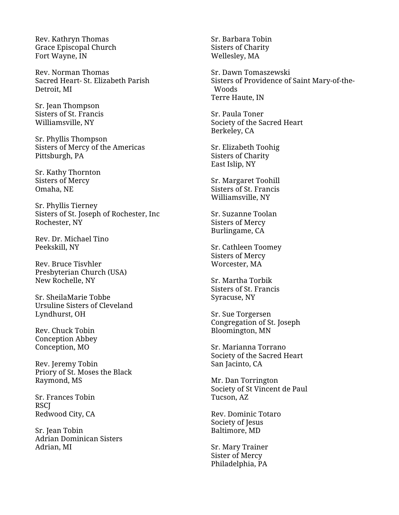Rev. Kathryn Thomas Grace Episcopal Church Fort Wayne, IN

Rev. Norman Thomas Sacred Heart- St. Elizabeth Parish Detroit, MI

Sr. Jean Thompson Sisters of St. Francis Williamsville, NY

Sr. Phyllis Thompson Sisters of Mercy of the Americas Pittsburgh, PA

Sr. Kathy Thornton Sisters of Mercy Omaha, NE

Sr. Phyllis Tierney Sisters of St. Joseph of Rochester, Inc Rochester, NY

Rev. Dr. Michael Tino Peekskill, NY

Rev. Bruce Tisvhler Presbyterian Church (USA) New Rochelle, NY

Sr. SheilaMarie Tobbe Ursuline Sisters of Cleveland Lyndhurst, OH

Rev. Chuck Tobin Conception Abbey Conception, MO

Rev. Jeremy Tobin Priory of St. Moses the Black Raymond, MS

Sr. Frances Tobin **RSCI** Redwood City, CA

Sr. Jean Tobin Adrian Dominican Sisters Adrian, MI

Sr. Barbara Tobin Sisters of Charity Wellesley, MA

Sr. Dawn Tomaszewski Sisters of Providence of Saint Mary-of-the-Woods Terre Haute, IN

Sr. Paula Toner Society of the Sacred Heart Berkeley, CA

Sr. Elizabeth Toohig Sisters of Charity East Islip, NY

Sr. Margaret Toohill Sisters of St. Francis Williamsville, NY

Sr. Suzanne Toolan Sisters of Mercy Burlingame, CA

Sr. Cathleen Toomey Sisters of Mercy Worcester, MA

Sr. Martha Torbik Sisters of St. Francis Syracuse, NY

Sr. Sue Torgersen Congregation of St. Joseph Bloomington, MN

Sr. Marianna Torrano Society of the Sacred Heart San Jacinto, CA

Mr. Dan Torrington Society of St Vincent de Paul Tucson, AZ

Rev. Dominic Totaro Society of Jesus Baltimore, MD

Sr. Mary Trainer Sister of Mercy Philadelphia, PA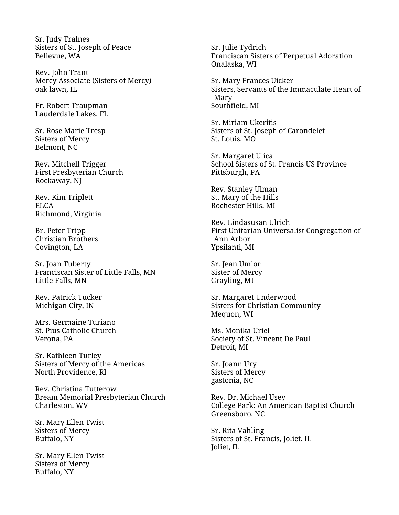Sr. Judy Tralnes Sisters of St. Joseph of Peace Bellevue, WA

Rev. John Trant Mercy Associate (Sisters of Mercy) oak lawn, IL

Fr. Robert Traupman Lauderdale Lakes, FL

Sr. Rose Marie Tresp Sisters of Mercy Belmont, NC

Rev. Mitchell Trigger First Presbyterian Church Rockaway, NJ

Rev. Kim Triplett ELCA Richmond, Virginia

Br. Peter Tripp Christian Brothers Covington, LA

Sr. Joan Tuberty Franciscan Sister of Little Falls, MN Little Falls, MN

Rev. Patrick Tucker Michigan City, IN

Mrs. Germaine Turiano St. Pius Catholic Church Verona, PA

Sr. Kathleen Turley Sisters of Mercy of the Americas North Providence, RI

Rev. Christina Tutterow Bream Memorial Presbyterian Church Charleston, WV

Sr. Mary Ellen Twist Sisters of Mercy Buffalo, NY

Sr. Mary Ellen Twist Sisters of Mercy Buffalo, NY

Sr. Julie Tydrich Franciscan Sisters of Perpetual Adoration Onalaska, WI

Sr. Mary Frances Uicker Sisters, Servants of the Immaculate Heart of Mary Southfield, MI

Sr. Miriam Ukeritis Sisters of St. Joseph of Carondelet St. Louis, MO

Sr. Margaret Ulica School Sisters of St. Francis US Province Pittsburgh, PA

Rev. Stanley Ulman St. Mary of the Hills Rochester Hills, MI

Rev. Lindasusan Ulrich First Unitarian Universalist Congregation of Ann Arbor Ypsilanti, MI

Sr. Jean Umlor Sister of Mercy Grayling, MI

Sr. Margaret Underwood Sisters for Christian Community Mequon, WI

Ms. Monika Uriel Society of St. Vincent De Paul Detroit, MI

Sr. Joann Ury Sisters of Mercy gastonia, NC

Rev. Dr. Michael Usey College Park: An American Baptist Church Greensboro, NC

Sr. Rita Vahling Sisters of St. Francis, Joliet, IL Joliet, IL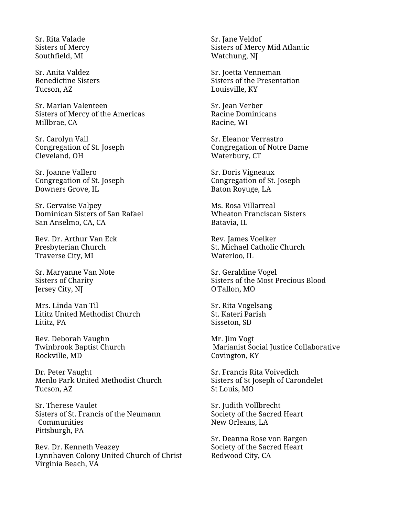Sr. Rita Valade Sisters of Mercy Southfield, MI

Sr. Anita Valdez Benedictine Sisters Tucson, AZ

Sr. Marian Valenteen Sisters of Mercy of the Americas Millbrae, CA

Sr. Carolyn Vall Congregation of St. Joseph Cleveland, OH

Sr. Joanne Vallero Congregation of St. Joseph Downers Grove, IL

Sr. Gervaise Valpey Dominican Sisters of San Rafael San Anselmo, CA, CA

Rev. Dr. Arthur Van Eck Presbyterian Church Traverse City, MI

Sr. Maryanne Van Note Sisters of Charity Jersey City, NJ

Mrs. Linda Van Til Lititz United Methodist Church Lititz, PA

Rev. Deborah Vaughn Twinbrook Baptist Church Rockville, MD

Dr. Peter Vaught Menlo Park United Methodist Church Tucson, AZ

Sr. Therese Vaulet Sisters of St. Francis of the Neumann Communities Pittsburgh, PA

Rev. Dr. Kenneth Veazey Lynnhaven Colony United Church of Christ Virginia Beach, VA

Sr. Jane Veldof Sisters of Mercy Mid Atlantic Watchung, NJ

Sr. Joetta Venneman Sisters of the Presentation Louisville, KY

Sr. Jean Verber Racine Dominicans Racine, WI

Sr. Eleanor Verrastro Congregation of Notre Dame Waterbury, CT

Sr. Doris Vigneaux Congregation of St. Joseph Baton Royuge, LA

Ms. Rosa Villarreal Wheaton Franciscan Sisters Batavia, IL

Rev. James Voelker St. Michael Catholic Church Waterloo, IL

Sr. Geraldine Vogel Sisters of the Most Precious Blood O'Fallon, MO

Sr. Rita Vogelsang St. Kateri Parish Sisseton, SD

Mr. Jim Vogt Marianist Social Justice Collaborative Covington, KY

Sr. Francis Rita Voivedich Sisters of St Joseph of Carondelet St Louis, MO

Sr. Judith Vollbrecht Society of the Sacred Heart New Orleans, LA

Sr. Deanna Rose von Bargen Society of the Sacred Heart Redwood City, CA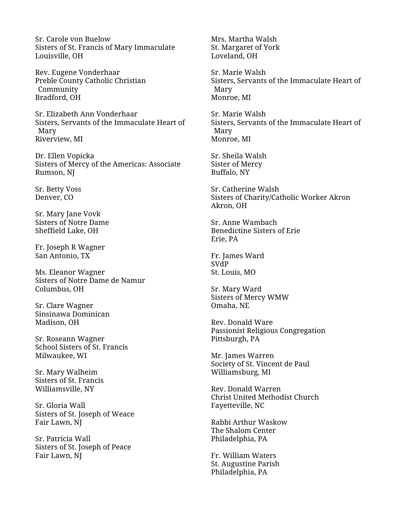Sr. Carole von Buelow Sisters of St. Francis of Mary Immaculate Louisville, OH

Rev. Eugene Vonderhaar Preble County Catholic Christian Community Bradford, OH

Sr. Elizabeth Ann Vonderhaar Sisters, Servants of the Immaculate Heart of Mary Riverview, MI

Dr. Ellen Vopicka Sisters of Mercy of the Americas: Associate Rumson, NJ

Sr. Betty Voss Denver, CO

Sr. Mary Jane Vovk Sisters of Notre Dame Sheffield Lake, OH

Fr. Joseph R Wagner San Antonio, TX

Ms. Eleanor Wagner Sisters of Notre Dame de Namur Columbus, OH

Sr. Clare Wagner Sinsinawa Dominican Madison, OH

Sr. Roseann Wagner School Sisters of St. Francis Milwaukee, WI

Sr. Mary Walheim Sisters of St. Francis Williamsville, NY

Sr. Gloria Wall Sisters of St. Joseph of Weace Fair Lawn, NJ

Sr. Patricia Wall Sisters of St. Joseph of Peace Fair Lawn, NJ

Mrs. Martha Walsh St. Margaret of York Loveland, OH

Sr. Marie Walsh Sisters, Servants of the Immaculate Heart of Mary Monroe, MI

Sr. Marie Walsh Sisters, Servants of the Immaculate Heart of Mary Monroe, MI

Sr. Sheila Walsh Sister of Mercy Buffalo, NY

Sr. Catherine Walsh Sisters of Charity/Catholic Worker Akron Akron, OH

Sr. Anne Wambach Benedictine Sisters of Erie Erie, PA

Fr. James Ward SVdP St. Louis, MO

Sr. Mary Ward Sisters of Mercy WMW Omaha, NE

Rev. Donald Ware Passionist Religious Congregation Pittsburgh, PA

Mr. James Warren Society of St. Vincent de Paul Williamsburg, MI

Rev. Donald Warren Christ United Methodist Church Fayetteville, NC

Rabbi Arthur Waskow The Shalom Center Philadelphia, PA

Fr. William Waters St. Augustine Parish Philadelphia, PA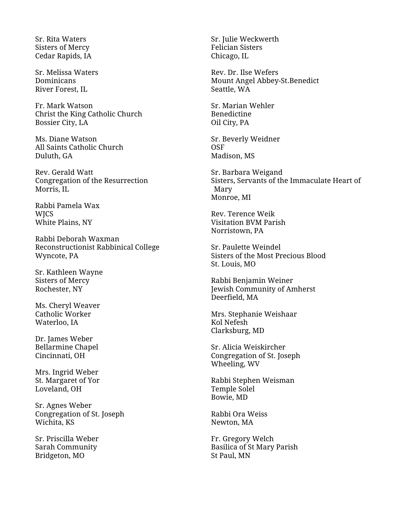Sr. Rita Waters Sisters of Mercy Cedar Rapids, IA

Sr. Melissa Waters Dominicans River Forest, IL

Fr. Mark Watson Christ the King Catholic Church Bossier City, LA

Ms. Diane Watson All Saints Catholic Church Duluth, GA

Rev. Gerald Watt Congregation of the Resurrection Morris, IL

Rabbi Pamela Wax **WICS** White Plains, NY

Rabbi Deborah Waxman Reconstructionist Rabbinical College Wyncote, PA

Sr. Kathleen Wayne Sisters of Mercy Rochester, NY

Ms. Cheryl Weaver Catholic Worker Waterloo, IA

Dr. James Weber Bellarmine Chapel Cincinnati, OH

Mrs. Ingrid Weber St. Margaret of Yor Loveland, OH

Sr. Agnes Weber Congregation of St. Joseph Wichita, KS

Sr. Priscilla Weber Sarah Community Bridgeton, MO

Sr. Julie Weckwerth Felician Sisters Chicago, IL

Rev. Dr. Ilse Wefers Mount Angel Abbey-St.Benedict Seattle, WA

Sr. Marian Wehler Benedictine Oil City, PA

Sr. Beverly Weidner OSF Madison, MS

Sr. Barbara Weigand Sisters, Servants of the Immaculate Heart of Mary Monroe, MI

Rev. Terence Weik Visitation BVM Parish Norristown, PA

Sr. Paulette Weindel Sisters of the Most Precious Blood St. Louis, MO

Rabbi Benjamin Weiner Jewish Community of Amherst Deerfield, MA

Mrs. Stephanie Weishaar Kol Nefesh Clarksburg, MD

Sr. Alicia Weiskircher Congregation of St. Joseph Wheeling, WV

Rabbi Stephen Weisman Temple Solel Bowie, MD

Rabbi Ora Weiss Newton, MA

Fr. Gregory Welch Basilica of St Mary Parish St Paul, MN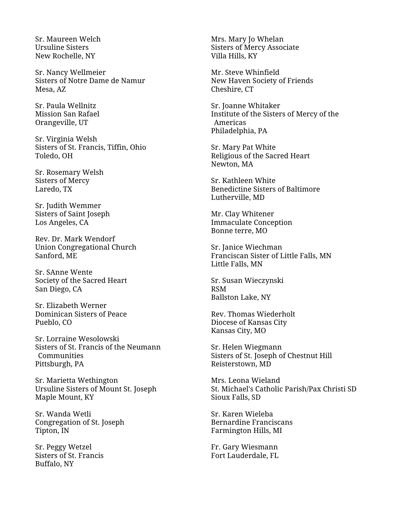Sr. Maureen Welch Ursuline Sisters New Rochelle, NY

Sr. Nancy Wellmeier Sisters of Notre Dame de Namur Mesa, AZ

Sr. Paula Wellnitz Mission San Rafael Orangeville, UT

Sr. Virginia Welsh Sisters of St. Francis, Tiffin, Ohio Toledo, OH

Sr. Rosemary Welsh Sisters of Mercy Laredo, TX

Sr. Judith Wemmer Sisters of Saint Joseph Los Angeles, CA

Rev. Dr. Mark Wendorf Union Congregational Church Sanford, ME

Sr. SAnne Wente Society of the Sacred Heart San Diego, CA

Sr. Elizabeth Werner Dominican Sisters of Peace Pueblo, CO

Sr. Lorraine Wesolowski Sisters of St. Francis of the Neumann **Communities** Pittsburgh, PA

Sr. Marietta Wethington Ursuline Sisters of Mount St. Joseph Maple Mount, KY

Sr. Wanda Wetli Congregation of St. Joseph Tipton, IN

Sr. Peggy Wetzel Sisters of St. Francis Buffalo, NY

Mrs. Mary Jo Whelan Sisters of Mercy Associate Villa Hills, KY

Mr. Steve Whinfield New Haven Society of Friends Cheshire, CT

Sr. Joanne Whitaker Institute of the Sisters of Mercy of the Americas Philadelphia, PA

Sr. Mary Pat White Religious of the Sacred Heart Newton, MA

Sr. Kathleen White Benedictine Sisters of Baltimore Lutherville, MD

Mr. Clay Whitener Immaculate Conception Bonne terre, MO

Sr. Janice Wiechman Franciscan Sister of Little Falls, MN Little Falls, MN

Sr. Susan Wieczynski RSM Ballston Lake, NY

Rev. Thomas Wiederholt Diocese of Kansas City Kansas City, MO

Sr. Helen Wiegmann Sisters of St. Joseph of Chestnut Hill Reisterstown, MD

Mrs. Leona Wieland St. Michael's Catholic Parish/Pax Christi SD Sioux Falls, SD

Sr. Karen Wieleba Bernardine Franciscans Farmington Hills, MI

Fr. Gary Wiesmann Fort Lauderdale, FL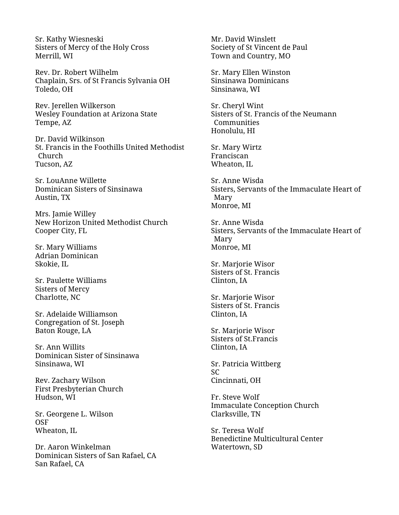Sr. Kathy Wiesneski Sisters of Mercy of the Holy Cross Merrill, WI

Rev. Dr. Robert Wilhelm Chaplain, Srs. of St Francis Sylvania OH Toledo, OH

Rev. Jerellen Wilkerson Wesley Foundation at Arizona State Tempe, AZ

Dr. David Wilkinson St. Francis in the Foothills United Methodist Church Tucson, AZ

Sr. LouAnne Willette Dominican Sisters of Sinsinawa Austin, TX

Mrs. Jamie Willey New Horizon United Methodist Church Cooper City, FL

Sr. Mary Williams Adrian Dominican Skokie, IL

Sr. Paulette Williams Sisters of Mercy Charlotte, NC

Sr. Adelaide Williamson Congregation of St. Joseph Baton Rouge, LA

Sr. Ann Willits Dominican Sister of Sinsinawa Sinsinawa, WI

Rev. Zachary Wilson First Presbyterian Church Hudson, WI

Sr. Georgene L. Wilson OSF Wheaton, IL

Dr. Aaron Winkelman Dominican Sisters of San Rafael, CA San Rafael, CA

Mr. David Winslett Society of St Vincent de Paul Town and Country, MO

Sr. Mary Ellen Winston Sinsinawa Dominicans Sinsinawa, WI

Sr. Cheryl Wint Sisters of St. Francis of the Neumann **Communities** Honolulu, HI

Sr. Mary Wirtz Franciscan Wheaton, IL

Sr. Anne Wisda Sisters, Servants of the Immaculate Heart of Mary Monroe, MI

Sr. Anne Wisda Sisters, Servants of the Immaculate Heart of Mary Monroe, MI

Sr. Marjorie Wisor Sisters of St. Francis Clinton, IA

Sr. Marjorie Wisor Sisters of St. Francis Clinton, IA

Sr. Marjorie Wisor Sisters of St.Francis Clinton, IA

Sr. Patricia Wittberg SC Cincinnati, OH

Fr. Steve Wolf Immaculate Conception Church Clarksville, TN

Sr. Teresa Wolf Benedictine Multicultural Center Watertown, SD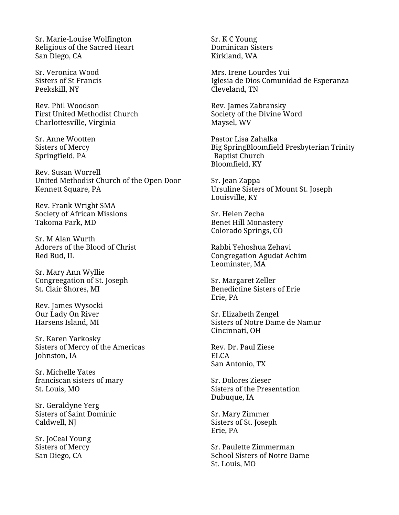Sr. Marie-Louise Wolfington Religious of the Sacred Heart San Diego, CA

Sr. Veronica Wood Sisters of St Francis Peekskill, NY

Rev. Phil Woodson First United Methodist Church Charlottesville, Virginia

Sr. Anne Wootten Sisters of Mercy Springfield, PA

Rev. Susan Worrell United Methodist Church of the Open Door Kennett Square, PA

Rev. Frank Wright SMA Society of African Missions Takoma Park, MD

Sr. M Alan Wurth Adorers of the Blood of Christ Red Bud, IL

Sr. Mary Ann Wyllie Congreegation of St. Joseph St. Clair Shores, MI

Rev. James Wysocki Our Lady On River Harsens Island, MI

Sr. Karen Yarkosky Sisters of Mercy of the Americas Johnston, IA

Sr. Michelle Yates franciscan sisters of mary St. Louis, MO

Sr. Geraldyne Yerg Sisters of Saint Dominic Caldwell, NJ

Sr. JoCeal Young Sisters of Mercy San Diego, CA

Sr. K C Young Dominican Sisters Kirkland, WA

Mrs. Irene Lourdes Yui Iglesia de Dios Comunidad de Esperanza Cleveland, TN

Rev. James Zabransky Society of the Divine Word Maysel, WV

Pastor Lisa Zahalka Big SpringBloomfield Presbyterian Trinity Baptist Church Bloomfield, KY

Sr. Jean Zappa Ursuline Sisters of Mount St. Joseph Louisville, KY

Sr. Helen Zecha Benet Hill Monastery Colorado Springs, CO

Rabbi Yehoshua Zehavi Congregation Agudat Achim Leominster, MA

Sr. Margaret Zeller Benedictine Sisters of Erie Erie, PA

Sr. Elizabeth Zengel Sisters of Notre Dame de Namur Cincinnati, OH

Rev. Dr. Paul Ziese ELCA San Antonio, TX

Sr. Dolores Zieser Sisters of the Presentation Dubuque, IA

Sr. Mary Zimmer Sisters of St. Joseph Erie, PA

Sr. Paulette Zimmerman School Sisters of Notre Dame St. Louis, MO